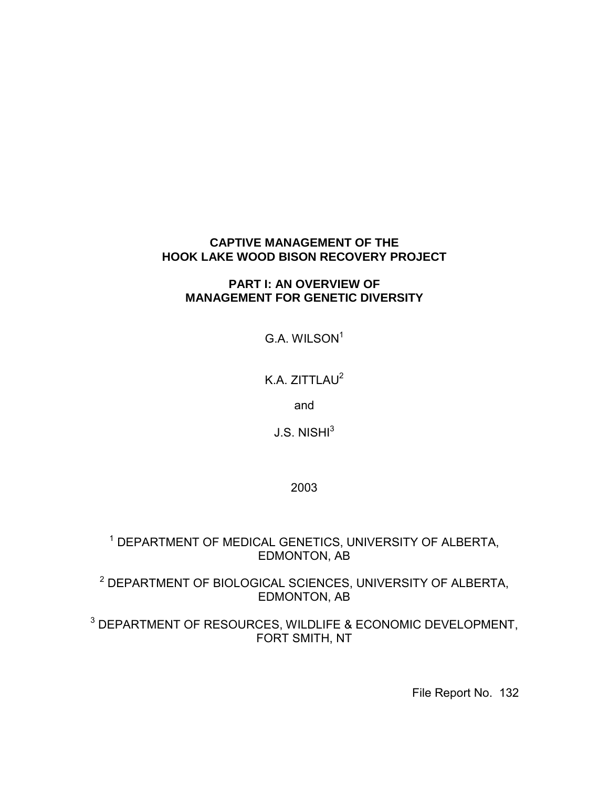# **CAPTIVE MANAGEMENT OF THE HOOK LAKE WOOD BISON RECOVERY PROJECT**

# **PART I: AN OVERVIEW OF MANAGEMENT FOR GENETIC DIVERSITY**

 $G.A.$  WILSON $1$ 

K.A. ZITTLAU<sup>2</sup>

and

J.S. NISHI $^3$ 

2003

1 DEPARTMENT OF MEDICAL GENETICS, UNIVERSITY OF ALBERTA, EDMONTON, AB

2 DEPARTMENT OF BIOLOGICAL SCIENCES, UNIVERSITY OF ALBERTA, EDMONTON, AB

3 DEPARTMENT OF RESOURCES, WILDLIFE & ECONOMIC DEVELOPMENT, FORT SMITH, NT

File Report No. 132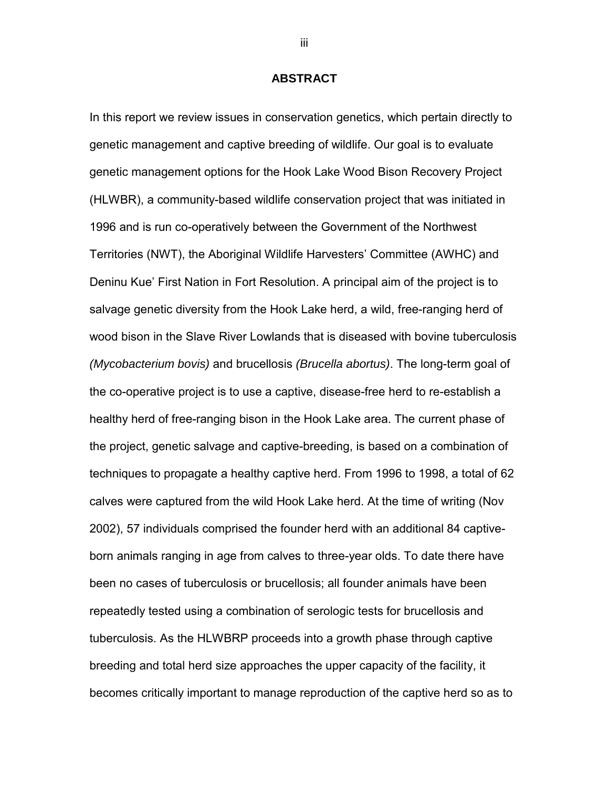# **ABSTRACT**

<span id="page-1-0"></span>In this report we review issues in conservation genetics, which pertain directly to genetic management and captive breeding of wildlife. Our goal is to evaluate genetic management options for the Hook Lake Wood Bison Recovery Project (HLWBR), a community-based wildlife conservation project that was initiated in 1996 and is run co-operatively between the Government of the Northwest Territories (NWT), the Aboriginal Wildlife Harvesters' Committee (AWHC) and Deninu Kue' First Nation in Fort Resolution. A principal aim of the project is to salvage genetic diversity from the Hook Lake herd, a wild, free-ranging herd of wood bison in the Slave River Lowlands that is diseased with bovine tuberculosis *(Mycobacterium bovis)* and brucellosis *(Brucella abortus)*. The long-term goal of the co-operative project is to use a captive, disease-free herd to re-establish a healthy herd of free-ranging bison in the Hook Lake area. The current phase of the project, genetic salvage and captive-breeding, is based on a combination of techniques to propagate a healthy captive herd. From 1996 to 1998, a total of 62 calves were captured from the wild Hook Lake herd. At the time of writing (Nov 2002), 57 individuals comprised the founder herd with an additional 84 captiveborn animals ranging in age from calves to three-year olds. To date there have been no cases of tuberculosis or brucellosis; all founder animals have been repeatedly tested using a combination of serologic tests for brucellosis and tuberculosis. As the HLWBRP proceeds into a growth phase through captive breeding and total herd size approaches the upper capacity of the facility, it becomes critically important to manage reproduction of the captive herd so as to

iii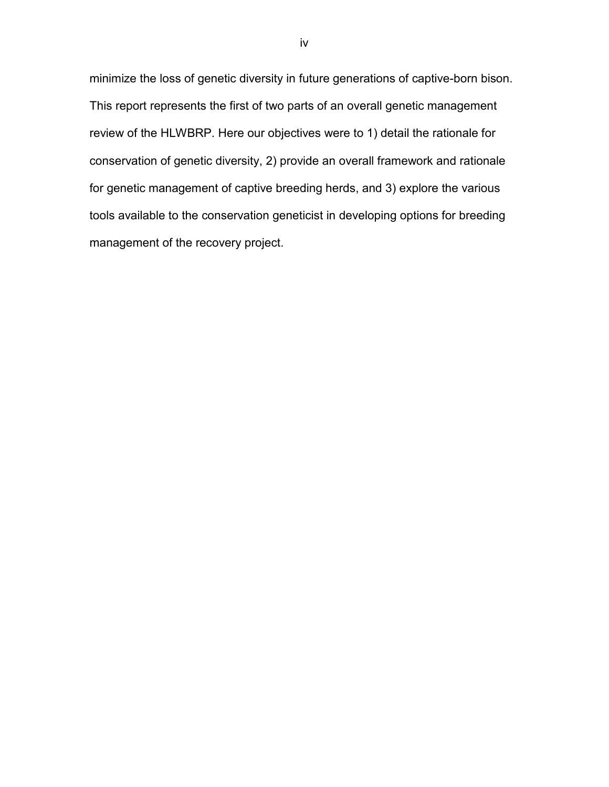minimize the loss of genetic diversity in future generations of captive-born bison. This report represents the first of two parts of an overall genetic management review of the HLWBRP. Here our objectives were to 1) detail the rationale for conservation of genetic diversity, 2) provide an overall framework and rationale for genetic management of captive breeding herds, and 3) explore the various tools available to the conservation geneticist in developing options for breeding management of the recovery project.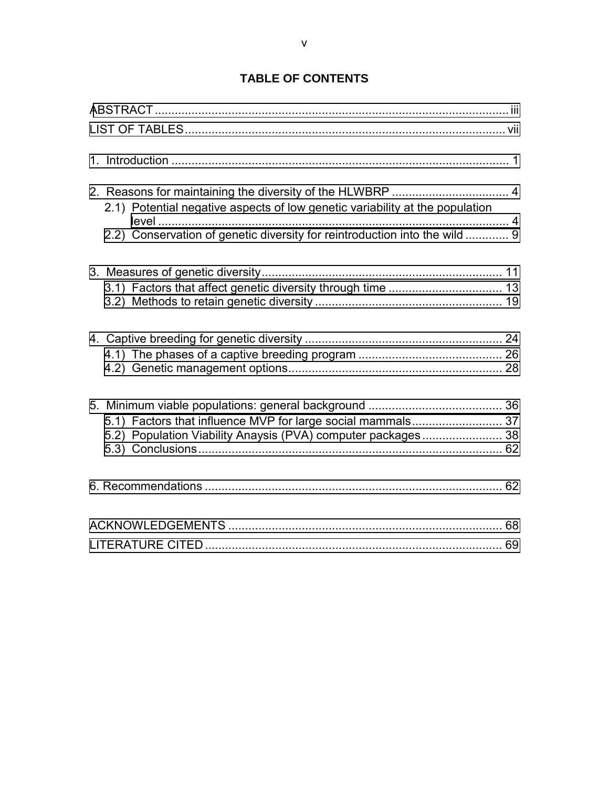# **TABLE OF CONTENTS**

| 2.1) Potential negative aspects of low genetic variability at the population<br>2.2) Conservation of genetic diversity for reintroduction into the wild  9 |  |
|------------------------------------------------------------------------------------------------------------------------------------------------------------|--|
|                                                                                                                                                            |  |
|                                                                                                                                                            |  |
| 5.1) Factors that influence MVP for large social mammals 37<br>5.2) Population Viability Anaysis (PVA) computer packages 38                                |  |
|                                                                                                                                                            |  |
|                                                                                                                                                            |  |
|                                                                                                                                                            |  |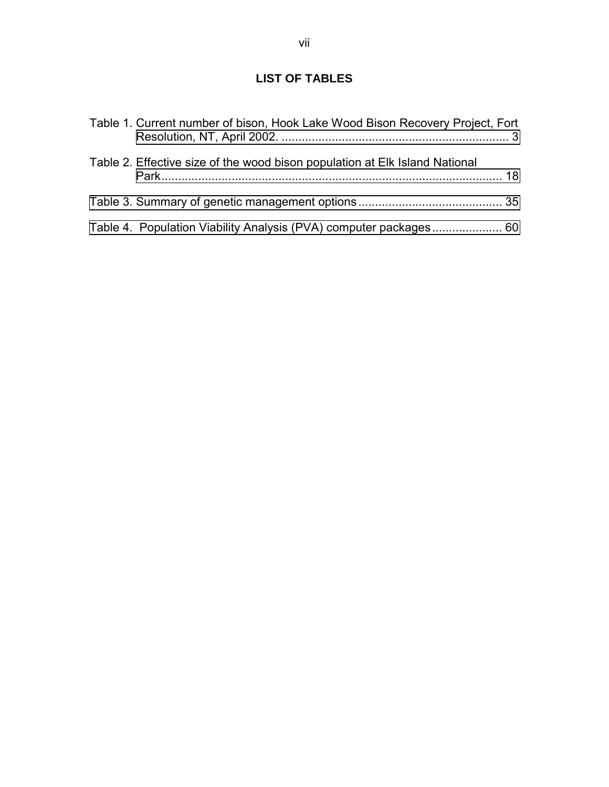# **LIST OF TABLES**

<span id="page-4-0"></span>

| Table 1. Current number of bison, Hook Lake Wood Bison Recovery Project, Fort |  |
|-------------------------------------------------------------------------------|--|
| Table 2. Effective size of the wood bison population at Elk Island National   |  |
|                                                                               |  |
| Table 4. Population Viability Analysis (PVA) computer packages 60             |  |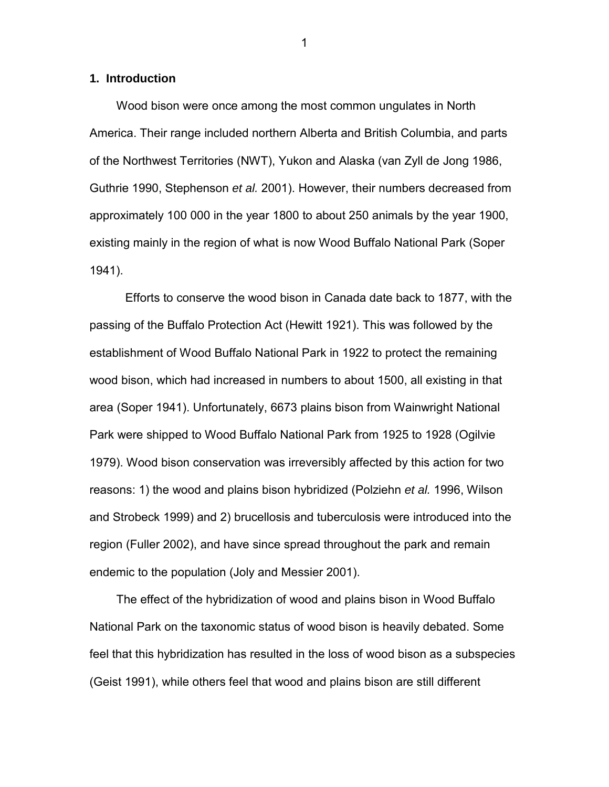# <span id="page-5-0"></span>**1. Introduction**

Wood bison were once among the most common ungulates in North America. Their range included northern Alberta and British Columbia, and parts of the Northwest Territories (NWT), Yukon and Alaska (van Zyll de Jong 1986, Guthrie 1990, Stephenson *et al.* 2001). However, their numbers decreased from approximately 100 000 in the year 1800 to about 250 animals by the year 1900, existing mainly in the region of what is now Wood Buffalo National Park (Soper 1941).

 Efforts to conserve the wood bison in Canada date back to 1877, with the passing of the Buffalo Protection Act (Hewitt 1921). This was followed by the establishment of Wood Buffalo National Park in 1922 to protect the remaining wood bison, which had increased in numbers to about 1500, all existing in that area (Soper 1941). Unfortunately, 6673 plains bison from Wainwright National Park were shipped to Wood Buffalo National Park from 1925 to 1928 (Ogilvie 1979). Wood bison conservation was irreversibly affected by this action for two reasons: 1) the wood and plains bison hybridized (Polziehn *et al.* 1996, Wilson and Strobeck 1999) and 2) brucellosis and tuberculosis were introduced into the region (Fuller 2002), and have since spread throughout the park and remain endemic to the population (Joly and Messier 2001).

The effect of the hybridization of wood and plains bison in Wood Buffalo National Park on the taxonomic status of wood bison is heavily debated. Some feel that this hybridization has resulted in the loss of wood bison as a subspecies (Geist 1991), while others feel that wood and plains bison are still different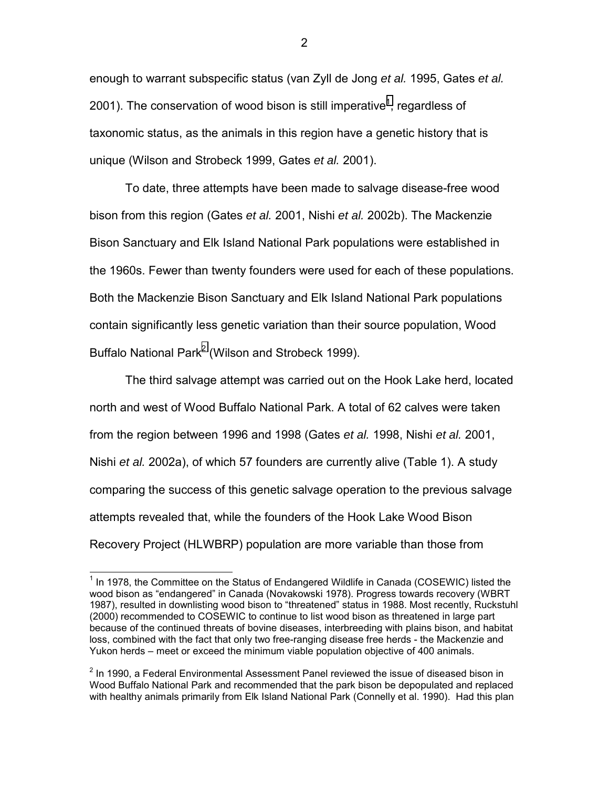enough to warrant subspecific status (van Zyll de Jong *et al.* 1995, Gates *et al.* 2001). The conservation of wood bison is still imperative<sup>1</sup>, regardless of taxonomic status, as the animals in this region have a genetic history that is unique (Wilson and Strobeck 1999, Gates *et al.* 2001).

To date, three attempts have been made to salvage disease-free wood bison from this region (Gates *et al.* 2001, Nishi *et al.* 2002b). The Mackenzie Bison Sanctuary and Elk Island National Park populations were established in the 1960s. Fewer than twenty founders were used for each of these populations. Both the Mackenzie Bison Sanctuary and Elk Island National Park populations contain significantly less genetic variation than their source population, Wood Buffalo National Park<sup>2</sup> (Wilson and Strobeck 1999).

The third salvage attempt was carried out on the Hook Lake herd, located north and west of Wood Buffalo National Park. A total of 62 calves were taken from the region between 1996 and 1998 (Gates *et al.* 1998, Nishi *et al.* 2001, Nishi *et al.* 2002a), of which 57 founders are currently alive (Table 1). A study comparing the success of this genetic salvage operation to the previous salvage attempts revealed that, while the founders of the Hook Lake Wood Bison Recovery Project (HLWBRP) population are more variable than those from

l

 $1$  In 1978, the Committee on the Status of Endangered Wildlife in Canada (COSEWIC) listed the wood bison as "endangered" in Canada (Novakowski 1978). Progress towards recovery (WBRT 1987), resulted in downlisting wood bison to "threatened" status in 1988. Most recently, Ruckstuhl (2000) recommended to COSEWIC to continue to list wood bison as threatened in large part because of the continued threats of bovine diseases, interbreeding with plains bison, and habitat loss, combined with the fact that only two free-ranging disease free herds - the Mackenzie and Yukon herds – meet or exceed the minimum viable population objective of 400 animals.

 $2$  In 1990, a Federal Environmental Assessment Panel reviewed the issue of diseased bison in Wood Buffalo National Park and recommended that the park bison be depopulated and replaced with healthy animals primarily from Elk Island National Park (Connelly et al. 1990). Had this plan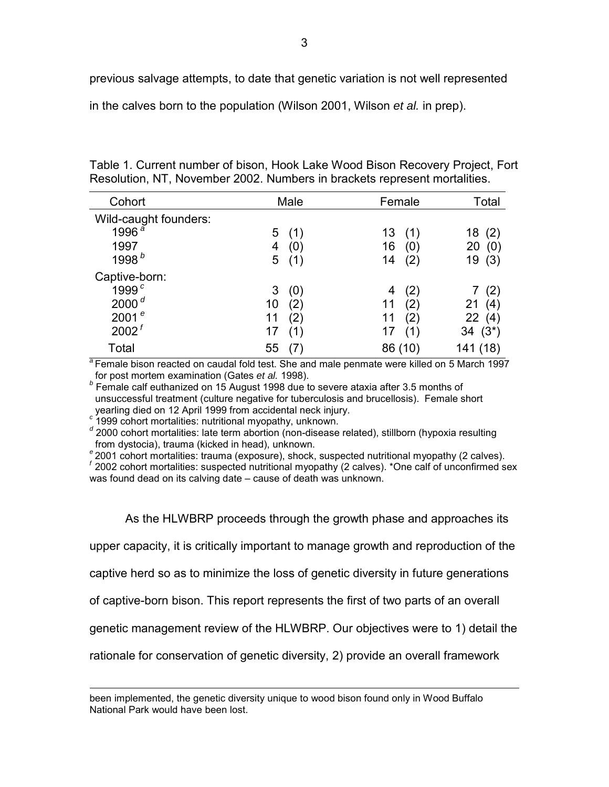<span id="page-7-0"></span>previous salvage attempts, to date that genetic variation is not well represented

in the calves born to the population (Wilson 2001, Wilson *et al.* in prep).

| Cohort                |    | Male | Female    | Total           |
|-----------------------|----|------|-----------|-----------------|
| Wild-caught founders: |    |      |           |                 |
| 1996 <sup>a</sup>     | 5  | (1)  | 13<br>(1) | (2)<br>18       |
| 1997                  | 4  | (0)  | 16<br>(0) | 20<br>(0)       |
| 1998 <sup>b</sup>     | 5  | (1)  | (2)<br>14 | (3)<br>19       |
| Captive-born:         |    |      |           |                 |
| 1999 <sup>c</sup>     | 3  | (0)  | (2)<br>4  | (2)             |
| 2000 $d$              | 10 | (2)  | (2)<br>11 | 21<br>(4)       |
| 2001 $e$              | 11 | (2)  | (2)<br>11 | 22<br>(4)       |
| 2002 <sup>f</sup>     | 17 | (1)  | 17<br>(1) | $(3^{*})$<br>34 |
| Total                 | 55 |      | 86 (10)   | (18)<br>141     |

Table 1. Current number of bison, Hook Lake Wood Bison Recovery Project, Fort Resolution, NT, November 2002. Numbers in brackets represent mortalities.

<sup>a</sup>Female bison reacted on caudal fold test. She and male penmate were killed on 5 March 1997 for post mortem examination (Gates *et al.* 1998). *<sup>b</sup>*

 Female calf euthanized on 15 August 1998 due to severe ataxia after 3.5 months of unsuccessful treatment (culture negative for tuberculosis and brucellosis). Female short

yearling died on 12 April 1999 from accidental neck injury. *c* 1999 cohort mortalities: nutritional myopathy, unknown.

 $\overline{a}$ 

<sup>d</sup> 2000 cohort mortalities: late term abortion (non-disease related), stillborn (hypoxia resulting from dystocia), trauma (kicked in head), unknown.

*<sup>e</sup>*2001 cohort mortalities: trauma (exposure), shock, suspected nutritional myopathy (2 calves).

*<sup>f</sup>*2002 cohort mortalities: suspected nutritional myopathy (2 calves). \*One calf of unconfirmed sex was found dead on its calving date – cause of death was unknown.

As the HLWBRP proceeds through the growth phase and approaches its

upper capacity, it is critically important to manage growth and reproduction of the

captive herd so as to minimize the loss of genetic diversity in future generations

of captive-born bison. This report represents the first of two parts of an overall

genetic management review of the HLWBRP. Our objectives were to 1) detail the

rationale for conservation of genetic diversity, 2) provide an overall framework

been implemented, the genetic diversity unique to wood bison found only in Wood Buffalo National Park would have been lost.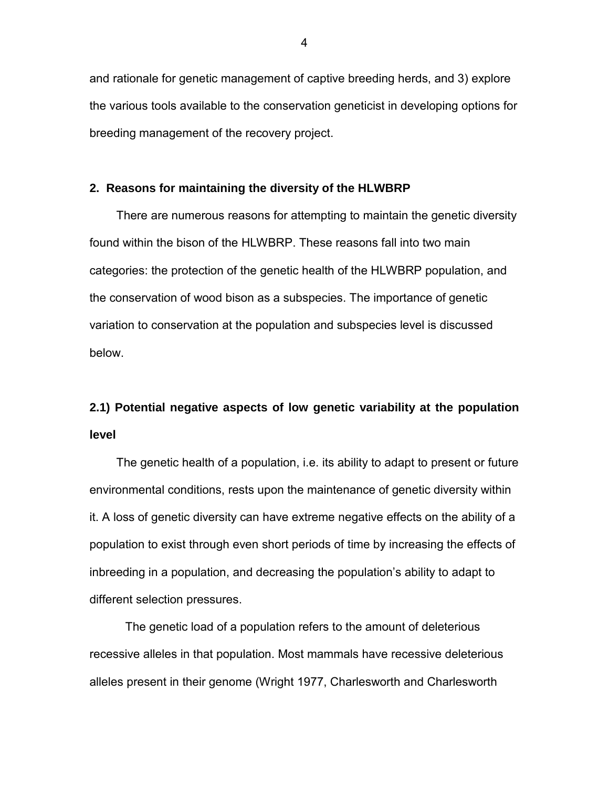<span id="page-8-0"></span>and rationale for genetic management of captive breeding herds, and 3) explore the various tools available to the conservation geneticist in developing options for breeding management of the recovery project.

#### **2. Reasons for maintaining the diversity of the HLWBRP**

There are numerous reasons for attempting to maintain the genetic diversity found within the bison of the HLWBRP. These reasons fall into two main categories: the protection of the genetic health of the HLWBRP population, and the conservation of wood bison as a subspecies. The importance of genetic variation to conservation at the population and subspecies level is discussed below.

# **2.1) Potential negative aspects of low genetic variability at the population level**

The genetic health of a population, i.e. its ability to adapt to present or future environmental conditions, rests upon the maintenance of genetic diversity within it. A loss of genetic diversity can have extreme negative effects on the ability of a population to exist through even short periods of time by increasing the effects of inbreeding in a population, and decreasing the population's ability to adapt to different selection pressures.

 The genetic load of a population refers to the amount of deleterious recessive alleles in that population. Most mammals have recessive deleterious alleles present in their genome (Wright 1977, Charlesworth and Charlesworth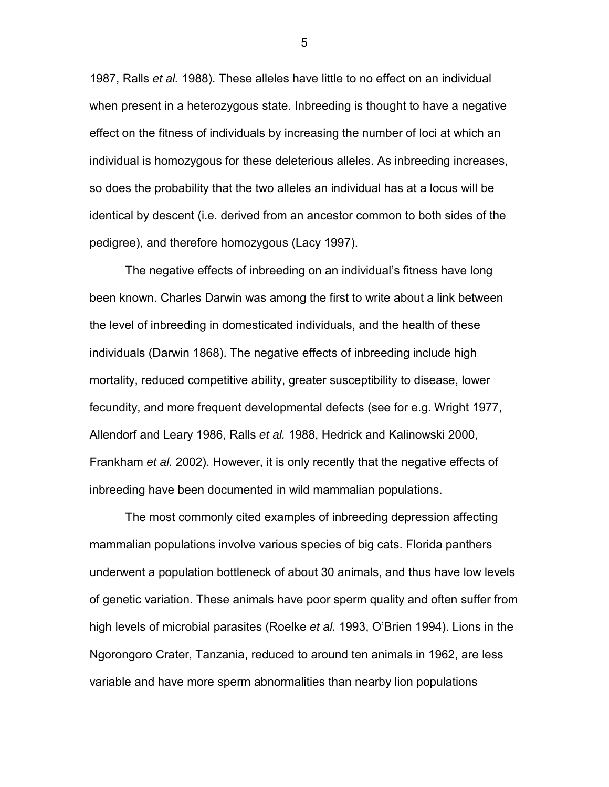1987, Ralls *et al.* 1988). These alleles have little to no effect on an individual when present in a heterozygous state. Inbreeding is thought to have a negative effect on the fitness of individuals by increasing the number of loci at which an individual is homozygous for these deleterious alleles. As inbreeding increases, so does the probability that the two alleles an individual has at a locus will be identical by descent (i.e. derived from an ancestor common to both sides of the pedigree), and therefore homozygous (Lacy 1997).

 The negative effects of inbreeding on an individual's fitness have long been known. Charles Darwin was among the first to write about a link between the level of inbreeding in domesticated individuals, and the health of these individuals (Darwin 1868). The negative effects of inbreeding include high mortality, reduced competitive ability, greater susceptibility to disease, lower fecundity, and more frequent developmental defects (see for e.g. Wright 1977, Allendorf and Leary 1986, Ralls *et al.* 1988, Hedrick and Kalinowski 2000, Frankham *et al.* 2002). However, it is only recently that the negative effects of inbreeding have been documented in wild mammalian populations.

The most commonly cited examples of inbreeding depression affecting mammalian populations involve various species of big cats. Florida panthers underwent a population bottleneck of about 30 animals, and thus have low levels of genetic variation. These animals have poor sperm quality and often suffer from high levels of microbial parasites (Roelke *et al.* 1993, O'Brien 1994). Lions in the Ngorongoro Crater, Tanzania, reduced to around ten animals in 1962, are less variable and have more sperm abnormalities than nearby lion populations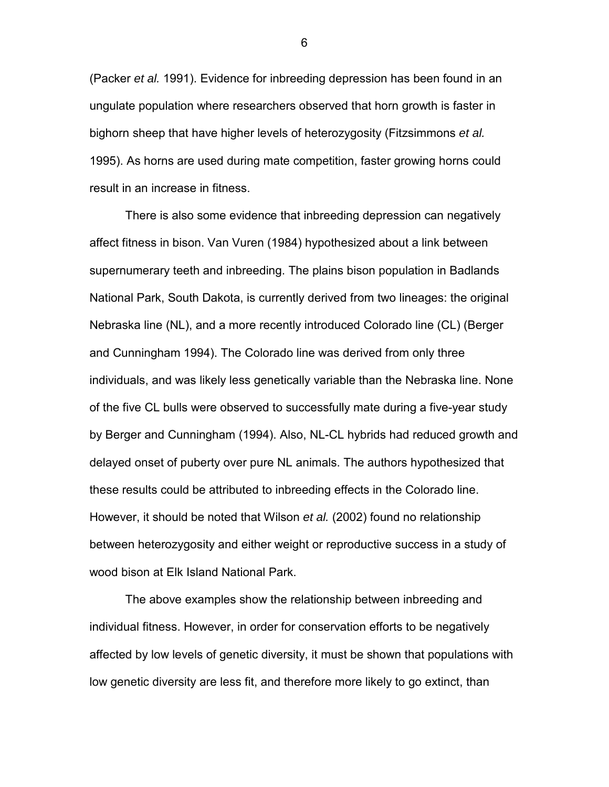(Packer *et al.* 1991). Evidence for inbreeding depression has been found in an ungulate population where researchers observed that horn growth is faster in bighorn sheep that have higher levels of heterozygosity (Fitzsimmons *et al.* 1995). As horns are used during mate competition, faster growing horns could result in an increase in fitness.

There is also some evidence that inbreeding depression can negatively affect fitness in bison. Van Vuren (1984) hypothesized about a link between supernumerary teeth and inbreeding. The plains bison population in Badlands National Park, South Dakota, is currently derived from two lineages: the original Nebraska line (NL), and a more recently introduced Colorado line (CL) (Berger and Cunningham 1994). The Colorado line was derived from only three individuals, and was likely less genetically variable than the Nebraska line. None of the five CL bulls were observed to successfully mate during a five-year study by Berger and Cunningham (1994). Also, NL-CL hybrids had reduced growth and delayed onset of puberty over pure NL animals. The authors hypothesized that these results could be attributed to inbreeding effects in the Colorado line. However, it should be noted that Wilson *et al.* (2002) found no relationship between heterozygosity and either weight or reproductive success in a study of wood bison at Elk Island National Park.

 The above examples show the relationship between inbreeding and individual fitness. However, in order for conservation efforts to be negatively affected by low levels of genetic diversity, it must be shown that populations with low genetic diversity are less fit, and therefore more likely to go extinct, than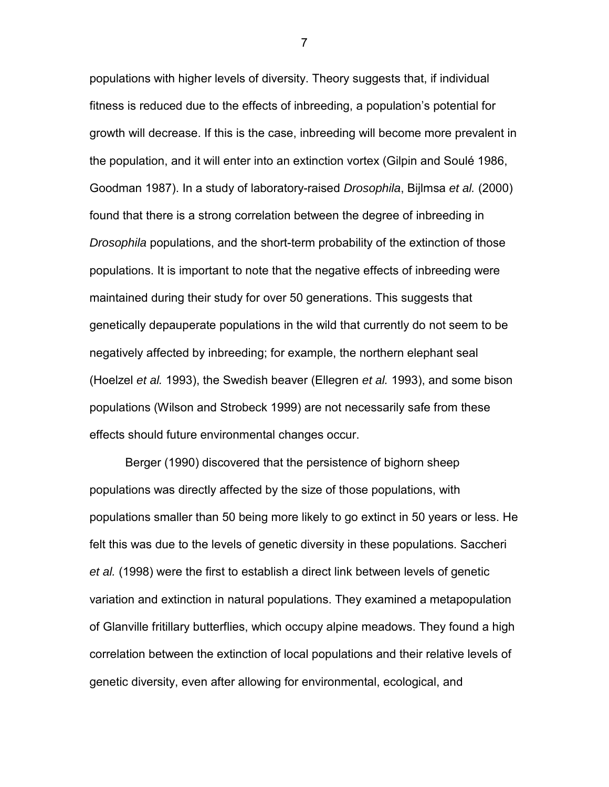populations with higher levels of diversity. Theory suggests that, if individual fitness is reduced due to the effects of inbreeding, a population's potential for growth will decrease. If this is the case, inbreeding will become more prevalent in the population, and it will enter into an extinction vortex (Gilpin and Soulé 1986, Goodman 1987). In a study of laboratory-raised *Drosophila*, Bijlmsa *et al.* (2000) found that there is a strong correlation between the degree of inbreeding in *Drosophila* populations, and the short-term probability of the extinction of those populations. It is important to note that the negative effects of inbreeding were maintained during their study for over 50 generations. This suggests that genetically depauperate populations in the wild that currently do not seem to be negatively affected by inbreeding; for example, the northern elephant seal (Hoelzel *et al.* 1993), the Swedish beaver (Ellegren *et al.* 1993), and some bison populations (Wilson and Strobeck 1999) are not necessarily safe from these effects should future environmental changes occur.

 Berger (1990) discovered that the persistence of bighorn sheep populations was directly affected by the size of those populations, with populations smaller than 50 being more likely to go extinct in 50 years or less. He felt this was due to the levels of genetic diversity in these populations. Saccheri *et al.* (1998) were the first to establish a direct link between levels of genetic variation and extinction in natural populations. They examined a metapopulation of Glanville fritillary butterflies, which occupy alpine meadows. They found a high correlation between the extinction of local populations and their relative levels of genetic diversity, even after allowing for environmental, ecological, and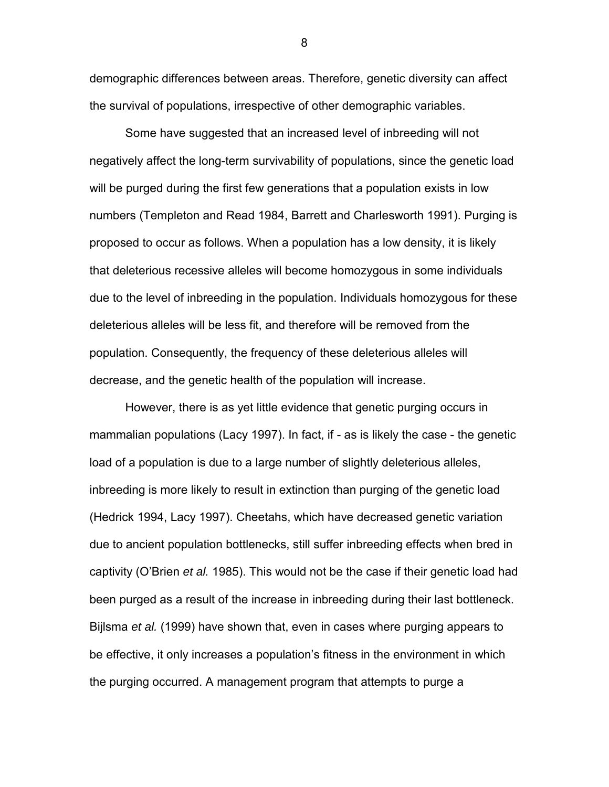demographic differences between areas. Therefore, genetic diversity can affect the survival of populations, irrespective of other demographic variables.

 Some have suggested that an increased level of inbreeding will not negatively affect the long-term survivability of populations, since the genetic load will be purged during the first few generations that a population exists in low numbers (Templeton and Read 1984, Barrett and Charlesworth 1991). Purging is proposed to occur as follows. When a population has a low density, it is likely that deleterious recessive alleles will become homozygous in some individuals due to the level of inbreeding in the population. Individuals homozygous for these deleterious alleles will be less fit, and therefore will be removed from the population. Consequently, the frequency of these deleterious alleles will decrease, and the genetic health of the population will increase.

However, there is as yet little evidence that genetic purging occurs in mammalian populations (Lacy 1997). In fact, if - as is likely the case - the genetic load of a population is due to a large number of slightly deleterious alleles, inbreeding is more likely to result in extinction than purging of the genetic load (Hedrick 1994, Lacy 1997). Cheetahs, which have decreased genetic variation due to ancient population bottlenecks, still suffer inbreeding effects when bred in captivity (O'Brien *et al.* 1985). This would not be the case if their genetic load had been purged as a result of the increase in inbreeding during their last bottleneck. Bijlsma *et al.* (1999) have shown that, even in cases where purging appears to be effective, it only increases a population's fitness in the environment in which the purging occurred. A management program that attempts to purge a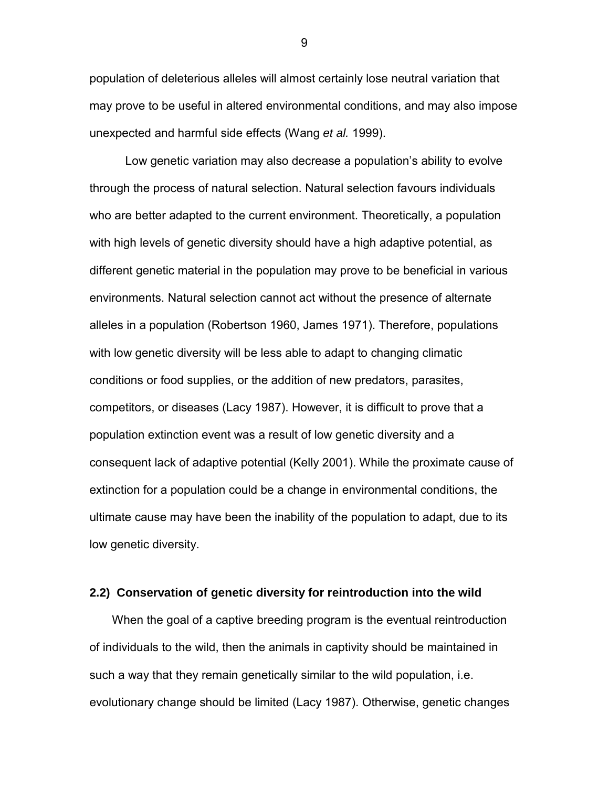<span id="page-13-0"></span>population of deleterious alleles will almost certainly lose neutral variation that may prove to be useful in altered environmental conditions, and may also impose unexpected and harmful side effects (Wang *et al.* 1999).

 Low genetic variation may also decrease a population's ability to evolve through the process of natural selection. Natural selection favours individuals who are better adapted to the current environment. Theoretically, a population with high levels of genetic diversity should have a high adaptive potential, as different genetic material in the population may prove to be beneficial in various environments. Natural selection cannot act without the presence of alternate alleles in a population (Robertson 1960, James 1971). Therefore, populations with low genetic diversity will be less able to adapt to changing climatic conditions or food supplies, or the addition of new predators, parasites, competitors, or diseases (Lacy 1987). However, it is difficult to prove that a population extinction event was a result of low genetic diversity and a consequent lack of adaptive potential (Kelly 2001). While the proximate cause of extinction for a population could be a change in environmental conditions, the ultimate cause may have been the inability of the population to adapt, due to its low genetic diversity.

# **2.2) Conservation of genetic diversity for reintroduction into the wild**

When the goal of a captive breeding program is the eventual reintroduction of individuals to the wild, then the animals in captivity should be maintained in such a way that they remain genetically similar to the wild population, i.e. evolutionary change should be limited (Lacy 1987). Otherwise, genetic changes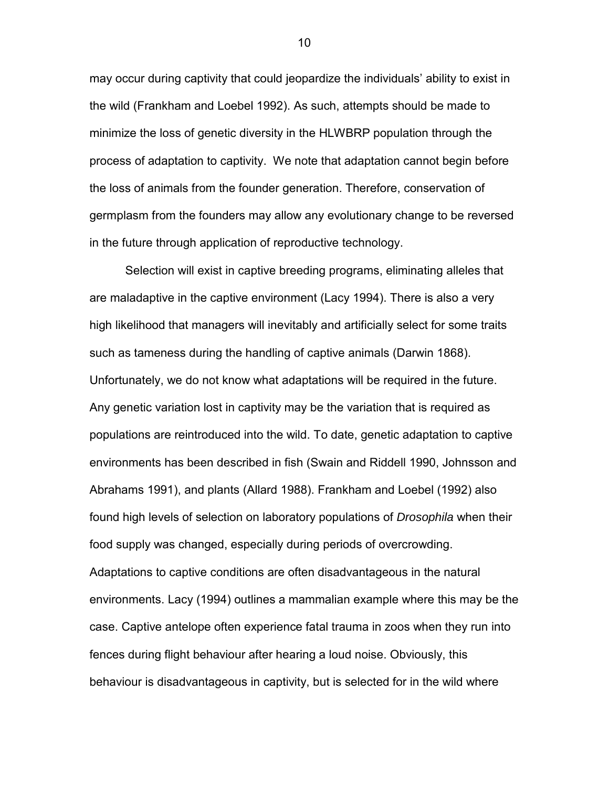may occur during captivity that could jeopardize the individuals' ability to exist in the wild (Frankham and Loebel 1992). As such, attempts should be made to minimize the loss of genetic diversity in the HLWBRP population through the process of adaptation to captivity. We note that adaptation cannot begin before the loss of animals from the founder generation. Therefore, conservation of germplasm from the founders may allow any evolutionary change to be reversed in the future through application of reproductive technology.

 Selection will exist in captive breeding programs, eliminating alleles that are maladaptive in the captive environment (Lacy 1994). There is also a very high likelihood that managers will inevitably and artificially select for some traits such as tameness during the handling of captive animals (Darwin 1868). Unfortunately, we do not know what adaptations will be required in the future. Any genetic variation lost in captivity may be the variation that is required as populations are reintroduced into the wild. To date, genetic adaptation to captive environments has been described in fish (Swain and Riddell 1990, Johnsson and Abrahams 1991), and plants (Allard 1988). Frankham and Loebel (1992) also found high levels of selection on laboratory populations of *Drosophila* when their food supply was changed, especially during periods of overcrowding. Adaptations to captive conditions are often disadvantageous in the natural environments. Lacy (1994) outlines a mammalian example where this may be the case. Captive antelope often experience fatal trauma in zoos when they run into fences during flight behaviour after hearing a loud noise. Obviously, this behaviour is disadvantageous in captivity, but is selected for in the wild where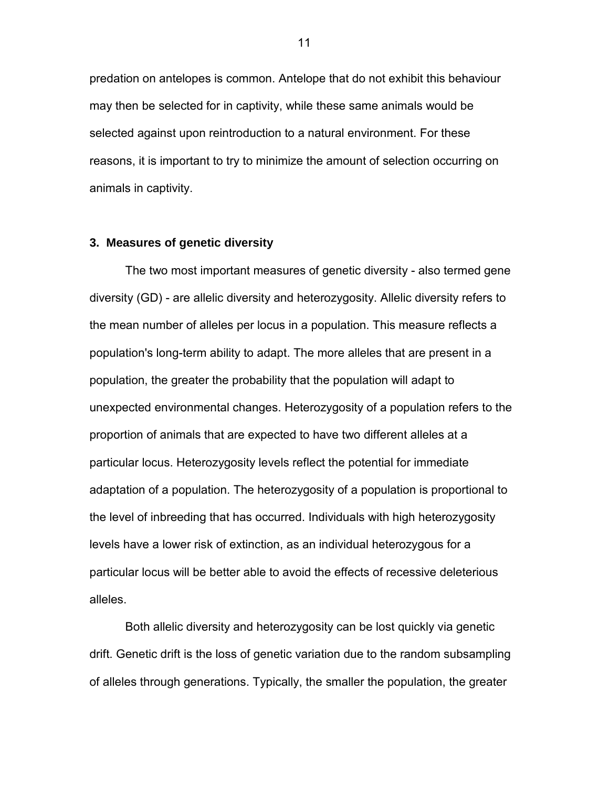<span id="page-15-0"></span>predation on antelopes is common. Antelope that do not exhibit this behaviour may then be selected for in captivity, while these same animals would be selected against upon reintroduction to a natural environment. For these reasons, it is important to try to minimize the amount of selection occurring on animals in captivity.

#### **3. Measures of genetic diversity**

The two most important measures of genetic diversity - also termed gene diversity (GD) - are allelic diversity and heterozygosity. Allelic diversity refers to the mean number of alleles per locus in a population. This measure reflects a population's long-term ability to adapt. The more alleles that are present in a population, the greater the probability that the population will adapt to unexpected environmental changes. Heterozygosity of a population refers to the proportion of animals that are expected to have two different alleles at a particular locus. Heterozygosity levels reflect the potential for immediate adaptation of a population. The heterozygosity of a population is proportional to the level of inbreeding that has occurred. Individuals with high heterozygosity levels have a lower risk of extinction, as an individual heterozygous for a particular locus will be better able to avoid the effects of recessive deleterious alleles.

Both allelic diversity and heterozygosity can be lost quickly via genetic drift. Genetic drift is the loss of genetic variation due to the random subsampling of alleles through generations. Typically, the smaller the population, the greater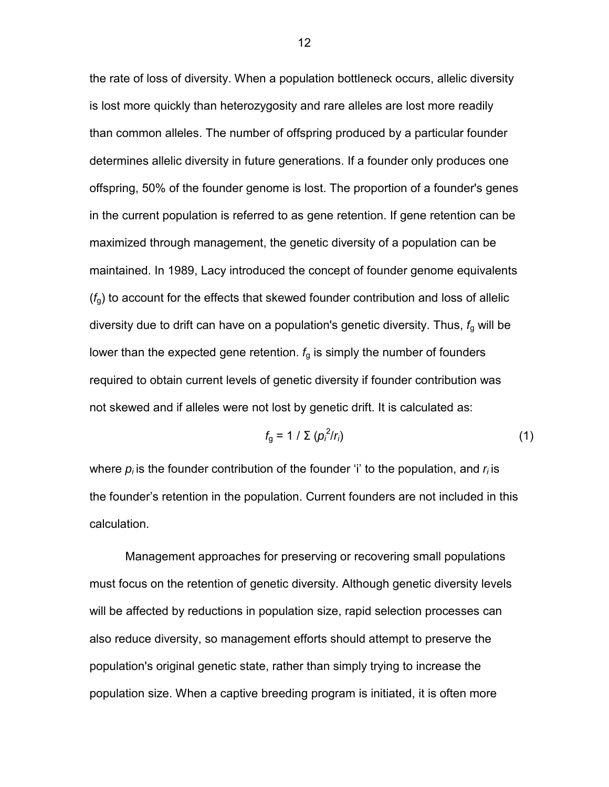the rate of loss of diversity. When a population bottleneck occurs, allelic diversity is lost more quickly than heterozygosity and rare alleles are lost more readily than common alleles. The number of offspring produced by a particular founder determines allelic diversity in future generations. If a founder only produces one offspring, 50% of the founder genome is lost. The proportion of a founder's genes in the current population is referred to as gene retention. If gene retention can be maximized through management, the genetic diversity of a population can be maintained. In 1989, Lacy introduced the concept of founder genome equivalents (*f*g) to account for the effects that skewed founder contribution and loss of allelic diversity due to drift can have on a population's genetic diversity. Thus, *f*g will be lower than the expected gene retention.  $f<sub>g</sub>$  is simply the number of founders required to obtain current levels of genetic diversity if founder contribution was not skewed and if alleles were not lost by genetic drift. It is calculated as:

$$
f_{\rm g} = 1 / \sum (\rho_i^2 / r_i) \tag{1}
$$

where  $p_i$  is the founder contribution of the founder 'i' to the population, and  $r_i$  is the founder's retention in the population. Current founders are not included in this calculation.

Management approaches for preserving or recovering small populations must focus on the retention of genetic diversity. Although genetic diversity levels will be affected by reductions in population size, rapid selection processes can also reduce diversity, so management efforts should attempt to preserve the population's original genetic state, rather than simply trying to increase the population size. When a captive breeding program is initiated, it is often more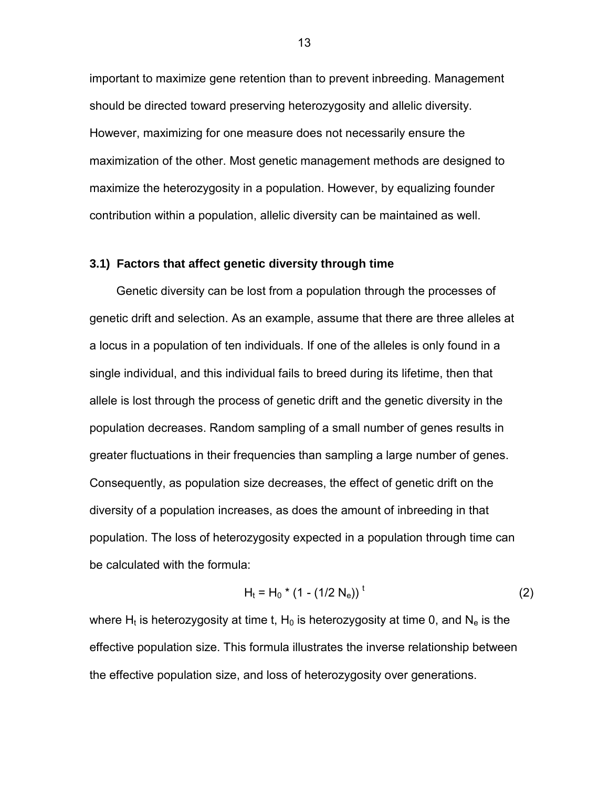<span id="page-17-0"></span>important to maximize gene retention than to prevent inbreeding. Management should be directed toward preserving heterozygosity and allelic diversity. However, maximizing for one measure does not necessarily ensure the maximization of the other. Most genetic management methods are designed to maximize the heterozygosity in a population. However, by equalizing founder contribution within a population, allelic diversity can be maintained as well.

# **3.1) Factors that affect genetic diversity through time**

Genetic diversity can be lost from a population through the processes of genetic drift and selection. As an example, assume that there are three alleles at a locus in a population of ten individuals. If one of the alleles is only found in a single individual, and this individual fails to breed during its lifetime, then that allele is lost through the process of genetic drift and the genetic diversity in the population decreases. Random sampling of a small number of genes results in greater fluctuations in their frequencies than sampling a large number of genes. Consequently, as population size decreases, the effect of genetic drift on the diversity of a population increases, as does the amount of inbreeding in that population. The loss of heterozygosity expected in a population through time can be calculated with the formula:

$$
H_t = H_0 * (1 - (1/2 N_e))
$$
<sup>t</sup> (2)

where H<sub>t</sub> is heterozygosity at time t, H<sub>0</sub> is heterozygosity at time 0, and N<sub>e</sub> is the effective population size. This formula illustrates the inverse relationship between the effective population size, and loss of heterozygosity over generations.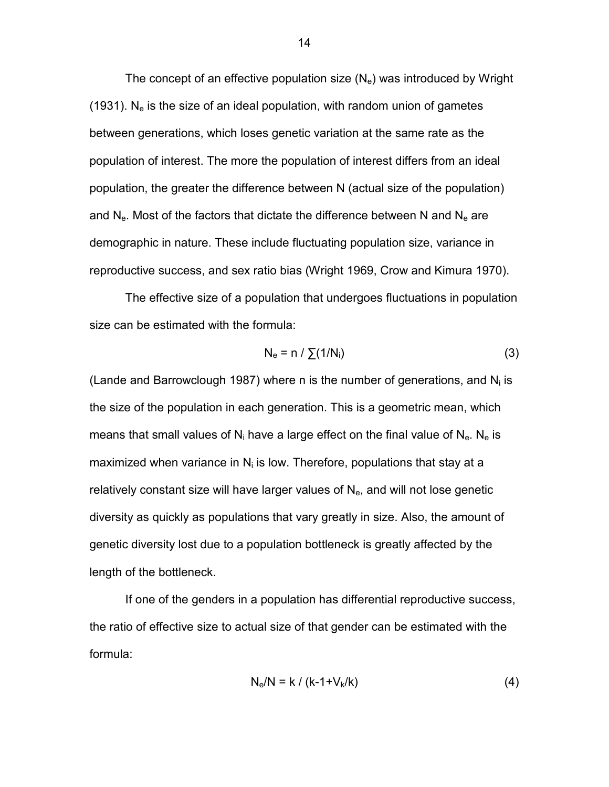The concept of an effective population size  $(N_e)$  was introduced by Wright (1931). N<sub>e</sub> is the size of an ideal population, with random union of gametes between generations, which loses genetic variation at the same rate as the population of interest. The more the population of interest differs from an ideal population, the greater the difference between N (actual size of the population) and  $N_e$ . Most of the factors that dictate the difference between N and  $N_e$  are demographic in nature. These include fluctuating population size, variance in reproductive success, and sex ratio bias (Wright 1969, Crow and Kimura 1970).

 The effective size of a population that undergoes fluctuations in population size can be estimated with the formula:

$$
N_e = n / \sum (1/N_i)
$$
 (3)

(Lande and Barrowclough 1987) where n is the number of generations, and  $N_i$  is the size of the population in each generation. This is a geometric mean, which means that small values of  $N_i$  have a large effect on the final value of  $N_e$ . N<sub>e</sub> is maximized when variance in  $N_i$  is low. Therefore, populations that stay at a relatively constant size will have larger values of  $N_{e}$ , and will not lose genetic diversity as quickly as populations that vary greatly in size. Also, the amount of genetic diversity lost due to a population bottleneck is greatly affected by the length of the bottleneck.

 If one of the genders in a population has differential reproductive success, the ratio of effective size to actual size of that gender can be estimated with the formula:

$$
N_e/N = k / (k-1+V_k/k)
$$
 (4)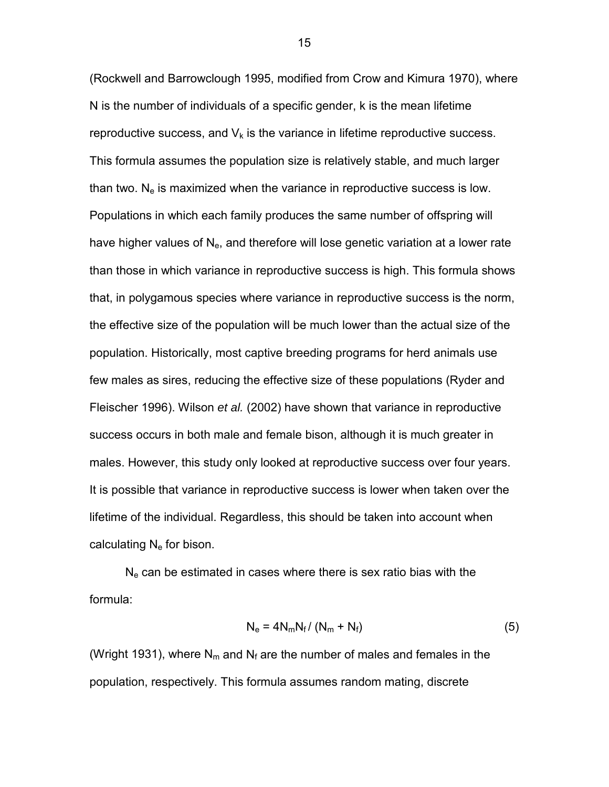(Rockwell and Barrowclough 1995, modified from Crow and Kimura 1970), where N is the number of individuals of a specific gender, k is the mean lifetime reproductive success, and  $V_k$  is the variance in lifetime reproductive success. This formula assumes the population size is relatively stable, and much larger than two.  $N_e$  is maximized when the variance in reproductive success is low. Populations in which each family produces the same number of offspring will have higher values of  $N_e$ , and therefore will lose genetic variation at a lower rate than those in which variance in reproductive success is high. This formula shows that, in polygamous species where variance in reproductive success is the norm, the effective size of the population will be much lower than the actual size of the population. Historically, most captive breeding programs for herd animals use few males as sires, reducing the effective size of these populations (Ryder and Fleischer 1996). Wilson *et al.* (2002) have shown that variance in reproductive success occurs in both male and female bison, although it is much greater in males. However, this study only looked at reproductive success over four years. It is possible that variance in reproductive success is lower when taken over the lifetime of the individual. Regardless, this should be taken into account when calculating  $N_e$  for bison.

 $N_e$  can be estimated in cases where there is sex ratio bias with the formula:

$$
N_e = 4N_mN_f/(N_m + N_f)
$$
 (5)

(Wright 1931), where  $N_m$  and  $N_f$  are the number of males and females in the population, respectively. This formula assumes random mating, discrete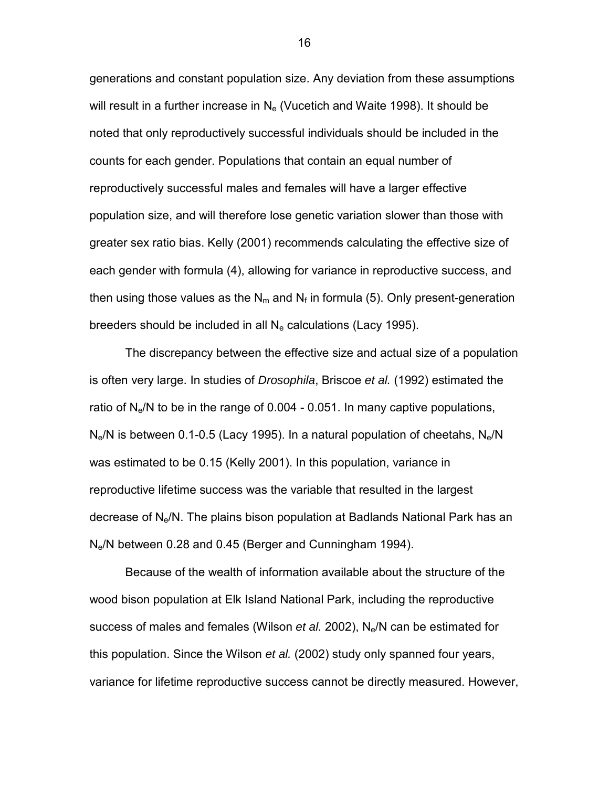generations and constant population size. Any deviation from these assumptions will result in a further increase in  $N_e$  (Vucetich and Waite 1998). It should be noted that only reproductively successful individuals should be included in the counts for each gender. Populations that contain an equal number of reproductively successful males and females will have a larger effective population size, and will therefore lose genetic variation slower than those with greater sex ratio bias. Kelly (2001) recommends calculating the effective size of each gender with formula (4), allowing for variance in reproductive success, and then using those values as the  $N_m$  and  $N_f$  in formula (5). Only present-generation breeders should be included in all  $N_e$  calculations (Lacy 1995).

 The discrepancy between the effective size and actual size of a population is often very large. In studies of *Drosophila*, Briscoe *et al.* (1992) estimated the ratio of  $N_e/N$  to be in the range of 0.004 - 0.051. In many captive populations,  $N_e/N$  is between 0.1-0.5 (Lacy 1995). In a natural population of cheetahs,  $N_e/N$ was estimated to be 0.15 (Kelly 2001). In this population, variance in reproductive lifetime success was the variable that resulted in the largest decrease of Ne/N. The plains bison population at Badlands National Park has an Ne/N between 0.28 and 0.45 (Berger and Cunningham 1994).

Because of the wealth of information available about the structure of the wood bison population at Elk Island National Park, including the reproductive success of males and females (Wilson *et al.* 2002), Ne/N can be estimated for this population. Since the Wilson *et al.* (2002) study only spanned four years, variance for lifetime reproductive success cannot be directly measured. However,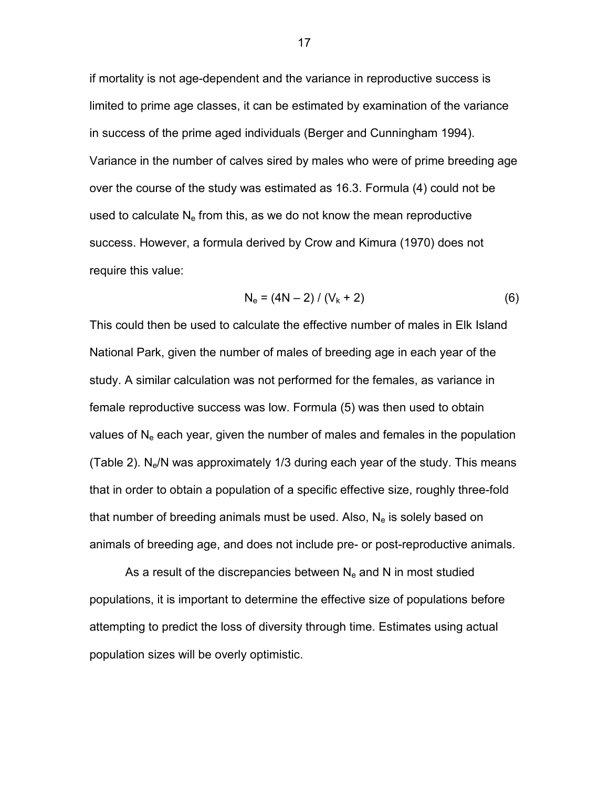if mortality is not age-dependent and the variance in reproductive success is limited to prime age classes, it can be estimated by examination of the variance in success of the prime aged individuals (Berger and Cunningham 1994). Variance in the number of calves sired by males who were of prime breeding age over the course of the study was estimated as 16.3. Formula (4) could not be used to calculate  $N_e$  from this, as we do not know the mean reproductive success. However, a formula derived by Crow and Kimura (1970) does not require this value:

$$
N_e = (4N - 2) / (V_k + 2)
$$
 (6)

This could then be used to calculate the effective number of males in Elk Island National Park, given the number of males of breeding age in each year of the study. A similar calculation was not performed for the females, as variance in female reproductive success was low. Formula (5) was then used to obtain values of  $N_e$  each year, given the number of males and females in the population (Table 2).  $N_e/N$  was approximately 1/3 during each year of the study. This means that in order to obtain a population of a specific effective size, roughly three-fold that number of breeding animals must be used. Also,  $N_e$  is solely based on animals of breeding age, and does not include pre- or post-reproductive animals.

As a result of the discrepancies between  $N_e$  and N in most studied populations, it is important to determine the effective size of populations before attempting to predict the loss of diversity through time. Estimates using actual population sizes will be overly optimistic.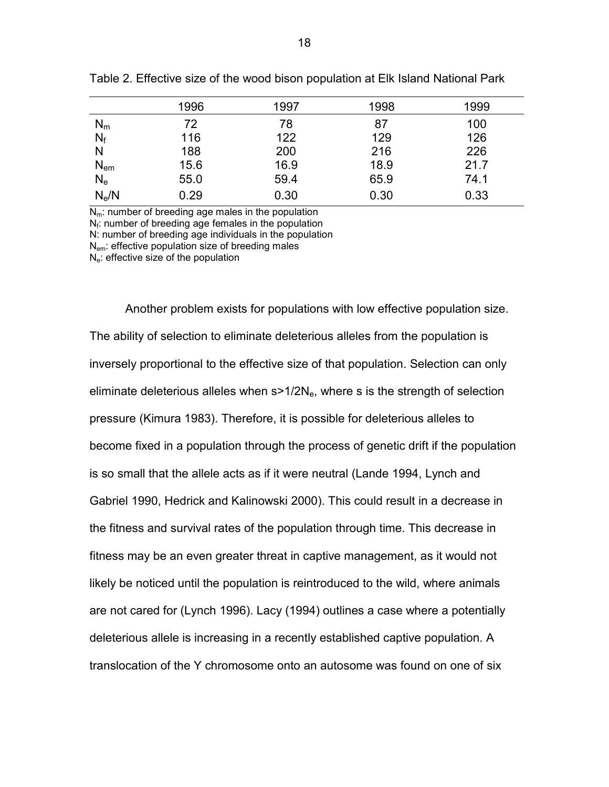| 1996 | 1997 | 1998 | 1999 |
|------|------|------|------|
| 72   | 78   | 87   | 100  |
| 116  | 122  | 129  | 126  |
| 188  | 200  | 216  | 226  |
| 15.6 | 16.9 | 18.9 | 21.7 |
| 55.0 | 59.4 | 65.9 | 74.1 |
| 0.29 | 0.30 | 0.30 | 0.33 |
|      |      |      |      |

<span id="page-22-0"></span>Table 2. Effective size of the wood bison population at Elk Island National Park

 $N<sub>m</sub>$ : number of breeding age males in the population  $N_f$ : number of breeding age females in the population N: number of breeding age individuals in the population

N<sub>em</sub>: effective population size of breeding males

 $N_e$ : effective size of the population

Another problem exists for populations with low effective population size. The ability of selection to eliminate deleterious alleles from the population is inversely proportional to the effective size of that population. Selection can only eliminate deleterious alleles when  $s > 1/2N<sub>e</sub>$ , where s is the strength of selection pressure (Kimura 1983). Therefore, it is possible for deleterious alleles to become fixed in a population through the process of genetic drift if the population is so small that the allele acts as if it were neutral (Lande 1994, Lynch and Gabriel 1990, Hedrick and Kalinowski 2000). This could result in a decrease in the fitness and survival rates of the population through time. This decrease in fitness may be an even greater threat in captive management, as it would not likely be noticed until the population is reintroduced to the wild, where animals are not cared for (Lynch 1996). Lacy (1994) outlines a case where a potentially deleterious allele is increasing in a recently established captive population. A translocation of the Y chromosome onto an autosome was found on one of six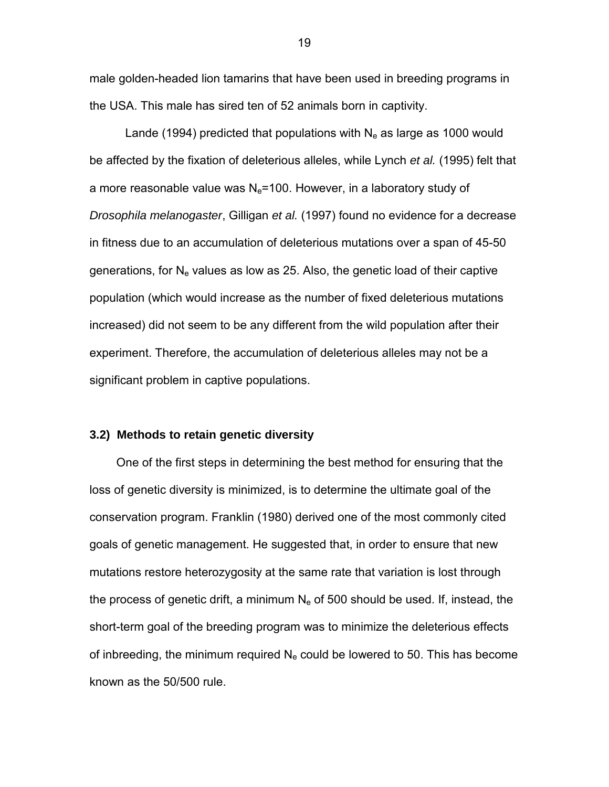<span id="page-23-0"></span>male golden-headed lion tamarins that have been used in breeding programs in the USA. This male has sired ten of 52 animals born in captivity.

Lande (1994) predicted that populations with  $N_e$  as large as 1000 would be affected by the fixation of deleterious alleles, while Lynch *et al.* (1995) felt that a more reasonable value was  $N_e$ =100. However, in a laboratory study of *Drosophila melanogaster*, Gilligan *et al.* (1997) found no evidence for a decrease in fitness due to an accumulation of deleterious mutations over a span of 45-50 generations, for  $N_e$  values as low as 25. Also, the genetic load of their captive population (which would increase as the number of fixed deleterious mutations increased) did not seem to be any different from the wild population after their experiment. Therefore, the accumulation of deleterious alleles may not be a significant problem in captive populations.

### **3.2) Methods to retain genetic diversity**

One of the first steps in determining the best method for ensuring that the loss of genetic diversity is minimized, is to determine the ultimate goal of the conservation program. Franklin (1980) derived one of the most commonly cited goals of genetic management. He suggested that, in order to ensure that new mutations restore heterozygosity at the same rate that variation is lost through the process of genetic drift, a minimum  $N_e$  of 500 should be used. If, instead, the short-term goal of the breeding program was to minimize the deleterious effects of inbreeding, the minimum required  $N_e$  could be lowered to 50. This has become known as the 50/500 rule.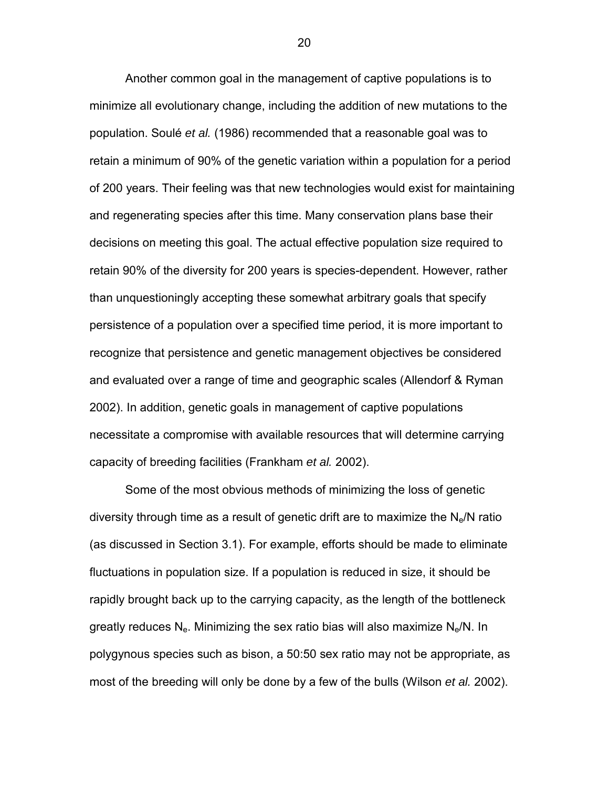Another common goal in the management of captive populations is to minimize all evolutionary change, including the addition of new mutations to the population. Soulé *et al.* (1986) recommended that a reasonable goal was to retain a minimum of 90% of the genetic variation within a population for a period of 200 years. Their feeling was that new technologies would exist for maintaining and regenerating species after this time. Many conservation plans base their decisions on meeting this goal. The actual effective population size required to retain 90% of the diversity for 200 years is species-dependent. However, rather than unquestioningly accepting these somewhat arbitrary goals that specify persistence of a population over a specified time period, it is more important to recognize that persistence and genetic management objectives be considered and evaluated over a range of time and geographic scales (Allendorf & Ryman 2002). In addition, genetic goals in management of captive populations necessitate a compromise with available resources that will determine carrying capacity of breeding facilities (Frankham *et al.* 2002).

 Some of the most obvious methods of minimizing the loss of genetic diversity through time as a result of genetic drift are to maximize the  $N_e/N$  ratio (as discussed in Section 3.1). For example, efforts should be made to eliminate fluctuations in population size. If a population is reduced in size, it should be rapidly brought back up to the carrying capacity, as the length of the bottleneck greatly reduces  $N_e$ . Minimizing the sex ratio bias will also maximize  $N_e/N$ . In polygynous species such as bison, a 50:50 sex ratio may not be appropriate, as most of the breeding will only be done by a few of the bulls (Wilson *et al.* 2002).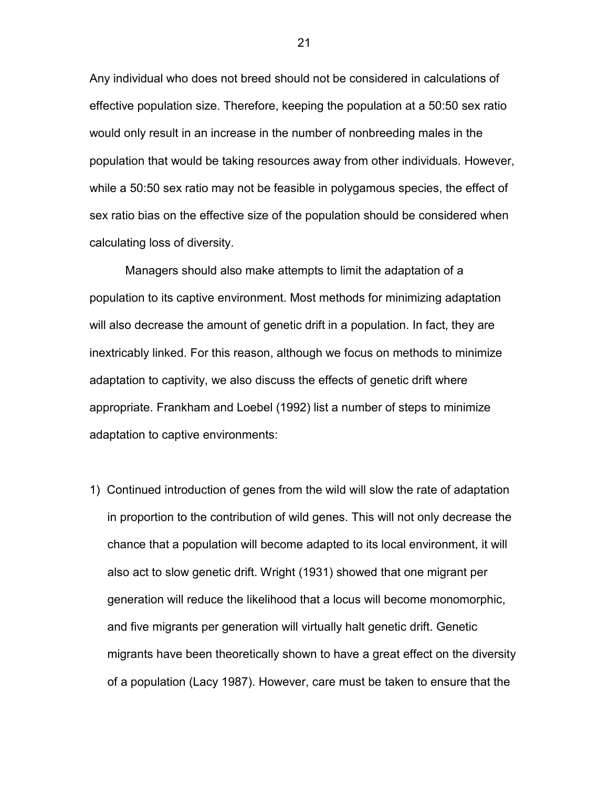Any individual who does not breed should not be considered in calculations of effective population size. Therefore, keeping the population at a 50:50 sex ratio would only result in an increase in the number of nonbreeding males in the population that would be taking resources away from other individuals. However, while a 50:50 sex ratio may not be feasible in polygamous species, the effect of sex ratio bias on the effective size of the population should be considered when calculating loss of diversity.

 Managers should also make attempts to limit the adaptation of a population to its captive environment. Most methods for minimizing adaptation will also decrease the amount of genetic drift in a population. In fact, they are inextricably linked. For this reason, although we focus on methods to minimize adaptation to captivity, we also discuss the effects of genetic drift where appropriate. Frankham and Loebel (1992) list a number of steps to minimize adaptation to captive environments:

1) Continued introduction of genes from the wild will slow the rate of adaptation in proportion to the contribution of wild genes. This will not only decrease the chance that a population will become adapted to its local environment, it will also act to slow genetic drift. Wright (1931) showed that one migrant per generation will reduce the likelihood that a locus will become monomorphic, and five migrants per generation will virtually halt genetic drift. Genetic migrants have been theoretically shown to have a great effect on the diversity of a population (Lacy 1987). However, care must be taken to ensure that the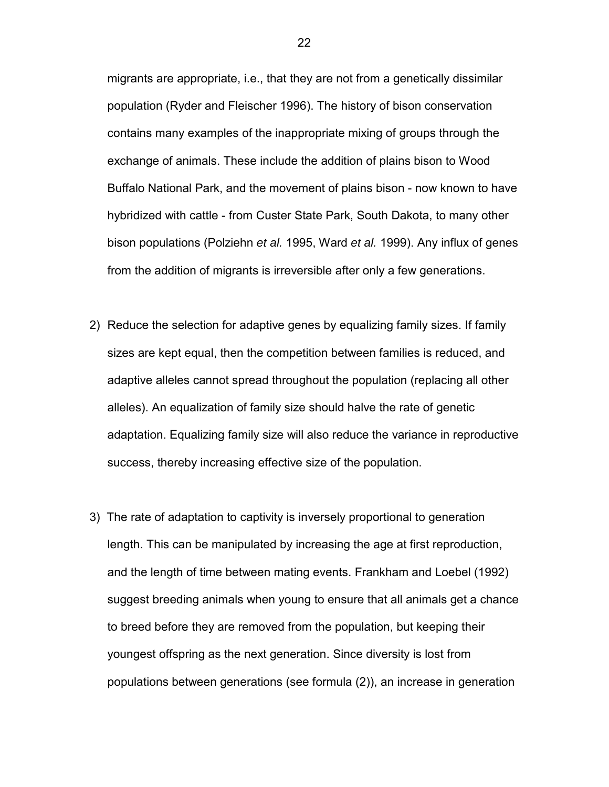migrants are appropriate, i.e., that they are not from a genetically dissimilar population (Ryder and Fleischer 1996). The history of bison conservation contains many examples of the inappropriate mixing of groups through the exchange of animals. These include the addition of plains bison to Wood Buffalo National Park, and the movement of plains bison - now known to have hybridized with cattle - from Custer State Park, South Dakota, to many other bison populations (Polziehn *et al.* 1995, Ward *et al.* 1999). Any influx of genes from the addition of migrants is irreversible after only a few generations.

- 2) Reduce the selection for adaptive genes by equalizing family sizes. If family sizes are kept equal, then the competition between families is reduced, and adaptive alleles cannot spread throughout the population (replacing all other alleles). An equalization of family size should halve the rate of genetic adaptation. Equalizing family size will also reduce the variance in reproductive success, thereby increasing effective size of the population.
- 3) The rate of adaptation to captivity is inversely proportional to generation length. This can be manipulated by increasing the age at first reproduction, and the length of time between mating events. Frankham and Loebel (1992) suggest breeding animals when young to ensure that all animals get a chance to breed before they are removed from the population, but keeping their youngest offspring as the next generation. Since diversity is lost from populations between generations (see formula (2)), an increase in generation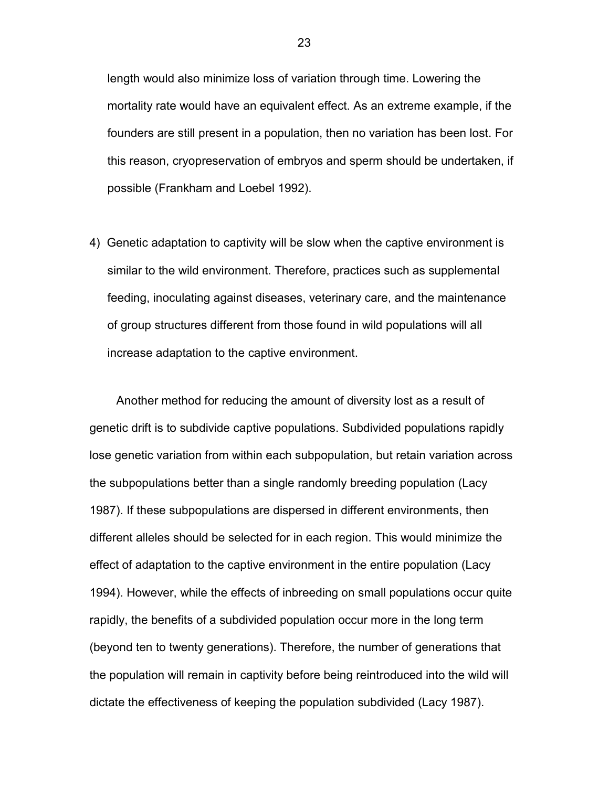length would also minimize loss of variation through time. Lowering the mortality rate would have an equivalent effect. As an extreme example, if the founders are still present in a population, then no variation has been lost. For this reason, cryopreservation of embryos and sperm should be undertaken, if possible (Frankham and Loebel 1992).

4) Genetic adaptation to captivity will be slow when the captive environment is similar to the wild environment. Therefore, practices such as supplemental feeding, inoculating against diseases, veterinary care, and the maintenance of group structures different from those found in wild populations will all increase adaptation to the captive environment.

Another method for reducing the amount of diversity lost as a result of genetic drift is to subdivide captive populations. Subdivided populations rapidly lose genetic variation from within each subpopulation, but retain variation across the subpopulations better than a single randomly breeding population (Lacy 1987). If these subpopulations are dispersed in different environments, then different alleles should be selected for in each region. This would minimize the effect of adaptation to the captive environment in the entire population (Lacy 1994). However, while the effects of inbreeding on small populations occur quite rapidly, the benefits of a subdivided population occur more in the long term (beyond ten to twenty generations). Therefore, the number of generations that the population will remain in captivity before being reintroduced into the wild will dictate the effectiveness of keeping the population subdivided (Lacy 1987).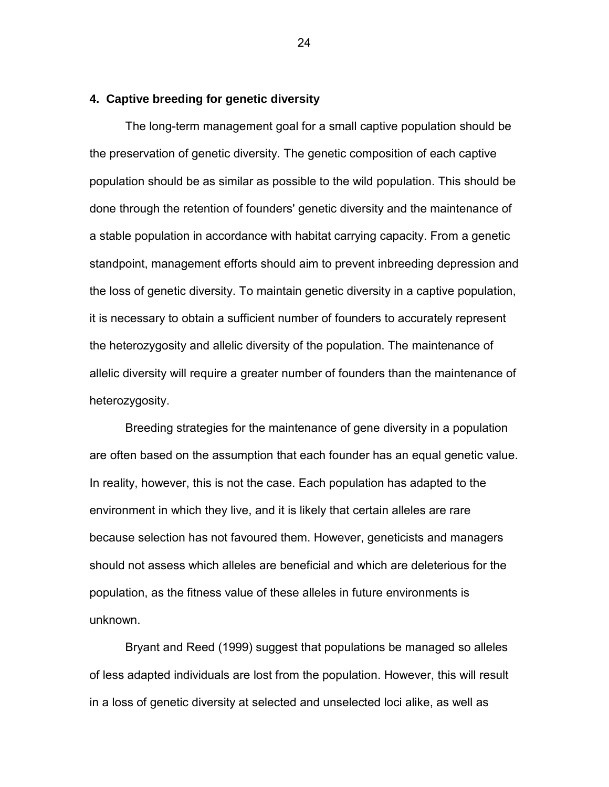#### <span id="page-28-0"></span>**4. Captive breeding for genetic diversity**

The long-term management goal for a small captive population should be the preservation of genetic diversity. The genetic composition of each captive population should be as similar as possible to the wild population. This should be done through the retention of founders' genetic diversity and the maintenance of a stable population in accordance with habitat carrying capacity. From a genetic standpoint, management efforts should aim to prevent inbreeding depression and the loss of genetic diversity. To maintain genetic diversity in a captive population, it is necessary to obtain a sufficient number of founders to accurately represent the heterozygosity and allelic diversity of the population. The maintenance of allelic diversity will require a greater number of founders than the maintenance of heterozygosity.

Breeding strategies for the maintenance of gene diversity in a population are often based on the assumption that each founder has an equal genetic value. In reality, however, this is not the case. Each population has adapted to the environment in which they live, and it is likely that certain alleles are rare because selection has not favoured them. However, geneticists and managers should not assess which alleles are beneficial and which are deleterious for the population, as the fitness value of these alleles in future environments is unknown.

Bryant and Reed (1999) suggest that populations be managed so alleles of less adapted individuals are lost from the population. However, this will result in a loss of genetic diversity at selected and unselected loci alike, as well as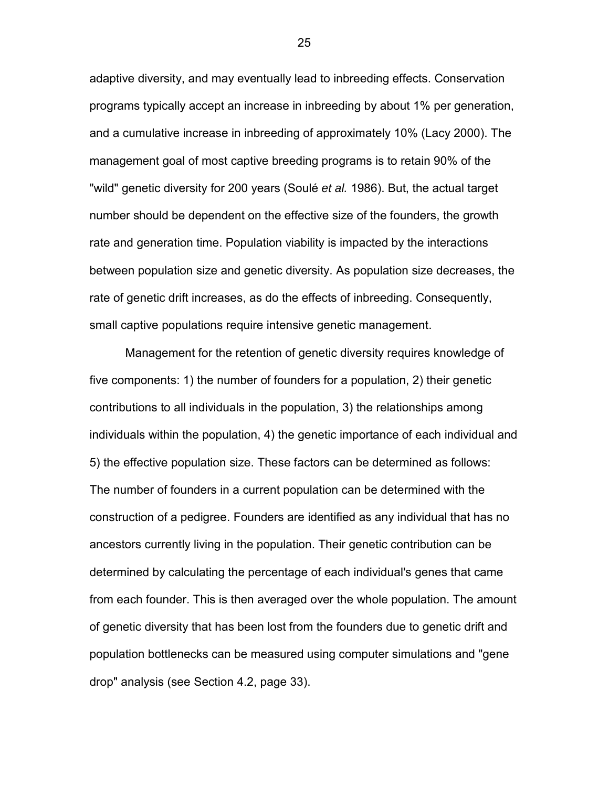adaptive diversity, and may eventually lead to inbreeding effects. Conservation programs typically accept an increase in inbreeding by about 1% per generation, and a cumulative increase in inbreeding of approximately 10% (Lacy 2000). The management goal of most captive breeding programs is to retain 90% of the "wild" genetic diversity for 200 years (Soulé *et al.* 1986). But, the actual target number should be dependent on the effective size of the founders, the growth rate and generation time. Population viability is impacted by the interactions between population size and genetic diversity. As population size decreases, the rate of genetic drift increases, as do the effects of inbreeding. Consequently, small captive populations require intensive genetic management.

Management for the retention of genetic diversity requires knowledge of five components: 1) the number of founders for a population, 2) their genetic contributions to all individuals in the population, 3) the relationships among individuals within the population, 4) the genetic importance of each individual and 5) the effective population size. These factors can be determined as follows: The number of founders in a current population can be determined with the construction of a pedigree. Founders are identified as any individual that has no ancestors currently living in the population. Their genetic contribution can be determined by calculating the percentage of each individual's genes that came from each founder. This is then averaged over the whole population. The amount of genetic diversity that has been lost from the founders due to genetic drift and population bottlenecks can be measured using computer simulations and "gene drop" analysis (see Section 4.2, page 33).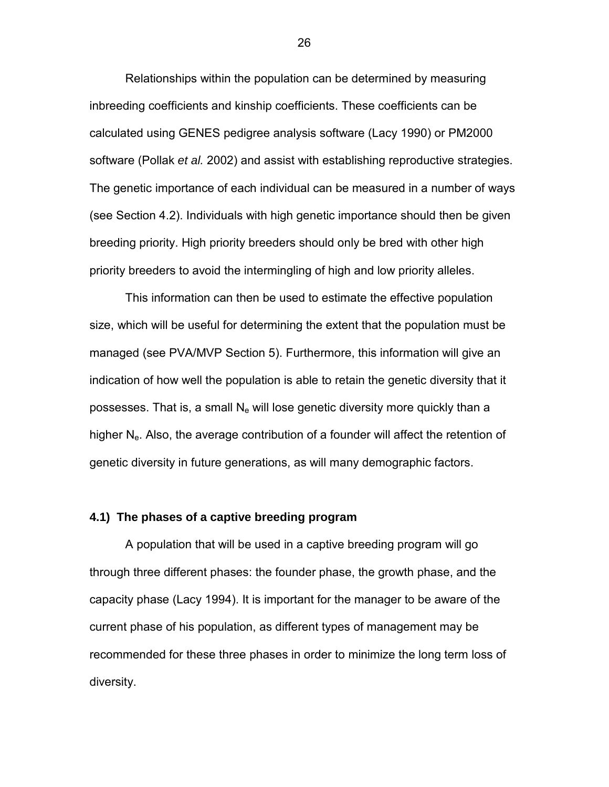<span id="page-30-0"></span>Relationships within the population can be determined by measuring inbreeding coefficients and kinship coefficients. These coefficients can be calculated using GENES pedigree analysis software (Lacy 1990) or PM2000 software (Pollak *et al.* 2002) and assist with establishing reproductive strategies. The genetic importance of each individual can be measured in a number of ways (see Section 4.2). Individuals with high genetic importance should then be given breeding priority. High priority breeders should only be bred with other high priority breeders to avoid the intermingling of high and low priority alleles.

This information can then be used to estimate the effective population size, which will be useful for determining the extent that the population must be managed (see PVA/MVP Section 5). Furthermore, this information will give an indication of how well the population is able to retain the genetic diversity that it possesses. That is, a small  $N_e$  will lose genetic diversity more quickly than a higher  $N_e$ . Also, the average contribution of a founder will affect the retention of genetic diversity in future generations, as will many demographic factors.

### **4.1) The phases of a captive breeding program**

A population that will be used in a captive breeding program will go through three different phases: the founder phase, the growth phase, and the capacity phase (Lacy 1994). It is important for the manager to be aware of the current phase of his population, as different types of management may be recommended for these three phases in order to minimize the long term loss of diversity.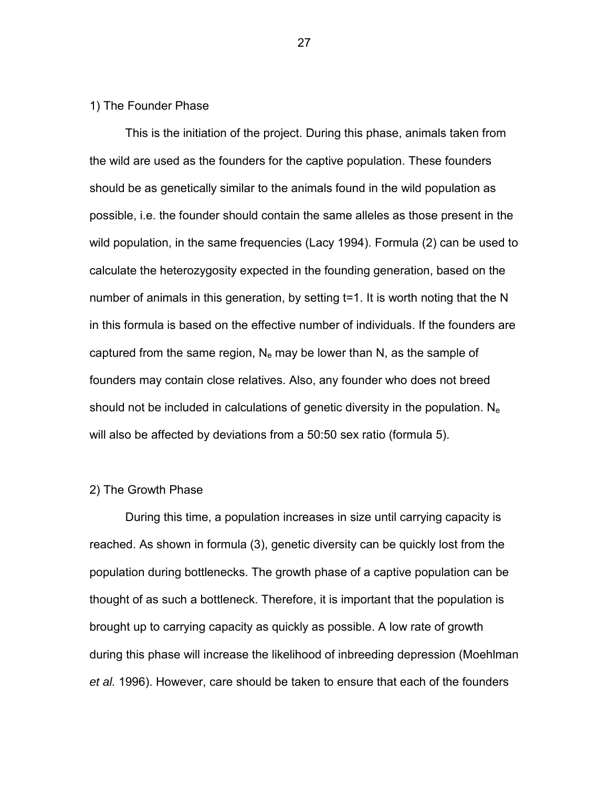# 1) The Founder Phase

This is the initiation of the project. During this phase, animals taken from the wild are used as the founders for the captive population. These founders should be as genetically similar to the animals found in the wild population as possible, i.e. the founder should contain the same alleles as those present in the wild population, in the same frequencies (Lacy 1994). Formula (2) can be used to calculate the heterozygosity expected in the founding generation, based on the number of animals in this generation, by setting t=1. It is worth noting that the N in this formula is based on the effective number of individuals. If the founders are captured from the same region,  $N_e$  may be lower than N, as the sample of founders may contain close relatives. Also, any founder who does not breed should not be included in calculations of genetic diversity in the population.  $N_e$ will also be affected by deviations from a 50:50 sex ratio (formula 5).

#### 2) The Growth Phase

During this time, a population increases in size until carrying capacity is reached. As shown in formula (3), genetic diversity can be quickly lost from the population during bottlenecks. The growth phase of a captive population can be thought of as such a bottleneck. Therefore, it is important that the population is brought up to carrying capacity as quickly as possible. A low rate of growth during this phase will increase the likelihood of inbreeding depression (Moehlman *et al.* 1996). However, care should be taken to ensure that each of the founders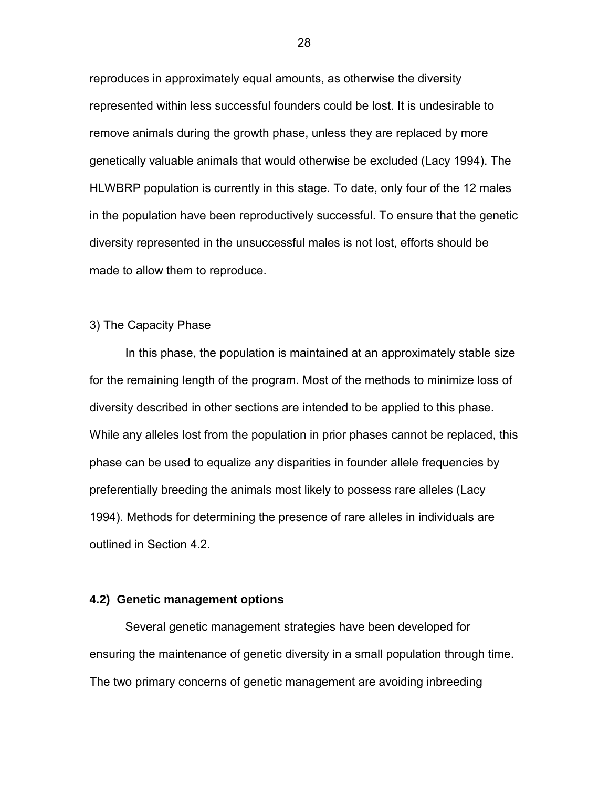<span id="page-32-0"></span>reproduces in approximately equal amounts, as otherwise the diversity represented within less successful founders could be lost. It is undesirable to remove animals during the growth phase, unless they are replaced by more genetically valuable animals that would otherwise be excluded (Lacy 1994). The HLWBRP population is currently in this stage. To date, only four of the 12 males in the population have been reproductively successful. To ensure that the genetic diversity represented in the unsuccessful males is not lost, efforts should be made to allow them to reproduce.

# 3) The Capacity Phase

In this phase, the population is maintained at an approximately stable size for the remaining length of the program. Most of the methods to minimize loss of diversity described in other sections are intended to be applied to this phase. While any alleles lost from the population in prior phases cannot be replaced, this phase can be used to equalize any disparities in founder allele frequencies by preferentially breeding the animals most likely to possess rare alleles (Lacy 1994). Methods for determining the presence of rare alleles in individuals are outlined in Section 4.2.

# **4.2) Genetic management options**

Several genetic management strategies have been developed for ensuring the maintenance of genetic diversity in a small population through time. The two primary concerns of genetic management are avoiding inbreeding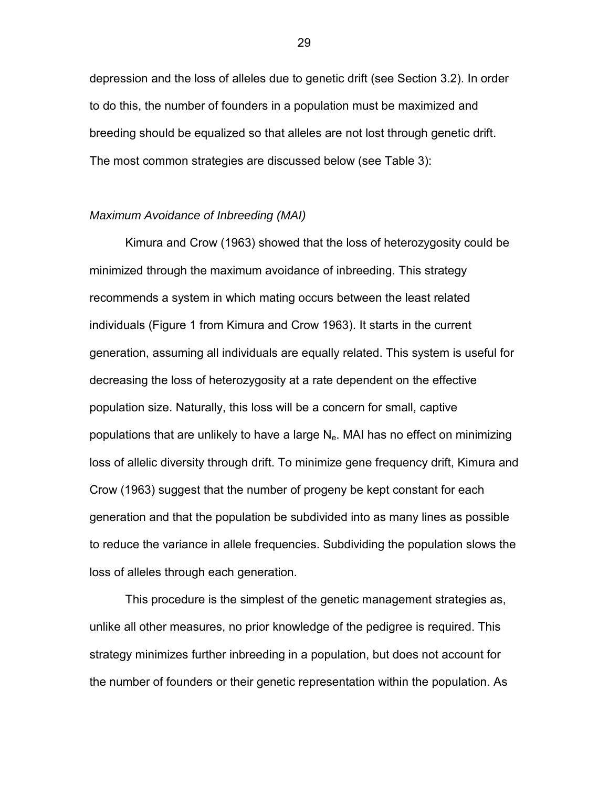depression and the loss of alleles due to genetic drift (see Section 3.2). In order to do this, the number of founders in a population must be maximized and breeding should be equalized so that alleles are not lost through genetic drift. The most common strategies are discussed below (see Table 3):

#### *Maximum Avoidance of Inbreeding (MAI)*

Kimura and Crow (1963) showed that the loss of heterozygosity could be minimized through the maximum avoidance of inbreeding. This strategy recommends a system in which mating occurs between the least related individuals (Figure 1 from Kimura and Crow 1963). It starts in the current generation, assuming all individuals are equally related. This system is useful for decreasing the loss of heterozygosity at a rate dependent on the effective population size. Naturally, this loss will be a concern for small, captive populations that are unlikely to have a large  $N_e$ . MAI has no effect on minimizing loss of allelic diversity through drift. To minimize gene frequency drift, Kimura and Crow (1963) suggest that the number of progeny be kept constant for each generation and that the population be subdivided into as many lines as possible to reduce the variance in allele frequencies. Subdividing the population slows the loss of alleles through each generation.

This procedure is the simplest of the genetic management strategies as, unlike all other measures, no prior knowledge of the pedigree is required. This strategy minimizes further inbreeding in a population, but does not account for the number of founders or their genetic representation within the population. As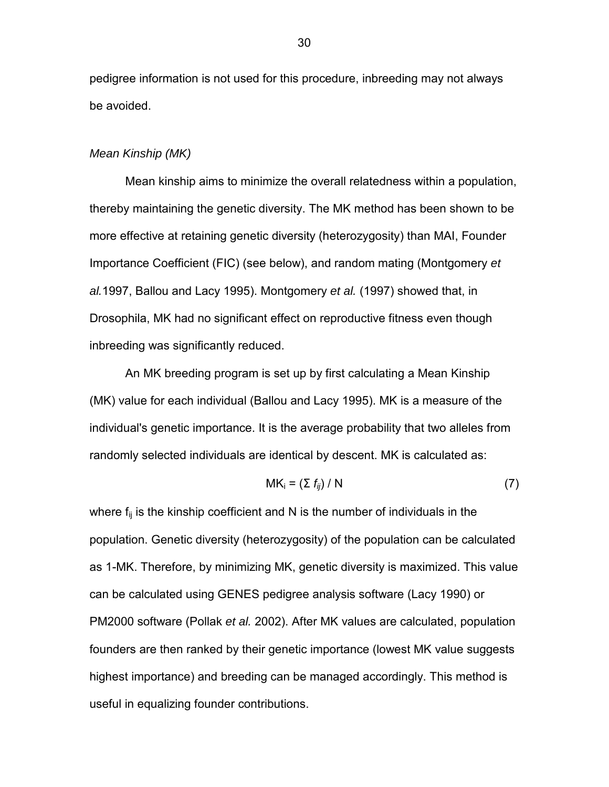pedigree information is not used for this procedure, inbreeding may not always be avoided.

# *Mean Kinship (MK)*

Mean kinship aims to minimize the overall relatedness within a population, thereby maintaining the genetic diversity. The MK method has been shown to be more effective at retaining genetic diversity (heterozygosity) than MAI, Founder Importance Coefficient (FIC) (see below), and random mating (Montgomery *et al.*1997, Ballou and Lacy 1995). Montgomery *et al.* (1997) showed that, in Drosophila, MK had no significant effect on reproductive fitness even though inbreeding was significantly reduced.

An MK breeding program is set up by first calculating a Mean Kinship (MK) value for each individual (Ballou and Lacy 1995). MK is a measure of the individual's genetic importance. It is the average probability that two alleles from randomly selected individuals are identical by descent. MK is calculated as:

$$
MK_i = (\sum f_{ij}) / N \tag{7}
$$

where  $f_{ij}$  is the kinship coefficient and N is the number of individuals in the population. Genetic diversity (heterozygosity) of the population can be calculated as 1-MK. Therefore, by minimizing MK, genetic diversity is maximized. This value can be calculated using GENES pedigree analysis software (Lacy 1990) or PM2000 software (Pollak *et al.* 2002). After MK values are calculated, population founders are then ranked by their genetic importance (lowest MK value suggests highest importance) and breeding can be managed accordingly. This method is useful in equalizing founder contributions.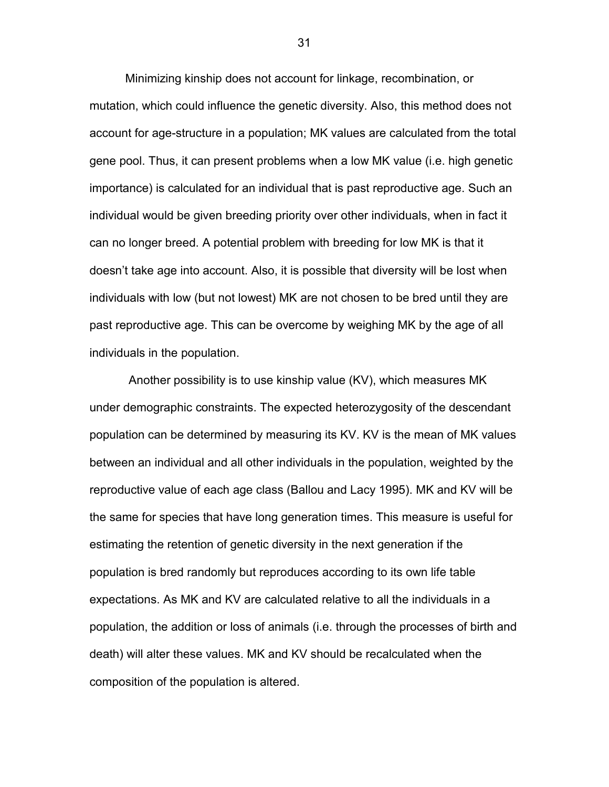Minimizing kinship does not account for linkage, recombination, or mutation, which could influence the genetic diversity. Also, this method does not account for age-structure in a population; MK values are calculated from the total gene pool. Thus, it can present problems when a low MK value (i.e. high genetic importance) is calculated for an individual that is past reproductive age. Such an individual would be given breeding priority over other individuals, when in fact it can no longer breed. A potential problem with breeding for low MK is that it doesn't take age into account. Also, it is possible that diversity will be lost when individuals with low (but not lowest) MK are not chosen to be bred until they are past reproductive age. This can be overcome by weighing MK by the age of all individuals in the population.

 Another possibility is to use kinship value (KV), which measures MK under demographic constraints. The expected heterozygosity of the descendant population can be determined by measuring its KV. KV is the mean of MK values between an individual and all other individuals in the population, weighted by the reproductive value of each age class (Ballou and Lacy 1995). MK and KV will be the same for species that have long generation times. This measure is useful for estimating the retention of genetic diversity in the next generation if the population is bred randomly but reproduces according to its own life table expectations. As MK and KV are calculated relative to all the individuals in a population, the addition or loss of animals (i.e. through the processes of birth and death) will alter these values. MK and KV should be recalculated when the composition of the population is altered.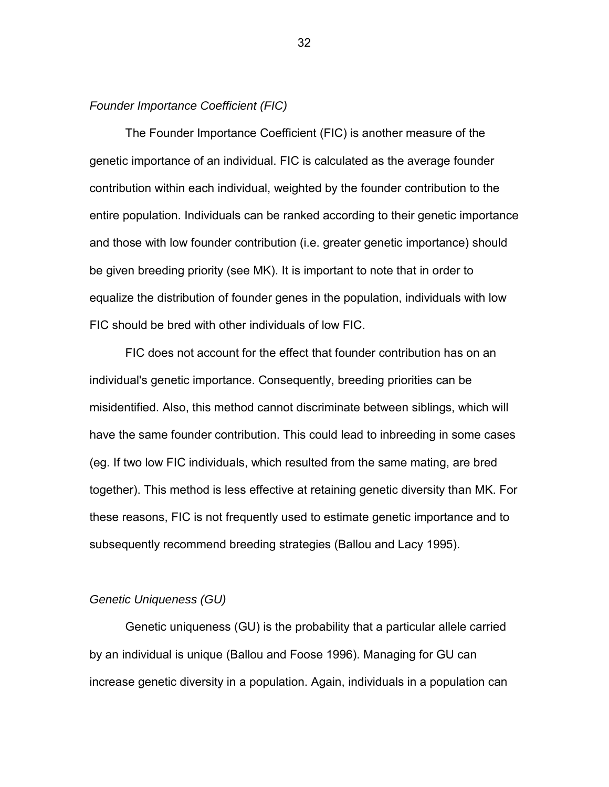### *Founder Importance Coefficient (FIC)*

The Founder Importance Coefficient (FIC) is another measure of the genetic importance of an individual. FIC is calculated as the average founder contribution within each individual, weighted by the founder contribution to the entire population. Individuals can be ranked according to their genetic importance and those with low founder contribution (i.e. greater genetic importance) should be given breeding priority (see MK). It is important to note that in order to equalize the distribution of founder genes in the population, individuals with low FIC should be bred with other individuals of low FIC.

FIC does not account for the effect that founder contribution has on an individual's genetic importance. Consequently, breeding priorities can be misidentified. Also, this method cannot discriminate between siblings, which will have the same founder contribution. This could lead to inbreeding in some cases (eg. If two low FIC individuals, which resulted from the same mating, are bred together). This method is less effective at retaining genetic diversity than MK. For these reasons, FIC is not frequently used to estimate genetic importance and to subsequently recommend breeding strategies (Ballou and Lacy 1995).

### *Genetic Uniqueness (GU)*

Genetic uniqueness (GU) is the probability that a particular allele carried by an individual is unique (Ballou and Foose 1996). Managing for GU can increase genetic diversity in a population. Again, individuals in a population can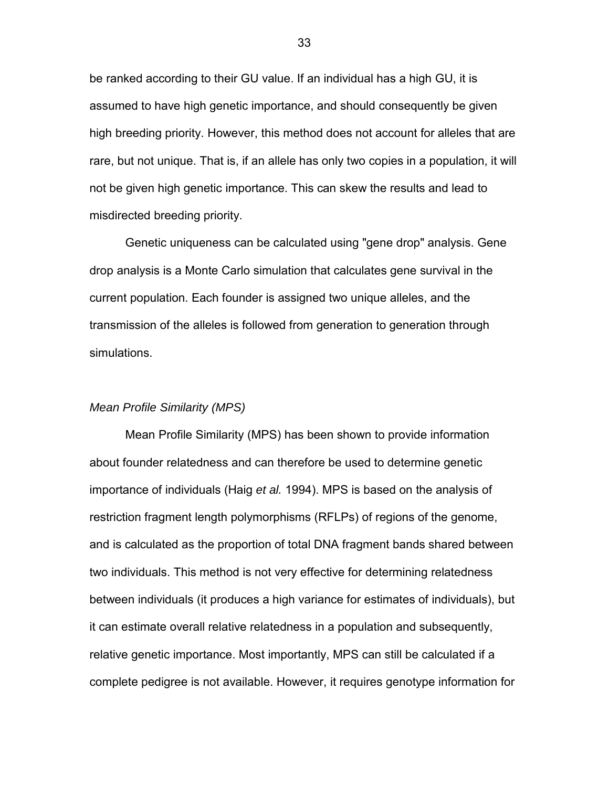be ranked according to their GU value. If an individual has a high GU, it is assumed to have high genetic importance, and should consequently be given high breeding priority. However, this method does not account for alleles that are rare, but not unique. That is, if an allele has only two copies in a population, it will not be given high genetic importance. This can skew the results and lead to misdirected breeding priority.

Genetic uniqueness can be calculated using "gene drop" analysis. Gene drop analysis is a Monte Carlo simulation that calculates gene survival in the current population. Each founder is assigned two unique alleles, and the transmission of the alleles is followed from generation to generation through simulations.

#### *Mean Profile Similarity (MPS)*

Mean Profile Similarity (MPS) has been shown to provide information about founder relatedness and can therefore be used to determine genetic importance of individuals (Haig *et al.* 1994). MPS is based on the analysis of restriction fragment length polymorphisms (RFLPs) of regions of the genome, and is calculated as the proportion of total DNA fragment bands shared between two individuals. This method is not very effective for determining relatedness between individuals (it produces a high variance for estimates of individuals), but it can estimate overall relative relatedness in a population and subsequently, relative genetic importance. Most importantly, MPS can still be calculated if a complete pedigree is not available. However, it requires genotype information for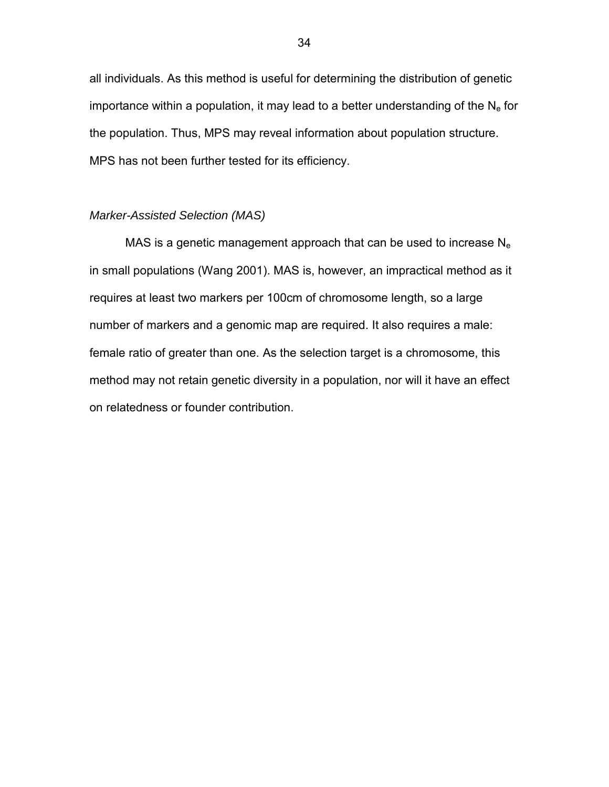all individuals. As this method is useful for determining the distribution of genetic importance within a population, it may lead to a better understanding of the  $N_e$  for the population. Thus, MPS may reveal information about population structure. MPS has not been further tested for its efficiency.

# *Marker-Assisted Selection (MAS)*

MAS is a genetic management approach that can be used to increase  $N_e$ in small populations (Wang 2001). MAS is, however, an impractical method as it requires at least two markers per 100cm of chromosome length, so a large number of markers and a genomic map are required. It also requires a male: female ratio of greater than one. As the selection target is a chromosome, this method may not retain genetic diversity in a population, nor will it have an effect on relatedness or founder contribution.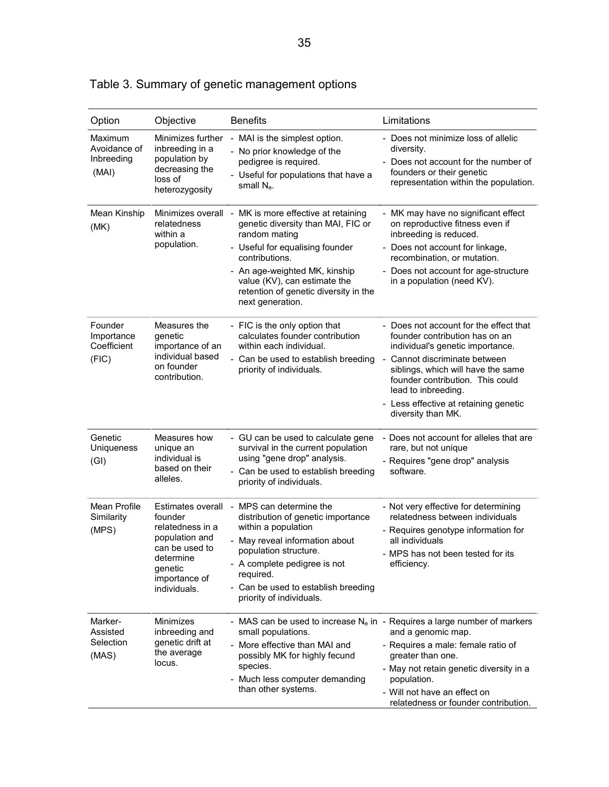| Option                                         | Objective                                                                                                                                     | <b>Benefits</b>                                                                                                                                                                                                                                                             | Limitations                                                                                                                                                                                                                                                                                                   |
|------------------------------------------------|-----------------------------------------------------------------------------------------------------------------------------------------------|-----------------------------------------------------------------------------------------------------------------------------------------------------------------------------------------------------------------------------------------------------------------------------|---------------------------------------------------------------------------------------------------------------------------------------------------------------------------------------------------------------------------------------------------------------------------------------------------------------|
| Maximum<br>Avoidance of<br>Inbreeding<br>(MAI) | Minimizes further<br>inbreeding in a<br>population by<br>decreasing the<br>loss of<br>heterozygosity                                          | MAI is the simplest option.<br>- No prior knowledge of the<br>pedigree is required.<br>- Useful for populations that have a<br>small N <sub>e</sub> .                                                                                                                       | - Does not minimize loss of allelic<br>diversity.<br>- Does not account for the number of<br>founders or their genetic<br>representation within the population.                                                                                                                                               |
| Mean Kinship<br>(MK)                           | Minimizes overall -<br>relatedness<br>within a<br>population.                                                                                 | MK is more effective at retaining<br>genetic diversity than MAI, FIC or<br>random mating<br>- Useful for equalising founder<br>contributions.<br>- An age-weighted MK, kinship<br>value (KV), can estimate the<br>retention of genetic diversity in the<br>next generation. | - MK may have no significant effect<br>on reproductive fitness even if<br>inbreeding is reduced.<br>- Does not account for linkage,<br>recombination, or mutation.<br>- Does not account for age-structure<br>in a population (need KV).                                                                      |
| Founder<br>Importance<br>Coefficient<br>(FIC)  | Measures the<br>genetic<br>importance of an<br>individual based<br>on founder<br>contribution.                                                | - FIC is the only option that<br>calculates founder contribution<br>within each individual.<br>- Can be used to establish breeding<br>priority of individuals.                                                                                                              | - Does not account for the effect that<br>founder contribution has on an<br>individual's genetic importance.<br>- Cannot discriminate between<br>siblings, which will have the same<br>founder contribution. This could<br>lead to inbreeding.<br>- Less effective at retaining genetic<br>diversity than MK. |
| Genetic<br>Uniqueness<br>(GI)                  | Measures how<br>unique an<br>individual is<br>based on their<br>alleles.                                                                      | - GU can be used to calculate gene<br>survival in the current population<br>using "gene drop" analysis.<br>- Can be used to establish breeding<br>priority of individuals.                                                                                                  | - Does not account for alleles that are<br>rare, but not unique<br>- Requires "gene drop" analysis<br>software.                                                                                                                                                                                               |
| Mean Profile<br>Similarity<br>(MPS)            | Estimates overall<br>founder<br>relatedness in a<br>population and<br>can be used to<br>determine<br>genetic<br>importance of<br>individuals. | MPS can determine the<br>distribution of genetic importance<br>within a population<br>May reveal information about<br>population structure.<br>- A complete pedigree is not<br>required.<br>- Can be used to establish breeding<br>priority of individuals.                 | - Not very effective for determining<br>relatedness between individuals<br>- Requires genotype information for<br>all individuals<br>- MPS has not been tested for its<br>efficiency.                                                                                                                         |
| Marker-<br>Assisted<br>Selection<br>(MAS)      | Minimizes<br>inbreeding and<br>genetic drift at<br>the average<br>locus.                                                                      | small populations.<br>More effective than MAI and<br>possibly MK for highly fecund<br>species.<br>Much less computer demanding<br>than other systems.                                                                                                                       | - MAS can be used to increase $N_e$ in - Requires a large number of markers<br>and a genomic map.<br>- Requires a male: female ratio of<br>greater than one.<br>- May not retain genetic diversity in a<br>population.<br>- Will not have an effect on<br>relatedness or founder contribution.                |

| Table 3. Summary of genetic management options |  |  |  |  |  |  |
|------------------------------------------------|--|--|--|--|--|--|
|------------------------------------------------|--|--|--|--|--|--|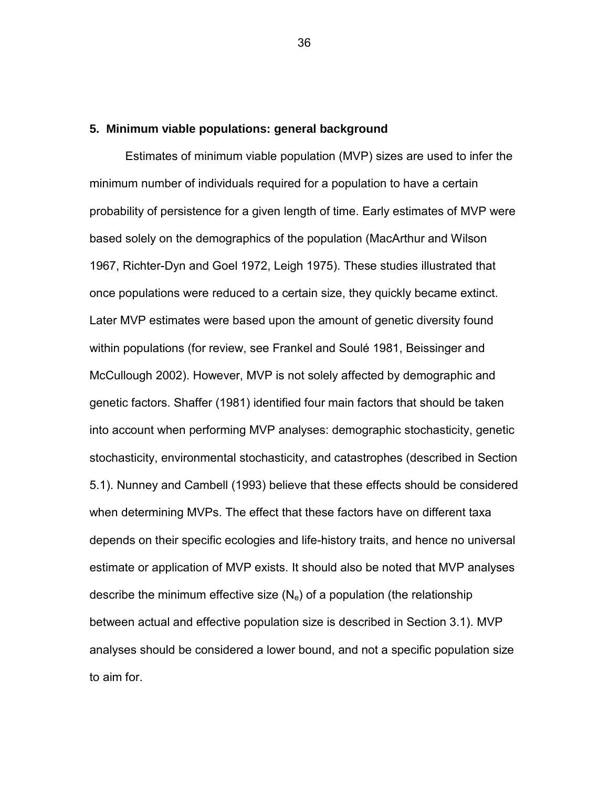# **5. Minimum viable populations: general background**

Estimates of minimum viable population (MVP) sizes are used to infer the minimum number of individuals required for a population to have a certain probability of persistence for a given length of time. Early estimates of MVP were based solely on the demographics of the population (MacArthur and Wilson 1967, Richter-Dyn and Goel 1972, Leigh 1975). These studies illustrated that once populations were reduced to a certain size, they quickly became extinct. Later MVP estimates were based upon the amount of genetic diversity found within populations (for review, see Frankel and Soulé 1981, Beissinger and McCullough 2002). However, MVP is not solely affected by demographic and genetic factors. Shaffer (1981) identified four main factors that should be taken into account when performing MVP analyses: demographic stochasticity, genetic stochasticity, environmental stochasticity, and catastrophes (described in Section 5.1). Nunney and Cambell (1993) believe that these effects should be considered when determining MVPs. The effect that these factors have on different taxa depends on their specific ecologies and life-history traits, and hence no universal estimate or application of MVP exists. It should also be noted that MVP analyses describe the minimum effective size  $(N_e)$  of a population (the relationship between actual and effective population size is described in Section 3.1). MVP analyses should be considered a lower bound, and not a specific population size to aim for.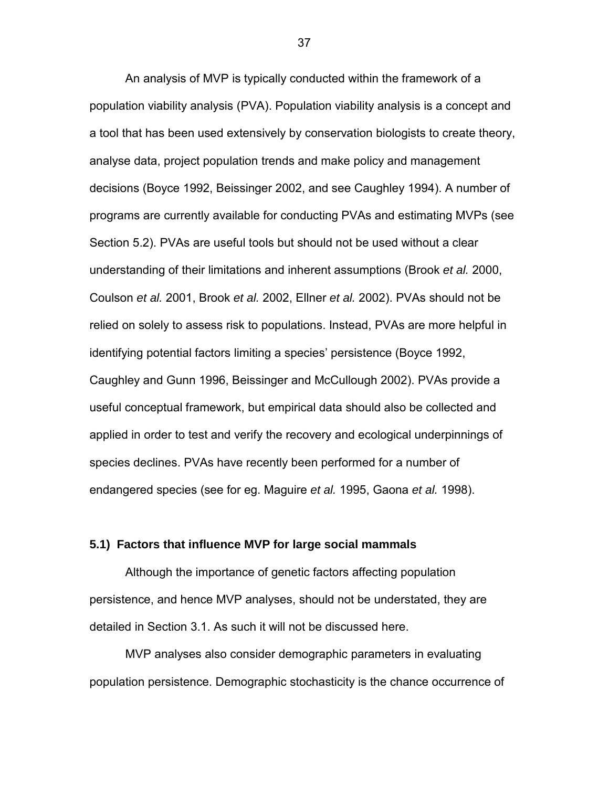An analysis of MVP is typically conducted within the framework of a population viability analysis (PVA). Population viability analysis is a concept and a tool that has been used extensively by conservation biologists to create theory, analyse data, project population trends and make policy and management decisions (Boyce 1992, Beissinger 2002, and see Caughley 1994). A number of programs are currently available for conducting PVAs and estimating MVPs (see Section 5.2). PVAs are useful tools but should not be used without a clear understanding of their limitations and inherent assumptions (Brook *et al.* 2000, Coulson *et al.* 2001, Brook *et al.* 2002, Ellner *et al.* 2002). PVAs should not be relied on solely to assess risk to populations. Instead, PVAs are more helpful in identifying potential factors limiting a species' persistence (Boyce 1992, Caughley and Gunn 1996, Beissinger and McCullough 2002). PVAs provide a useful conceptual framework, but empirical data should also be collected and applied in order to test and verify the recovery and ecological underpinnings of species declines. PVAs have recently been performed for a number of endangered species (see for eg. Maguire *et al.* 1995, Gaona *et al.* 1998).

# **5.1) Factors that influence MVP for large social mammals**

 Although the importance of genetic factors affecting population persistence, and hence MVP analyses, should not be understated, they are detailed in Section 3.1. As such it will not be discussed here.

MVP analyses also consider demographic parameters in evaluating population persistence. Demographic stochasticity is the chance occurrence of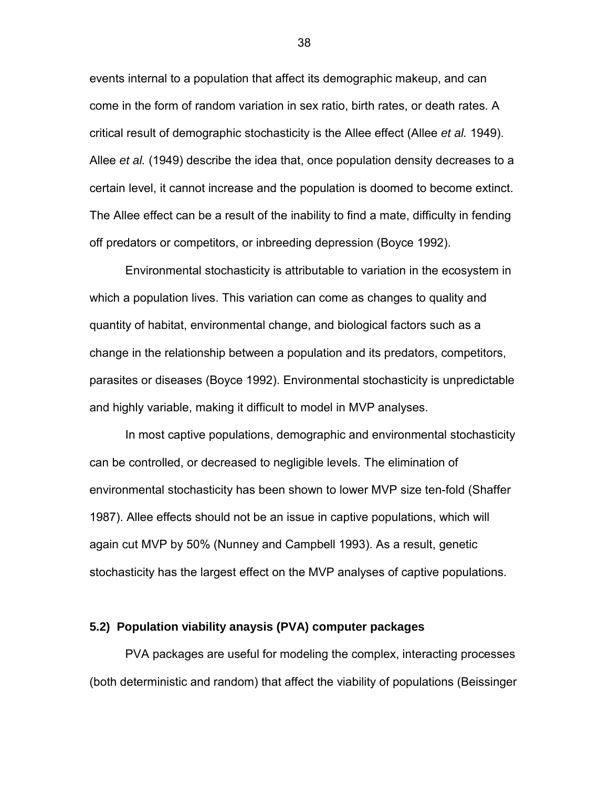events internal to a population that affect its demographic makeup, and can come in the form of random variation in sex ratio, birth rates, or death rates. A critical result of demographic stochasticity is the Allee effect (Allee *et al.* 1949). Allee *et al.* (1949) describe the idea that, once population density decreases to a certain level, it cannot increase and the population is doomed to become extinct. The Allee effect can be a result of the inability to find a mate, difficulty in fending off predators or competitors, or inbreeding depression (Boyce 1992).

 Environmental stochasticity is attributable to variation in the ecosystem in which a population lives. This variation can come as changes to quality and quantity of habitat, environmental change, and biological factors such as a change in the relationship between a population and its predators, competitors, parasites or diseases (Boyce 1992). Environmental stochasticity is unpredictable and highly variable, making it difficult to model in MVP analyses.

 In most captive populations, demographic and environmental stochasticity can be controlled, or decreased to negligible levels. The elimination of environmental stochasticity has been shown to lower MVP size ten-fold (Shaffer 1987). Allee effects should not be an issue in captive populations, which will again cut MVP by 50% (Nunney and Campbell 1993). As a result, genetic stochasticity has the largest effect on the MVP analyses of captive populations.

# **5.2) Population viability anaysis (PVA) computer packages**

PVA packages are useful for modeling the complex, interacting processes (both deterministic and random) that affect the viability of populations (Beissinger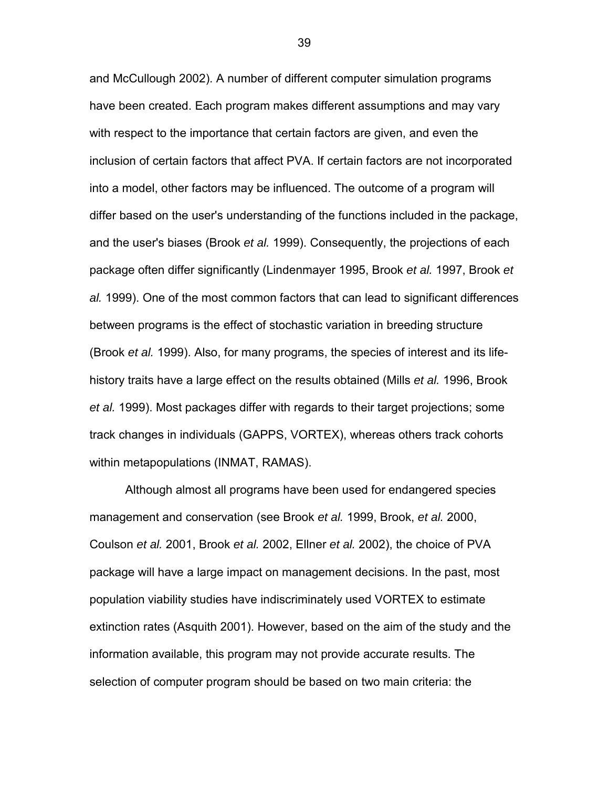and McCullough 2002). A number of different computer simulation programs have been created. Each program makes different assumptions and may vary with respect to the importance that certain factors are given, and even the inclusion of certain factors that affect PVA. If certain factors are not incorporated into a model, other factors may be influenced. The outcome of a program will differ based on the user's understanding of the functions included in the package, and the user's biases (Brook *et al.* 1999). Consequently, the projections of each package often differ significantly (Lindenmayer 1995, Brook *et al.* 1997, Brook *et al.* 1999). One of the most common factors that can lead to significant differences between programs is the effect of stochastic variation in breeding structure (Brook *et al.* 1999). Also, for many programs, the species of interest and its lifehistory traits have a large effect on the results obtained (Mills *et al.* 1996, Brook *et al.* 1999). Most packages differ with regards to their target projections; some track changes in individuals (GAPPS, VORTEX), whereas others track cohorts within metapopulations (INMAT, RAMAS).

Although almost all programs have been used for endangered species management and conservation (see Brook *et al.* 1999, Brook, *et al.* 2000, Coulson *et al.* 2001, Brook *et al.* 2002, Ellner *et al.* 2002), the choice of PVA package will have a large impact on management decisions. In the past, most population viability studies have indiscriminately used VORTEX to estimate extinction rates (Asquith 2001). However, based on the aim of the study and the information available, this program may not provide accurate results. The selection of computer program should be based on two main criteria: the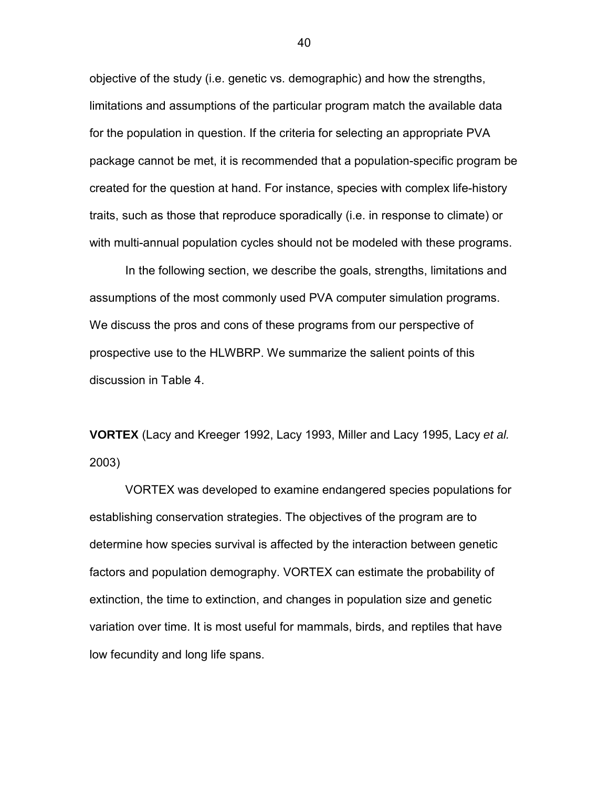objective of the study (i.e. genetic vs. demographic) and how the strengths, limitations and assumptions of the particular program match the available data for the population in question. If the criteria for selecting an appropriate PVA package cannot be met, it is recommended that a population-specific program be created for the question at hand. For instance, species with complex life-history traits, such as those that reproduce sporadically (i.e. in response to climate) or with multi-annual population cycles should not be modeled with these programs.

In the following section, we describe the goals, strengths, limitations and assumptions of the most commonly used PVA computer simulation programs. We discuss the pros and cons of these programs from our perspective of prospective use to the HLWBRP. We summarize the salient points of this discussion in Table 4.

**VORTEX** (Lacy and Kreeger 1992, Lacy 1993, Miller and Lacy 1995, Lacy *et al.* 2003)

VORTEX was developed to examine endangered species populations for establishing conservation strategies. The objectives of the program are to determine how species survival is affected by the interaction between genetic factors and population demography. VORTEX can estimate the probability of extinction, the time to extinction, and changes in population size and genetic variation over time. It is most useful for mammals, birds, and reptiles that have low fecundity and long life spans.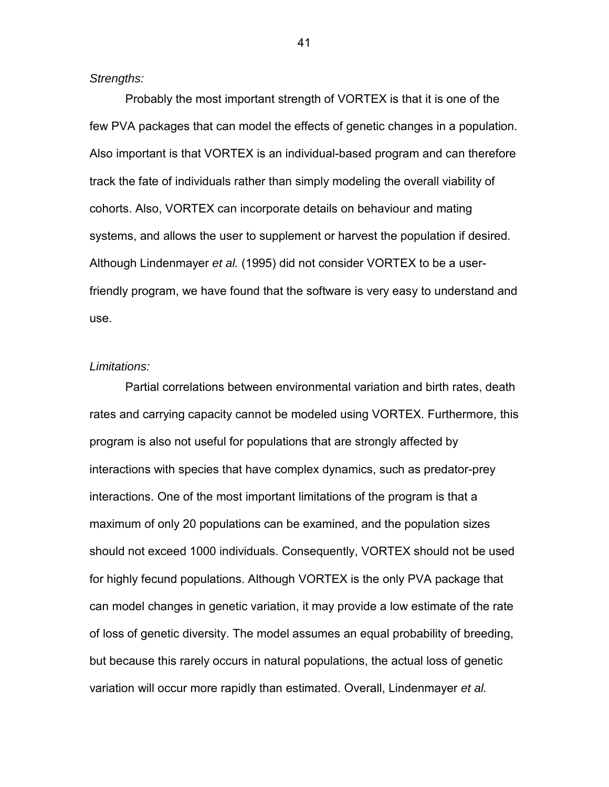*Strengths:* 

Probably the most important strength of VORTEX is that it is one of the few PVA packages that can model the effects of genetic changes in a population. Also important is that VORTEX is an individual-based program and can therefore track the fate of individuals rather than simply modeling the overall viability of cohorts. Also, VORTEX can incorporate details on behaviour and mating systems, and allows the user to supplement or harvest the population if desired. Although Lindenmayer *et al.* (1995) did not consider VORTEX to be a userfriendly program, we have found that the software is very easy to understand and use.

# *Limitations:*

Partial correlations between environmental variation and birth rates, death rates and carrying capacity cannot be modeled using VORTEX. Furthermore, this program is also not useful for populations that are strongly affected by interactions with species that have complex dynamics, such as predator-prey interactions. One of the most important limitations of the program is that a maximum of only 20 populations can be examined, and the population sizes should not exceed 1000 individuals. Consequently, VORTEX should not be used for highly fecund populations. Although VORTEX is the only PVA package that can model changes in genetic variation, it may provide a low estimate of the rate of loss of genetic diversity. The model assumes an equal probability of breeding, but because this rarely occurs in natural populations, the actual loss of genetic variation will occur more rapidly than estimated. Overall, Lindenmayer *et al.*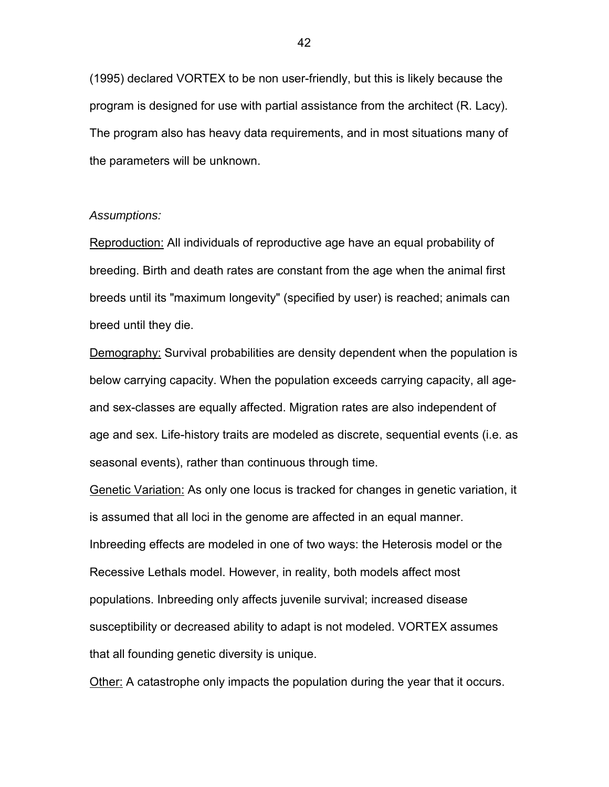(1995) declared VORTEX to be non user-friendly, but this is likely because the program is designed for use with partial assistance from the architect (R. Lacy). The program also has heavy data requirements, and in most situations many of the parameters will be unknown.

# *Assumptions:*

Reproduction: All individuals of reproductive age have an equal probability of breeding. Birth and death rates are constant from the age when the animal first breeds until its "maximum longevity" (specified by user) is reached; animals can breed until they die.

Demography: Survival probabilities are density dependent when the population is below carrying capacity. When the population exceeds carrying capacity, all ageand sex-classes are equally affected. Migration rates are also independent of age and sex. Life-history traits are modeled as discrete, sequential events (i.e. as seasonal events), rather than continuous through time.

Genetic Variation: As only one locus is tracked for changes in genetic variation, it is assumed that all loci in the genome are affected in an equal manner. Inbreeding effects are modeled in one of two ways: the Heterosis model or the Recessive Lethals model. However, in reality, both models affect most populations. Inbreeding only affects juvenile survival; increased disease susceptibility or decreased ability to adapt is not modeled. VORTEX assumes that all founding genetic diversity is unique.

Other: A catastrophe only impacts the population during the year that it occurs.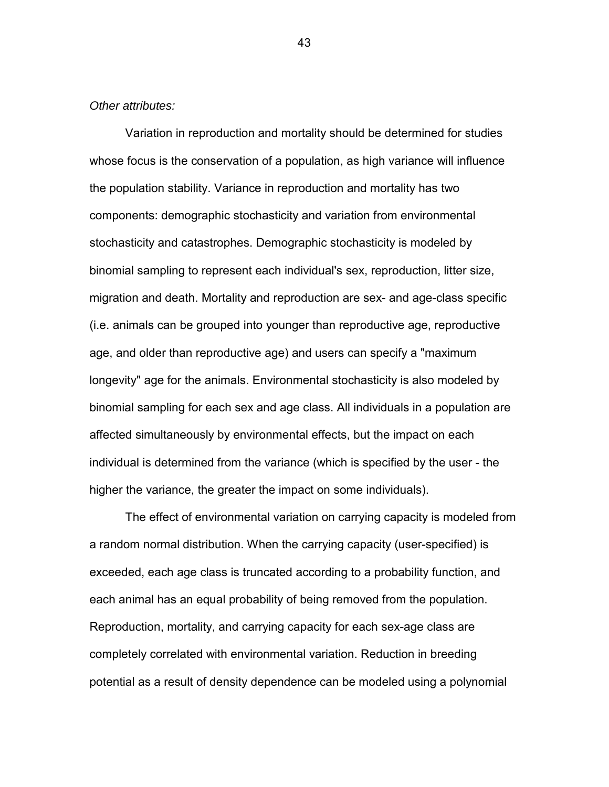### *Other attributes:*

Variation in reproduction and mortality should be determined for studies whose focus is the conservation of a population, as high variance will influence the population stability. Variance in reproduction and mortality has two components: demographic stochasticity and variation from environmental stochasticity and catastrophes. Demographic stochasticity is modeled by binomial sampling to represent each individual's sex, reproduction, litter size, migration and death. Mortality and reproduction are sex- and age-class specific (i.e. animals can be grouped into younger than reproductive age, reproductive age, and older than reproductive age) and users can specify a "maximum longevity" age for the animals. Environmental stochasticity is also modeled by binomial sampling for each sex and age class. All individuals in a population are affected simultaneously by environmental effects, but the impact on each individual is determined from the variance (which is specified by the user - the higher the variance, the greater the impact on some individuals).

The effect of environmental variation on carrying capacity is modeled from a random normal distribution. When the carrying capacity (user-specified) is exceeded, each age class is truncated according to a probability function, and each animal has an equal probability of being removed from the population. Reproduction, mortality, and carrying capacity for each sex-age class are completely correlated with environmental variation. Reduction in breeding potential as a result of density dependence can be modeled using a polynomial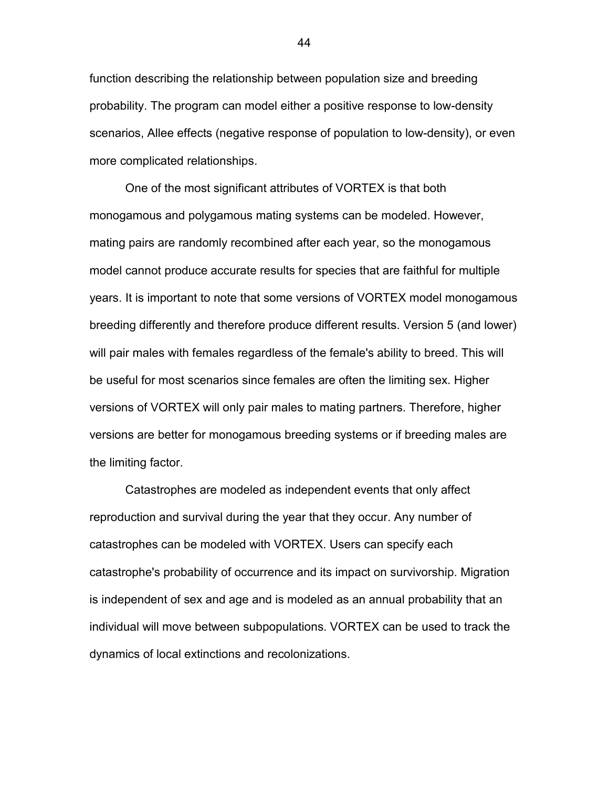function describing the relationship between population size and breeding probability. The program can model either a positive response to low-density scenarios, Allee effects (negative response of population to low-density), or even more complicated relationships.

One of the most significant attributes of VORTEX is that both monogamous and polygamous mating systems can be modeled. However, mating pairs are randomly recombined after each year, so the monogamous model cannot produce accurate results for species that are faithful for multiple years. It is important to note that some versions of VORTEX model monogamous breeding differently and therefore produce different results. Version 5 (and lower) will pair males with females regardless of the female's ability to breed. This will be useful for most scenarios since females are often the limiting sex. Higher versions of VORTEX will only pair males to mating partners. Therefore, higher versions are better for monogamous breeding systems or if breeding males are the limiting factor.

Catastrophes are modeled as independent events that only affect reproduction and survival during the year that they occur. Any number of catastrophes can be modeled with VORTEX. Users can specify each catastrophe's probability of occurrence and its impact on survivorship. Migration is independent of sex and age and is modeled as an annual probability that an individual will move between subpopulations. VORTEX can be used to track the dynamics of local extinctions and recolonizations.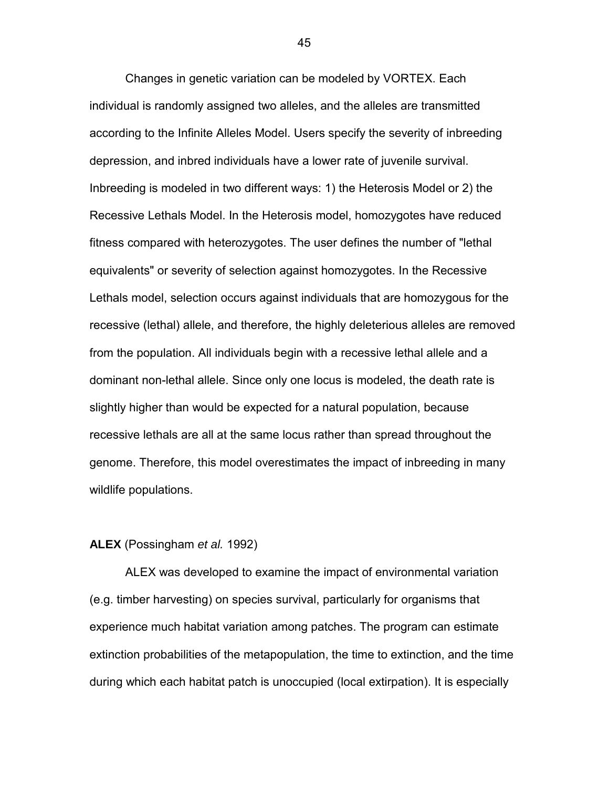Changes in genetic variation can be modeled by VORTEX. Each individual is randomly assigned two alleles, and the alleles are transmitted according to the Infinite Alleles Model. Users specify the severity of inbreeding depression, and inbred individuals have a lower rate of juvenile survival. Inbreeding is modeled in two different ways: 1) the Heterosis Model or 2) the Recessive Lethals Model. In the Heterosis model, homozygotes have reduced fitness compared with heterozygotes. The user defines the number of "lethal equivalents" or severity of selection against homozygotes. In the Recessive Lethals model, selection occurs against individuals that are homozygous for the recessive (lethal) allele, and therefore, the highly deleterious alleles are removed from the population. All individuals begin with a recessive lethal allele and a dominant non-lethal allele. Since only one locus is modeled, the death rate is slightly higher than would be expected for a natural population, because recessive lethals are all at the same locus rather than spread throughout the genome. Therefore, this model overestimates the impact of inbreeding in many wildlife populations.

# **ALEX** (Possingham *et al.* 1992)

ALEX was developed to examine the impact of environmental variation (e.g. timber harvesting) on species survival, particularly for organisms that experience much habitat variation among patches. The program can estimate extinction probabilities of the metapopulation, the time to extinction, and the time during which each habitat patch is unoccupied (local extirpation). It is especially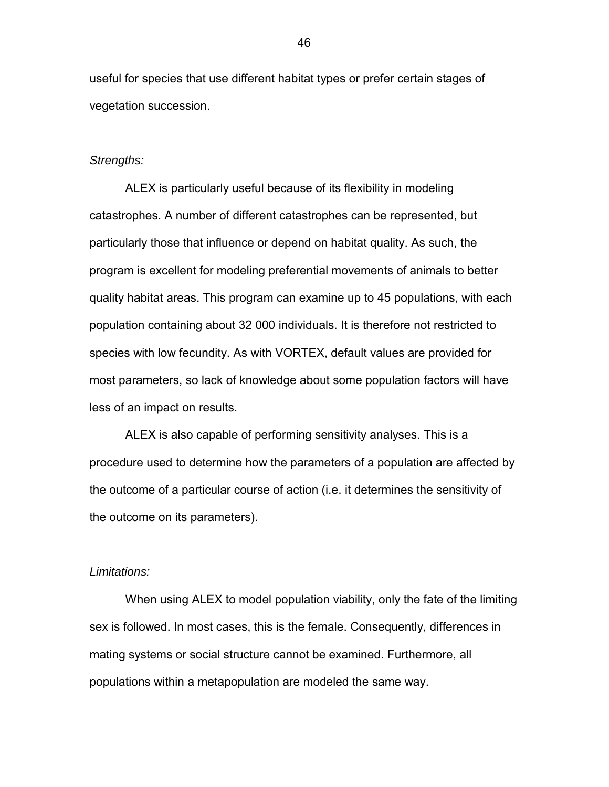useful for species that use different habitat types or prefer certain stages of vegetation succession.

### *Strengths:*

ALEX is particularly useful because of its flexibility in modeling catastrophes. A number of different catastrophes can be represented, but particularly those that influence or depend on habitat quality. As such, the program is excellent for modeling preferential movements of animals to better quality habitat areas. This program can examine up to 45 populations, with each population containing about 32 000 individuals. It is therefore not restricted to species with low fecundity. As with VORTEX, default values are provided for most parameters, so lack of knowledge about some population factors will have less of an impact on results.

ALEX is also capable of performing sensitivity analyses. This is a procedure used to determine how the parameters of a population are affected by the outcome of a particular course of action (i.e. it determines the sensitivity of the outcome on its parameters).

### *Limitations:*

When using ALEX to model population viability, only the fate of the limiting sex is followed. In most cases, this is the female. Consequently, differences in mating systems or social structure cannot be examined. Furthermore, all populations within a metapopulation are modeled the same way.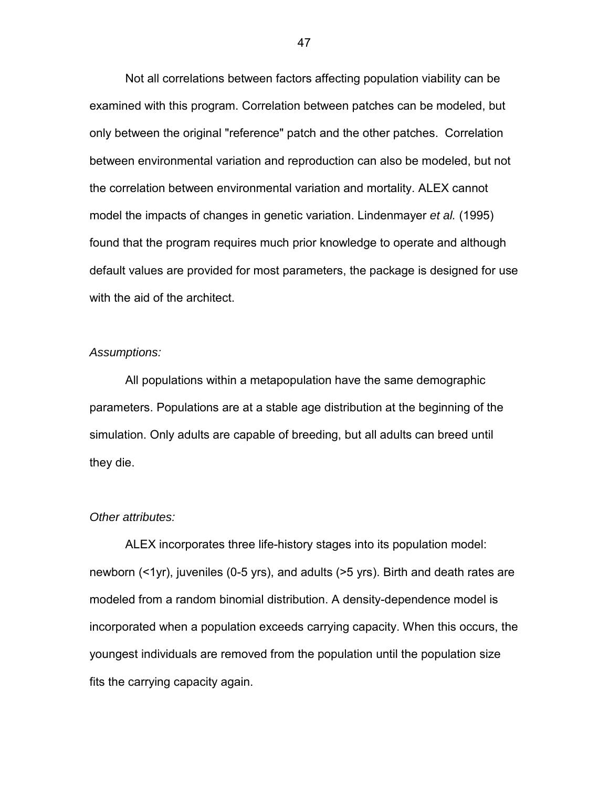Not all correlations between factors affecting population viability can be examined with this program. Correlation between patches can be modeled, but only between the original "reference" patch and the other patches. Correlation between environmental variation and reproduction can also be modeled, but not the correlation between environmental variation and mortality. ALEX cannot model the impacts of changes in genetic variation. Lindenmayer *et al.* (1995) found that the program requires much prior knowledge to operate and although default values are provided for most parameters, the package is designed for use with the aid of the architect.

### *Assumptions:*

All populations within a metapopulation have the same demographic parameters. Populations are at a stable age distribution at the beginning of the simulation. Only adults are capable of breeding, but all adults can breed until they die.

#### *Other attributes:*

ALEX incorporates three life-history stages into its population model: newborn (<1yr), juveniles (0-5 yrs), and adults (>5 yrs). Birth and death rates are modeled from a random binomial distribution. A density-dependence model is incorporated when a population exceeds carrying capacity. When this occurs, the youngest individuals are removed from the population until the population size fits the carrying capacity again.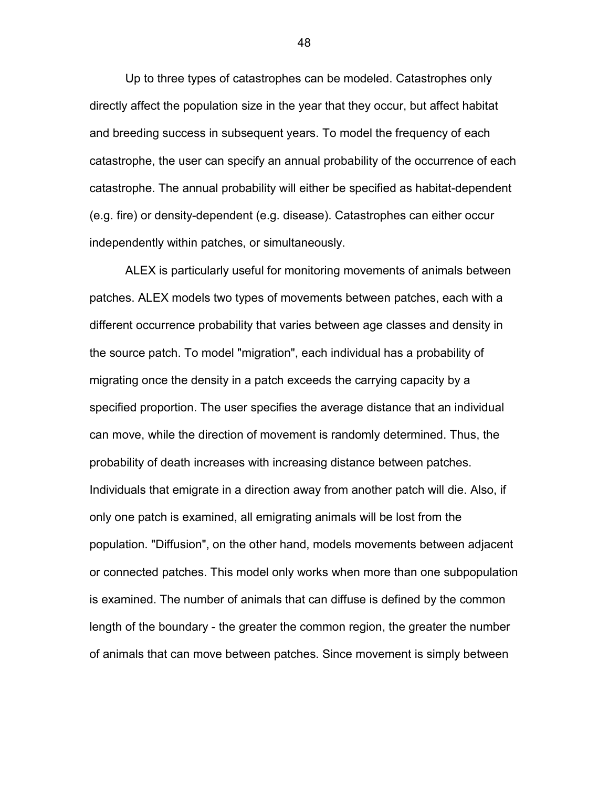Up to three types of catastrophes can be modeled. Catastrophes only directly affect the population size in the year that they occur, but affect habitat and breeding success in subsequent years. To model the frequency of each catastrophe, the user can specify an annual probability of the occurrence of each catastrophe. The annual probability will either be specified as habitat-dependent (e.g. fire) or density-dependent (e.g. disease). Catastrophes can either occur independently within patches, or simultaneously.

ALEX is particularly useful for monitoring movements of animals between patches. ALEX models two types of movements between patches, each with a different occurrence probability that varies between age classes and density in the source patch. To model "migration", each individual has a probability of migrating once the density in a patch exceeds the carrying capacity by a specified proportion. The user specifies the average distance that an individual can move, while the direction of movement is randomly determined. Thus, the probability of death increases with increasing distance between patches. Individuals that emigrate in a direction away from another patch will die. Also, if only one patch is examined, all emigrating animals will be lost from the population. "Diffusion", on the other hand, models movements between adjacent or connected patches. This model only works when more than one subpopulation is examined. The number of animals that can diffuse is defined by the common length of the boundary - the greater the common region, the greater the number of animals that can move between patches. Since movement is simply between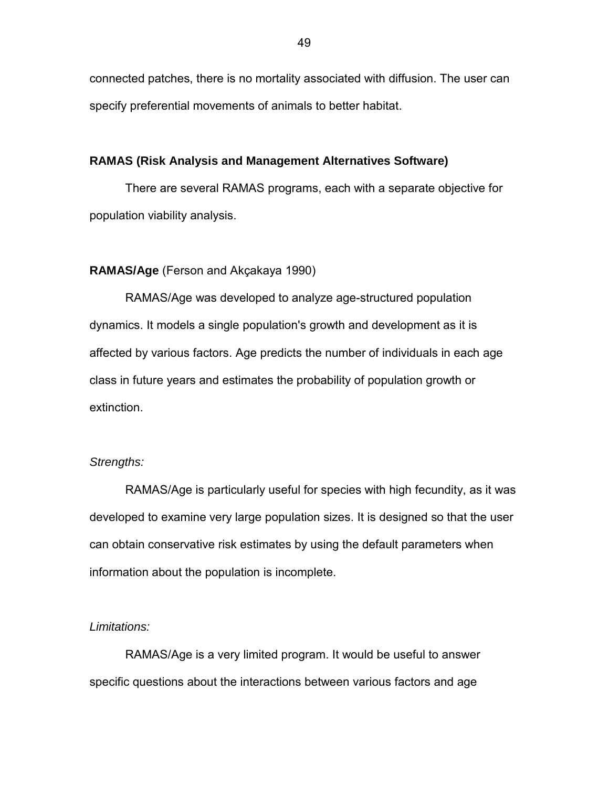connected patches, there is no mortality associated with diffusion. The user can specify preferential movements of animals to better habitat.

# **RAMAS (Risk Analysis and Management Alternatives Software)**

There are several RAMAS programs, each with a separate objective for population viability analysis.

# **RAMAS/Age** (Ferson and Akçakaya 1990)

RAMAS/Age was developed to analyze age-structured population dynamics. It models a single population's growth and development as it is affected by various factors. Age predicts the number of individuals in each age class in future years and estimates the probability of population growth or extinction.

### *Strengths:*

RAMAS/Age is particularly useful for species with high fecundity, as it was developed to examine very large population sizes. It is designed so that the user can obtain conservative risk estimates by using the default parameters when information about the population is incomplete.

#### *Limitations:*

RAMAS/Age is a very limited program. It would be useful to answer specific questions about the interactions between various factors and age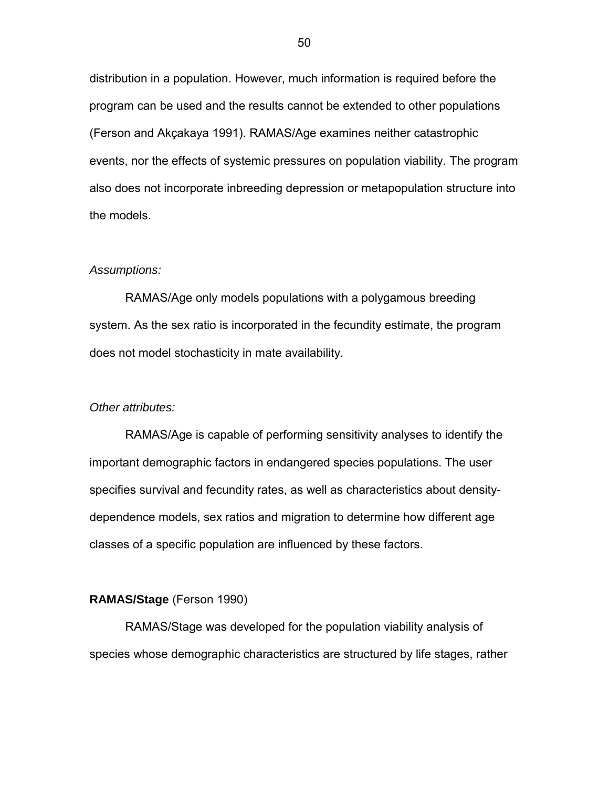distribution in a population. However, much information is required before the program can be used and the results cannot be extended to other populations (Ferson and Akçakaya 1991). RAMAS/Age examines neither catastrophic events, nor the effects of systemic pressures on population viability. The program also does not incorporate inbreeding depression or metapopulation structure into the models.

### *Assumptions:*

RAMAS/Age only models populations with a polygamous breeding system. As the sex ratio is incorporated in the fecundity estimate, the program does not model stochasticity in mate availability.

#### *Other attributes:*

RAMAS/Age is capable of performing sensitivity analyses to identify the important demographic factors in endangered species populations. The user specifies survival and fecundity rates, as well as characteristics about densitydependence models, sex ratios and migration to determine how different age classes of a specific population are influenced by these factors.

#### **RAMAS/Stage** (Ferson 1990)

RAMAS/Stage was developed for the population viability analysis of species whose demographic characteristics are structured by life stages, rather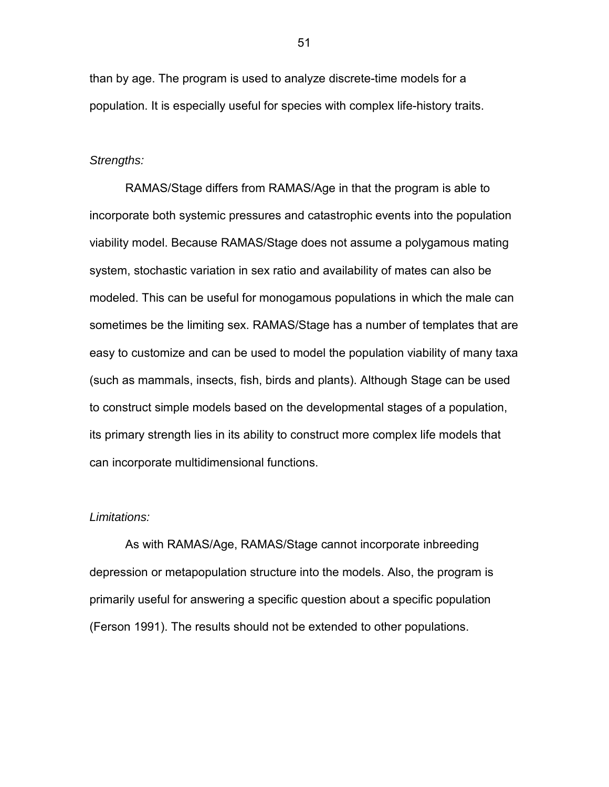than by age. The program is used to analyze discrete-time models for a population. It is especially useful for species with complex life-history traits.

### *Strengths:*

RAMAS/Stage differs from RAMAS/Age in that the program is able to incorporate both systemic pressures and catastrophic events into the population viability model. Because RAMAS/Stage does not assume a polygamous mating system, stochastic variation in sex ratio and availability of mates can also be modeled. This can be useful for monogamous populations in which the male can sometimes be the limiting sex. RAMAS/Stage has a number of templates that are easy to customize and can be used to model the population viability of many taxa (such as mammals, insects, fish, birds and plants). Although Stage can be used to construct simple models based on the developmental stages of a population, its primary strength lies in its ability to construct more complex life models that can incorporate multidimensional functions.

#### *Limitations:*

As with RAMAS/Age, RAMAS/Stage cannot incorporate inbreeding depression or metapopulation structure into the models. Also, the program is primarily useful for answering a specific question about a specific population (Ferson 1991). The results should not be extended to other populations.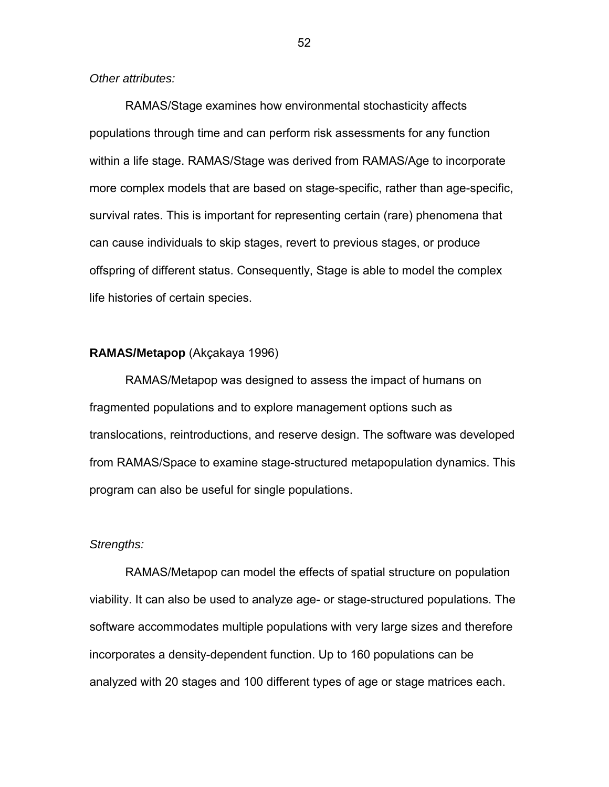*Other attributes:* 

RAMAS/Stage examines how environmental stochasticity affects populations through time and can perform risk assessments for any function within a life stage. RAMAS/Stage was derived from RAMAS/Age to incorporate more complex models that are based on stage-specific, rather than age-specific, survival rates. This is important for representing certain (rare) phenomena that can cause individuals to skip stages, revert to previous stages, or produce offspring of different status. Consequently, Stage is able to model the complex life histories of certain species.

# **RAMAS/Metapop** (Akçakaya 1996)

RAMAS/Metapop was designed to assess the impact of humans on fragmented populations and to explore management options such as translocations, reintroductions, and reserve design. The software was developed from RAMAS/Space to examine stage-structured metapopulation dynamics. This program can also be useful for single populations.

# *Strengths:*

RAMAS/Metapop can model the effects of spatial structure on population viability. It can also be used to analyze age- or stage-structured populations. The software accommodates multiple populations with very large sizes and therefore incorporates a density-dependent function. Up to 160 populations can be analyzed with 20 stages and 100 different types of age or stage matrices each.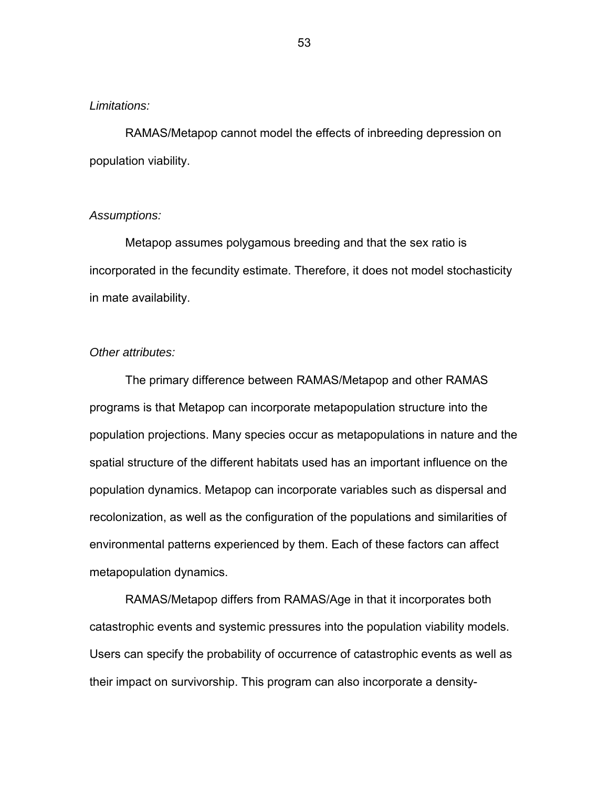### *Limitations:*

RAMAS/Metapop cannot model the effects of inbreeding depression on population viability.

# *Assumptions:*

Metapop assumes polygamous breeding and that the sex ratio is incorporated in the fecundity estimate. Therefore, it does not model stochasticity in mate availability.

# *Other attributes:*

The primary difference between RAMAS/Metapop and other RAMAS programs is that Metapop can incorporate metapopulation structure into the population projections. Many species occur as metapopulations in nature and the spatial structure of the different habitats used has an important influence on the population dynamics. Metapop can incorporate variables such as dispersal and recolonization, as well as the configuration of the populations and similarities of environmental patterns experienced by them. Each of these factors can affect metapopulation dynamics.

RAMAS/Metapop differs from RAMAS/Age in that it incorporates both catastrophic events and systemic pressures into the population viability models. Users can specify the probability of occurrence of catastrophic events as well as their impact on survivorship. This program can also incorporate a density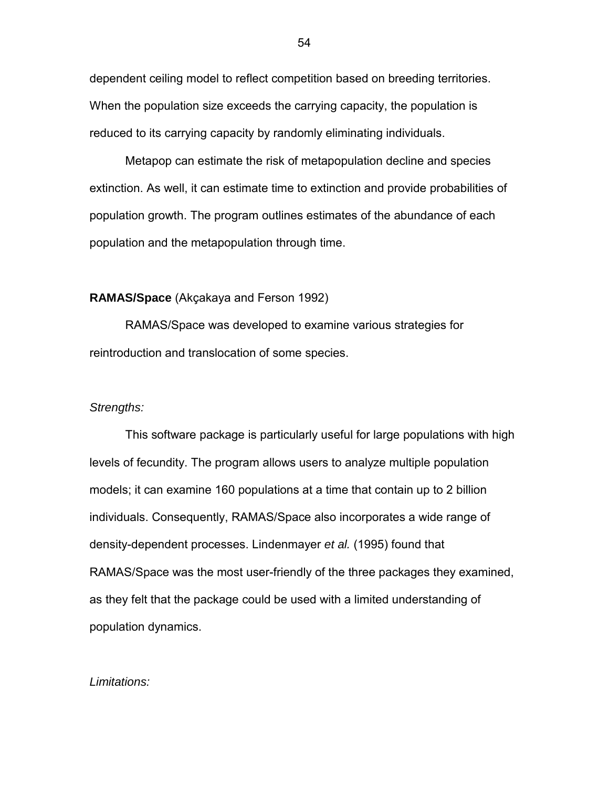dependent ceiling model to reflect competition based on breeding territories. When the population size exceeds the carrying capacity, the population is reduced to its carrying capacity by randomly eliminating individuals.

Metapop can estimate the risk of metapopulation decline and species extinction. As well, it can estimate time to extinction and provide probabilities of population growth. The program outlines estimates of the abundance of each population and the metapopulation through time.

# **RAMAS/Space** (Akçakaya and Ferson 1992)

RAMAS/Space was developed to examine various strategies for reintroduction and translocation of some species.

#### *Strengths:*

This software package is particularly useful for large populations with high levels of fecundity. The program allows users to analyze multiple population models; it can examine 160 populations at a time that contain up to 2 billion individuals. Consequently, RAMAS/Space also incorporates a wide range of density-dependent processes. Lindenmayer *et al.* (1995) found that RAMAS/Space was the most user-friendly of the three packages they examined, as they felt that the package could be used with a limited understanding of population dynamics.

#### *Limitations:*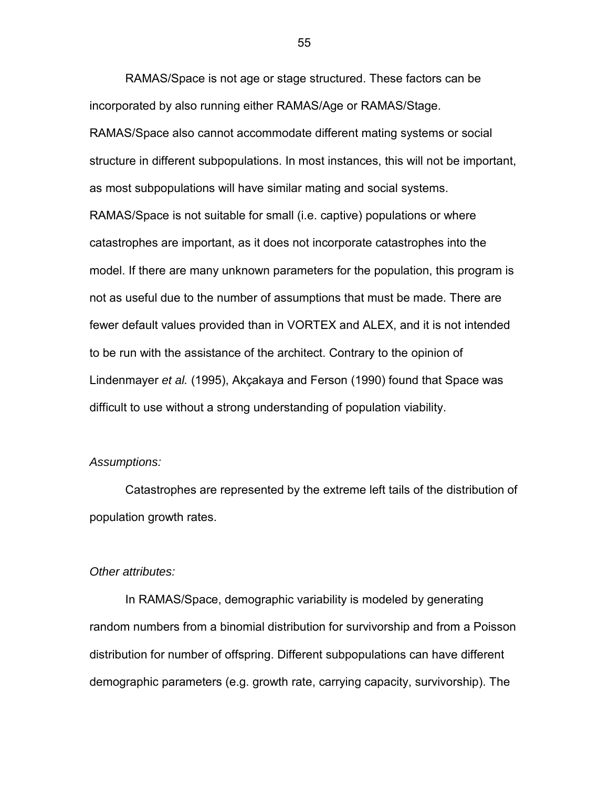RAMAS/Space is not age or stage structured. These factors can be incorporated by also running either RAMAS/Age or RAMAS/Stage. RAMAS/Space also cannot accommodate different mating systems or social structure in different subpopulations. In most instances, this will not be important, as most subpopulations will have similar mating and social systems. RAMAS/Space is not suitable for small (i.e. captive) populations or where catastrophes are important, as it does not incorporate catastrophes into the model. If there are many unknown parameters for the population, this program is not as useful due to the number of assumptions that must be made. There are fewer default values provided than in VORTEX and ALEX, and it is not intended to be run with the assistance of the architect. Contrary to the opinion of Lindenmayer *et al.* (1995), Akçakaya and Ferson (1990) found that Space was difficult to use without a strong understanding of population viability.

# *Assumptions:*

Catastrophes are represented by the extreme left tails of the distribution of population growth rates.

### *Other attributes:*

In RAMAS/Space, demographic variability is modeled by generating random numbers from a binomial distribution for survivorship and from a Poisson distribution for number of offspring. Different subpopulations can have different demographic parameters (e.g. growth rate, carrying capacity, survivorship). The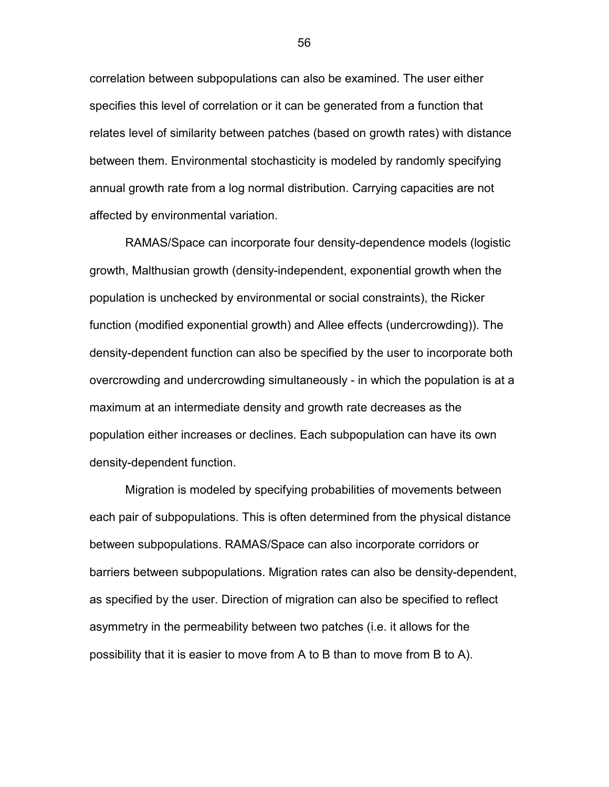correlation between subpopulations can also be examined. The user either specifies this level of correlation or it can be generated from a function that relates level of similarity between patches (based on growth rates) with distance between them. Environmental stochasticity is modeled by randomly specifying annual growth rate from a log normal distribution. Carrying capacities are not affected by environmental variation.

RAMAS/Space can incorporate four density-dependence models (logistic growth, Malthusian growth (density-independent, exponential growth when the population is unchecked by environmental or social constraints), the Ricker function (modified exponential growth) and Allee effects (undercrowding)). The density-dependent function can also be specified by the user to incorporate both overcrowding and undercrowding simultaneously - in which the population is at a maximum at an intermediate density and growth rate decreases as the population either increases or declines. Each subpopulation can have its own density-dependent function.

Migration is modeled by specifying probabilities of movements between each pair of subpopulations. This is often determined from the physical distance between subpopulations. RAMAS/Space can also incorporate corridors or barriers between subpopulations. Migration rates can also be density-dependent, as specified by the user. Direction of migration can also be specified to reflect asymmetry in the permeability between two patches (i.e. it allows for the possibility that it is easier to move from A to B than to move from B to A).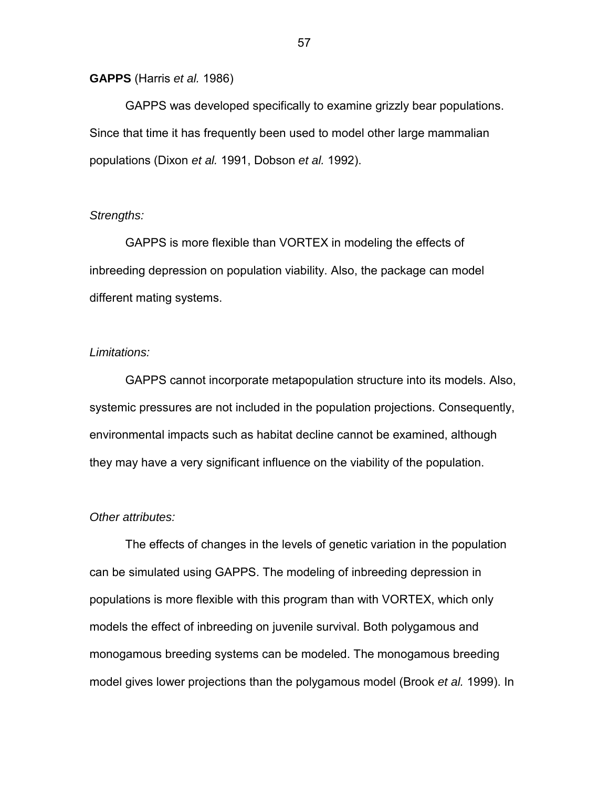### **GAPPS** (Harris *et al.* 1986)

GAPPS was developed specifically to examine grizzly bear populations. Since that time it has frequently been used to model other large mammalian populations (Dixon *et al.* 1991, Dobson *et al.* 1992).

# *Strengths:*

GAPPS is more flexible than VORTEX in modeling the effects of inbreeding depression on population viability. Also, the package can model different mating systems.

# *Limitations:*

GAPPS cannot incorporate metapopulation structure into its models. Also, systemic pressures are not included in the population projections. Consequently, environmental impacts such as habitat decline cannot be examined, although they may have a very significant influence on the viability of the population.

# *Other attributes:*

The effects of changes in the levels of genetic variation in the population can be simulated using GAPPS. The modeling of inbreeding depression in populations is more flexible with this program than with VORTEX, which only models the effect of inbreeding on juvenile survival. Both polygamous and monogamous breeding systems can be modeled. The monogamous breeding model gives lower projections than the polygamous model (Brook *et al.* 1999). In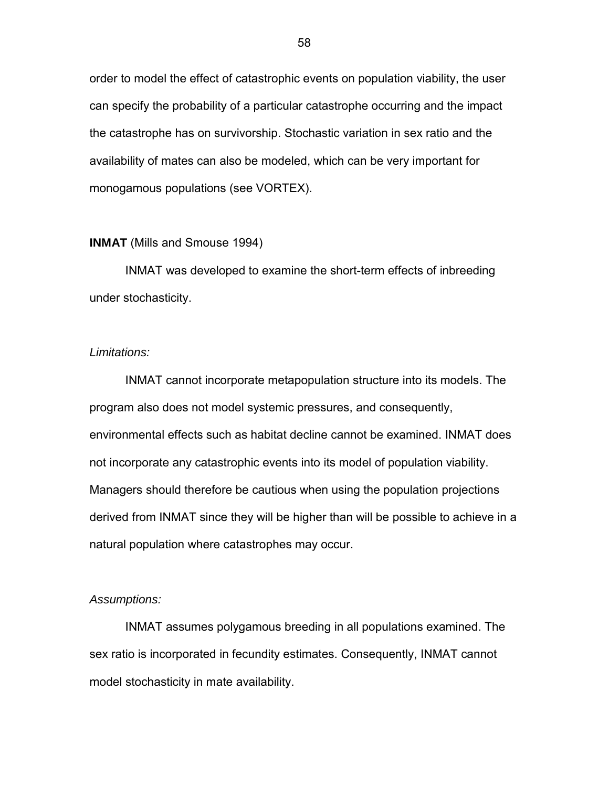order to model the effect of catastrophic events on population viability, the user can specify the probability of a particular catastrophe occurring and the impact the catastrophe has on survivorship. Stochastic variation in sex ratio and the availability of mates can also be modeled, which can be very important for monogamous populations (see VORTEX).

# **INMAT** (Mills and Smouse 1994)

INMAT was developed to examine the short-term effects of inbreeding under stochasticity.

# *Limitations:*

INMAT cannot incorporate metapopulation structure into its models. The program also does not model systemic pressures, and consequently, environmental effects such as habitat decline cannot be examined. INMAT does not incorporate any catastrophic events into its model of population viability. Managers should therefore be cautious when using the population projections derived from INMAT since they will be higher than will be possible to achieve in a natural population where catastrophes may occur.

# *Assumptions:*

INMAT assumes polygamous breeding in all populations examined. The sex ratio is incorporated in fecundity estimates. Consequently, INMAT cannot model stochasticity in mate availability.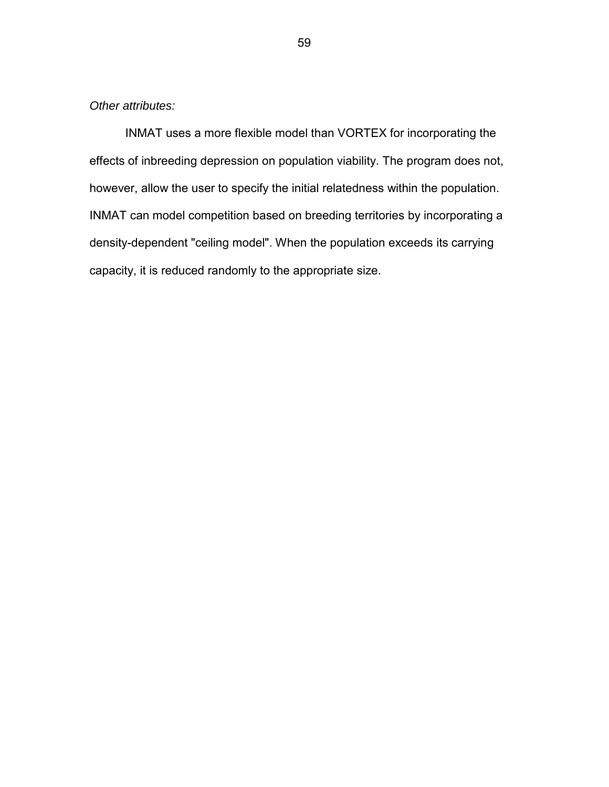*Other attributes:* 

INMAT uses a more flexible model than VORTEX for incorporating the effects of inbreeding depression on population viability. The program does not, however, allow the user to specify the initial relatedness within the population. INMAT can model competition based on breeding territories by incorporating a density-dependent "ceiling model". When the population exceeds its carrying capacity, it is reduced randomly to the appropriate size.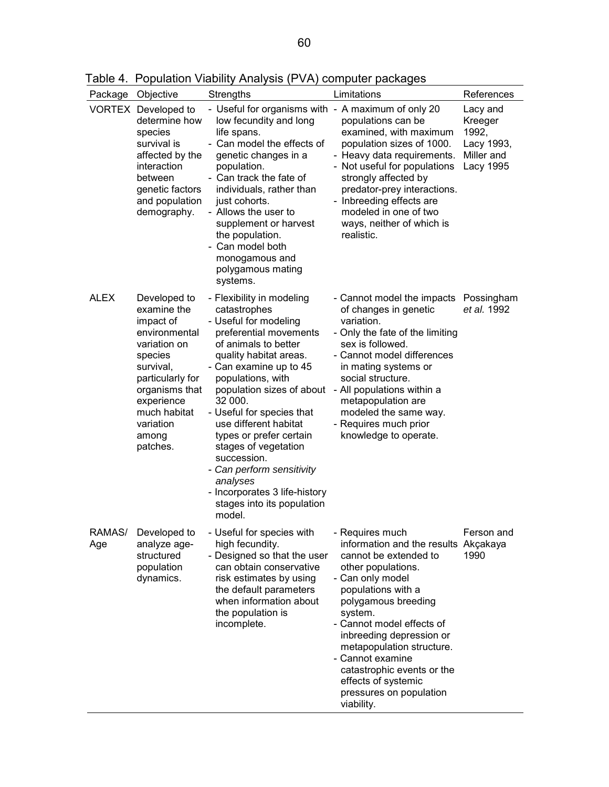|               | Package Objective                                                                                                                                                                                       | <b>Strengths</b>                                                                                                                                                                                                                                                                                                                                                                                                                                                                | Limitations                                                                                                                                                                                                                                                                                                                                                                                | References                                                            |
|---------------|---------------------------------------------------------------------------------------------------------------------------------------------------------------------------------------------------------|---------------------------------------------------------------------------------------------------------------------------------------------------------------------------------------------------------------------------------------------------------------------------------------------------------------------------------------------------------------------------------------------------------------------------------------------------------------------------------|--------------------------------------------------------------------------------------------------------------------------------------------------------------------------------------------------------------------------------------------------------------------------------------------------------------------------------------------------------------------------------------------|-----------------------------------------------------------------------|
|               | VORTEX Developed to<br>determine how<br>species<br>survival is<br>affected by the<br>interaction<br>between<br>genetic factors<br>and population<br>demography.                                         | - Useful for organisms with - A maximum of only 20<br>low fecundity and long<br>life spans.<br>- Can model the effects of<br>genetic changes in a<br>population.<br>- Can track the fate of<br>individuals, rather than<br>just cohorts.<br>- Allows the user to<br>supplement or harvest<br>the population.<br>Can model both<br>monogamous and<br>polygamous mating<br>systems.                                                                                               | populations can be<br>examined, with maximum<br>population sizes of 1000.<br>- Heavy data requirements.<br>- Not useful for populations<br>strongly affected by<br>predator-prey interactions.<br>- Inbreeding effects are<br>modeled in one of two<br>ways, neither of which is<br>realistic.                                                                                             | Lacy and<br>Kreeger<br>1992,<br>Lacy 1993,<br>Miller and<br>Lacy 1995 |
| <b>ALEX</b>   | Developed to<br>examine the<br>impact of<br>environmental<br>variation on<br>species<br>survival,<br>particularly for<br>organisms that<br>experience<br>much habitat<br>variation<br>among<br>patches. | - Flexibility in modeling<br>catastrophes<br>- Useful for modeling<br>preferential movements<br>of animals to better<br>quality habitat areas.<br>- Can examine up to 45<br>populations, with<br>population sizes of about<br>32 000.<br>- Useful for species that<br>use different habitat<br>types or prefer certain<br>stages of vegetation<br>succession.<br>- Can perform sensitivity<br>analyses<br>- Incorporates 3 life-history<br>stages into its population<br>model. | - Cannot model the impacts<br>of changes in genetic<br>variation.<br>- Only the fate of the limiting<br>sex is followed.<br>- Cannot model differences<br>in mating systems or<br>social structure.<br>- All populations within a<br>metapopulation are<br>modeled the same way.<br>- Requires much prior<br>knowledge to operate.                                                         | Possingham<br>et al. 1992                                             |
| RAMAS/<br>Age | Developed to<br>analyze age-<br>structured<br>population<br>dynamics.                                                                                                                                   | - Useful for species with<br>high fecundity.<br>- Designed so that the user<br>can obtain conservative<br>risk estimates by using<br>the default parameters<br>when information about<br>the population is<br>incomplete.                                                                                                                                                                                                                                                       | - Requires much<br>information and the results Akçakaya<br>cannot be extended to<br>other populations.<br>- Can only model<br>populations with a<br>polygamous breeding<br>system.<br>- Cannot model effects of<br>inbreeding depression or<br>metapopulation structure.<br>- Cannot examine<br>catastrophic events or the<br>effects of systemic<br>pressures on population<br>viability. | Ferson and<br>1990                                                    |

Table 4. Population Viability Analysis (PVA) computer packages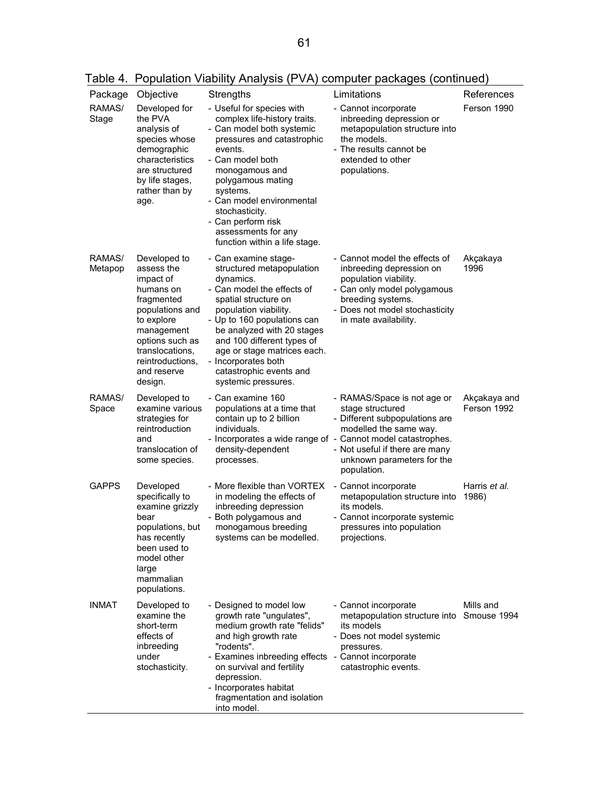| Table 4. Population Viability Analysis (PVA) computer packages (continued) |  |  |  |
|----------------------------------------------------------------------------|--|--|--|
|                                                                            |  |  |  |

| Package           | Objective                                                                                                                                                                                             | Strengths                                                                                                                                                                                                                                                                                                                                        | Limitations                                                                                                                                                                                                                                               | References                  |
|-------------------|-------------------------------------------------------------------------------------------------------------------------------------------------------------------------------------------------------|--------------------------------------------------------------------------------------------------------------------------------------------------------------------------------------------------------------------------------------------------------------------------------------------------------------------------------------------------|-----------------------------------------------------------------------------------------------------------------------------------------------------------------------------------------------------------------------------------------------------------|-----------------------------|
| RAMAS/<br>Stage   | Developed for<br>the PVA<br>analysis of<br>species whose<br>demographic<br>characteristics<br>are structured<br>by life stages,<br>rather than by<br>age.                                             | - Useful for species with<br>complex life-history traits.<br>- Can model both systemic<br>pressures and catastrophic<br>events.<br>- Can model both<br>monogamous and<br>polygamous mating<br>systems.<br>- Can model environmental<br>stochasticity.<br>- Can perform risk<br>assessments for any<br>function within a life stage.              | - Cannot incorporate<br>inbreeding depression or<br>metapopulation structure into<br>the models.<br>- The results cannot be<br>extended to other<br>populations.                                                                                          | Ferson 1990                 |
| RAMAS/<br>Metapop | Developed to<br>assess the<br>impact of<br>humans on<br>fragmented<br>populations and<br>to explore<br>management<br>options such as<br>translocations,<br>reintroductions.<br>and reserve<br>design. | - Can examine stage-<br>structured metapopulation<br>dynamics.<br>- Can model the effects of<br>spatial structure on<br>population viability.<br>- Up to 160 populations can<br>be analyzed with 20 stages<br>and 100 different types of<br>age or stage matrices each.<br>- Incorporates both<br>catastrophic events and<br>systemic pressures. | - Cannot model the effects of<br>inbreeding depression on<br>population viability.<br>- Can only model polygamous<br>breeding systems.<br>- Does not model stochasticity<br>in mate availability.                                                         | Akçakaya<br>1996            |
| RAMAS/<br>Space   | Developed to<br>examine various<br>strategies for<br>reintroduction<br>and<br>translocation of<br>some species.                                                                                       | - Can examine 160<br>populations at a time that<br>contain up to 2 billion<br>individuals.<br>density-dependent<br>processes.                                                                                                                                                                                                                    | - RAMAS/Space is not age or<br>stage structured<br>- Different subpopulations are<br>modelled the same way.<br>- Incorporates a wide range of - Cannot model catastrophes.<br>- Not useful if there are many<br>unknown parameters for the<br>population. | Akçakaya and<br>Ferson 1992 |
| <b>GAPPS</b>      | Developed<br>specifically to<br>examine grizzly<br>bear<br>populations, but<br>has recently<br>been used to<br>model other<br>large<br>mammalian<br>populations.                                      | - More flexible than VORTEX<br>in modeling the effects of<br>inbreeding depression<br>- Both polygamous and<br>monogamous breeding<br>systems can be modelled.                                                                                                                                                                                   | - Cannot incorporate<br>metapopulation structure into<br>its models.<br>- Cannot incorporate systemic<br>pressures into population<br>projections.                                                                                                        | Harris et al.<br>1986)      |
| <b>INMAT</b>      | Developed to<br>examine the<br>short-term<br>effects of<br>inbreeding<br>under<br>stochasticity.                                                                                                      | - Designed to model low<br>growth rate "ungulates",<br>medium growth rate "felids"<br>and high growth rate<br>"rodents".<br>- Examines inbreeding effects - Cannot incorporate<br>on survival and fertility<br>depression.<br>- Incorporates habitat<br>fragmentation and isolation<br>into model.                                               | - Cannot incorporate<br>metapopulation structure into Smouse 1994<br>its models<br>- Does not model systemic<br>pressures.<br>catastrophic events.                                                                                                        | Mills and                   |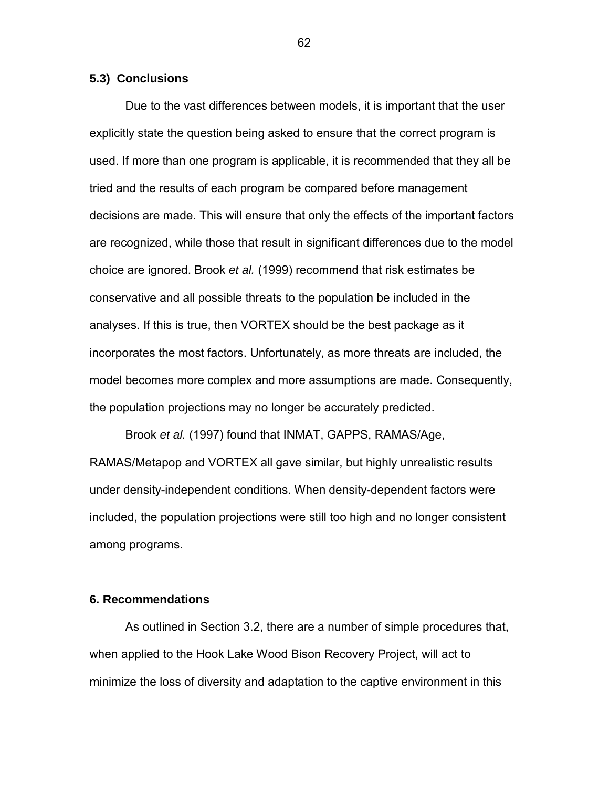# **5.3) Conclusions**

Due to the vast differences between models, it is important that the user explicitly state the question being asked to ensure that the correct program is used. If more than one program is applicable, it is recommended that they all be tried and the results of each program be compared before management decisions are made. This will ensure that only the effects of the important factors are recognized, while those that result in significant differences due to the model choice are ignored. Brook *et al.* (1999) recommend that risk estimates be conservative and all possible threats to the population be included in the analyses. If this is true, then VORTEX should be the best package as it incorporates the most factors. Unfortunately, as more threats are included, the model becomes more complex and more assumptions are made. Consequently, the population projections may no longer be accurately predicted.

Brook *et al.* (1997) found that INMAT, GAPPS, RAMAS/Age, RAMAS/Metapop and VORTEX all gave similar, but highly unrealistic results under density-independent conditions. When density-dependent factors were included, the population projections were still too high and no longer consistent among programs.

### **6. Recommendations**

As outlined in Section 3.2, there are a number of simple procedures that, when applied to the Hook Lake Wood Bison Recovery Project, will act to minimize the loss of diversity and adaptation to the captive environment in this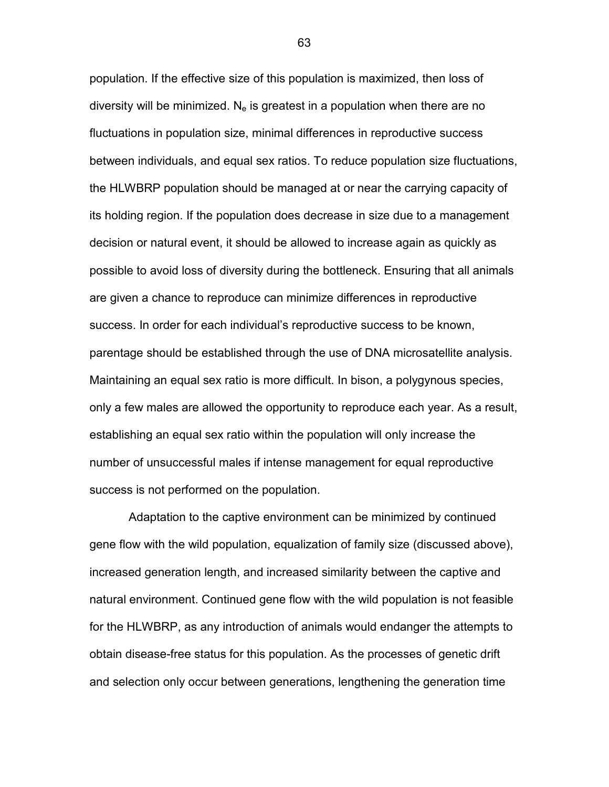population. If the effective size of this population is maximized, then loss of diversity will be minimized.  $N_e$  is greatest in a population when there are no fluctuations in population size, minimal differences in reproductive success between individuals, and equal sex ratios. To reduce population size fluctuations, the HLWBRP population should be managed at or near the carrying capacity of its holding region. If the population does decrease in size due to a management decision or natural event, it should be allowed to increase again as quickly as possible to avoid loss of diversity during the bottleneck. Ensuring that all animals are given a chance to reproduce can minimize differences in reproductive success. In order for each individual's reproductive success to be known, parentage should be established through the use of DNA microsatellite analysis. Maintaining an equal sex ratio is more difficult. In bison, a polygynous species, only a few males are allowed the opportunity to reproduce each year. As a result, establishing an equal sex ratio within the population will only increase the number of unsuccessful males if intense management for equal reproductive success is not performed on the population.

 Adaptation to the captive environment can be minimized by continued gene flow with the wild population, equalization of family size (discussed above), increased generation length, and increased similarity between the captive and natural environment. Continued gene flow with the wild population is not feasible for the HLWBRP, as any introduction of animals would endanger the attempts to obtain disease-free status for this population. As the processes of genetic drift and selection only occur between generations, lengthening the generation time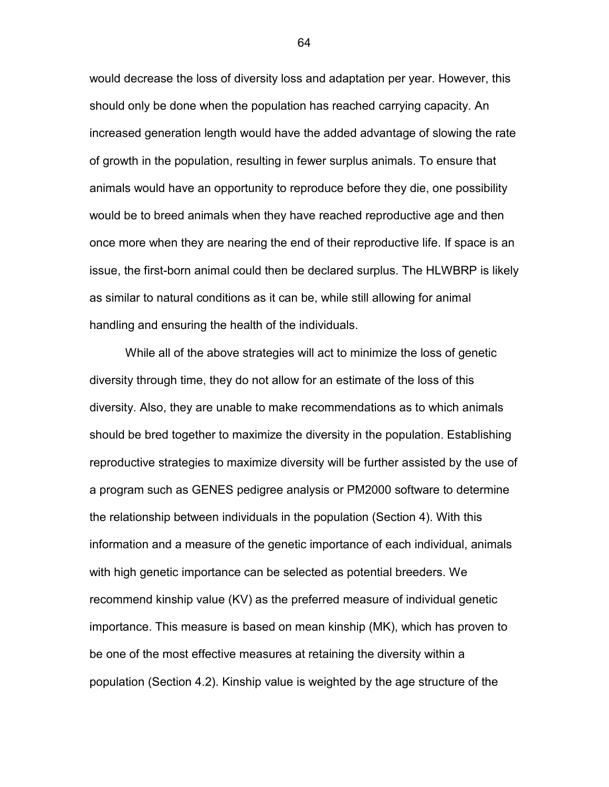would decrease the loss of diversity loss and adaptation per year. However, this should only be done when the population has reached carrying capacity. An increased generation length would have the added advantage of slowing the rate of growth in the population, resulting in fewer surplus animals. To ensure that animals would have an opportunity to reproduce before they die, one possibility would be to breed animals when they have reached reproductive age and then once more when they are nearing the end of their reproductive life. If space is an issue, the first-born animal could then be declared surplus. The HLWBRP is likely as similar to natural conditions as it can be, while still allowing for animal handling and ensuring the health of the individuals.

 While all of the above strategies will act to minimize the loss of genetic diversity through time, they do not allow for an estimate of the loss of this diversity. Also, they are unable to make recommendations as to which animals should be bred together to maximize the diversity in the population. Establishing reproductive strategies to maximize diversity will be further assisted by the use of a program such as GENES pedigree analysis or PM2000 software to determine the relationship between individuals in the population (Section 4). With this information and a measure of the genetic importance of each individual, animals with high genetic importance can be selected as potential breeders. We recommend kinship value (KV) as the preferred measure of individual genetic importance. This measure is based on mean kinship (MK), which has proven to be one of the most effective measures at retaining the diversity within a population (Section 4.2). Kinship value is weighted by the age structure of the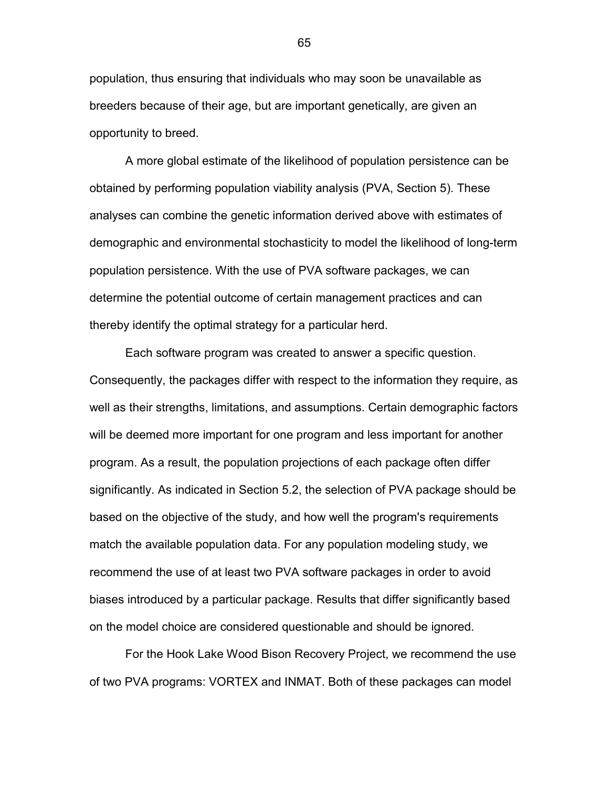population, thus ensuring that individuals who may soon be unavailable as breeders because of their age, but are important genetically, are given an opportunity to breed.

 A more global estimate of the likelihood of population persistence can be obtained by performing population viability analysis (PVA, Section 5). These analyses can combine the genetic information derived above with estimates of demographic and environmental stochasticity to model the likelihood of long-term population persistence. With the use of PVA software packages, we can determine the potential outcome of certain management practices and can thereby identify the optimal strategy for a particular herd.

 Each software program was created to answer a specific question. Consequently, the packages differ with respect to the information they require, as well as their strengths, limitations, and assumptions. Certain demographic factors will be deemed more important for one program and less important for another program. As a result, the population projections of each package often differ significantly. As indicated in Section 5.2, the selection of PVA package should be based on the objective of the study, and how well the program's requirements match the available population data. For any population modeling study, we recommend the use of at least two PVA software packages in order to avoid biases introduced by a particular package. Results that differ significantly based on the model choice are considered questionable and should be ignored.

 For the Hook Lake Wood Bison Recovery Project, we recommend the use of two PVA programs: VORTEX and INMAT. Both of these packages can model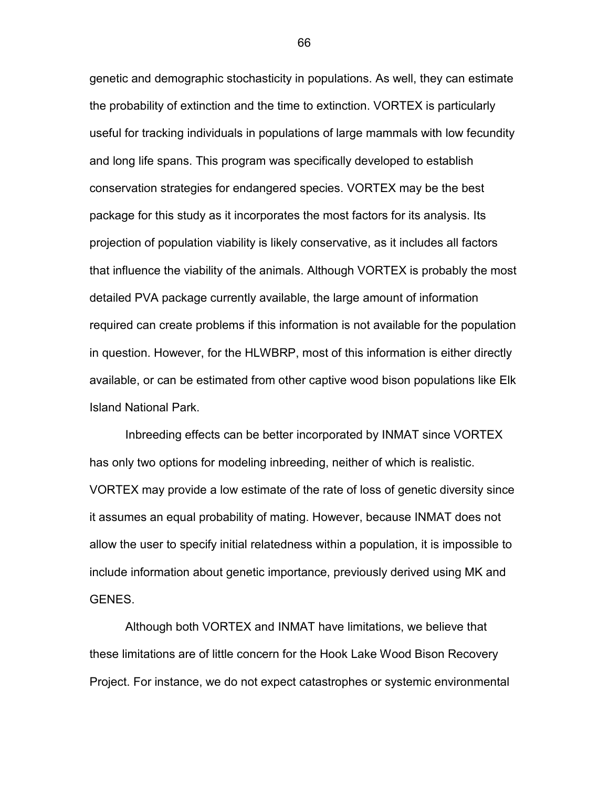genetic and demographic stochasticity in populations. As well, they can estimate the probability of extinction and the time to extinction. VORTEX is particularly useful for tracking individuals in populations of large mammals with low fecundity and long life spans. This program was specifically developed to establish conservation strategies for endangered species. VORTEX may be the best package for this study as it incorporates the most factors for its analysis. Its projection of population viability is likely conservative, as it includes all factors that influence the viability of the animals. Although VORTEX is probably the most detailed PVA package currently available, the large amount of information required can create problems if this information is not available for the population in question. However, for the HLWBRP, most of this information is either directly available, or can be estimated from other captive wood bison populations like Elk Island National Park.

 Inbreeding effects can be better incorporated by INMAT since VORTEX has only two options for modeling inbreeding, neither of which is realistic. VORTEX may provide a low estimate of the rate of loss of genetic diversity since it assumes an equal probability of mating. However, because INMAT does not allow the user to specify initial relatedness within a population, it is impossible to include information about genetic importance, previously derived using MK and GENES.

 Although both VORTEX and INMAT have limitations, we believe that these limitations are of little concern for the Hook Lake Wood Bison Recovery Project. For instance, we do not expect catastrophes or systemic environmental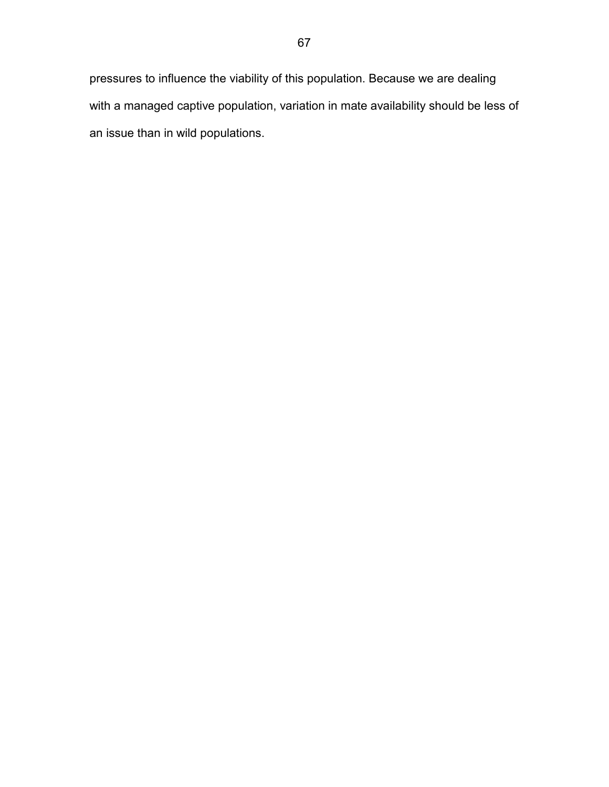pressures to influence the viability of this population. Because we are dealing with a managed captive population, variation in mate availability should be less of an issue than in wild populations.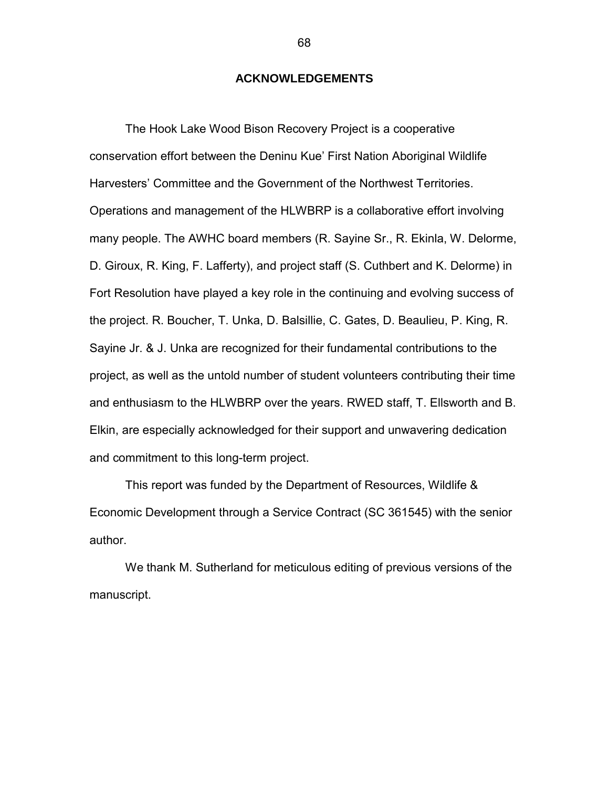## **ACKNOWLEDGEMENTS**

The Hook Lake Wood Bison Recovery Project is a cooperative conservation effort between the Deninu Kue' First Nation Aboriginal Wildlife Harvesters' Committee and the Government of the Northwest Territories. Operations and management of the HLWBRP is a collaborative effort involving many people. The AWHC board members (R. Sayine Sr., R. Ekinla, W. Delorme, D. Giroux, R. King, F. Lafferty), and project staff (S. Cuthbert and K. Delorme) in Fort Resolution have played a key role in the continuing and evolving success of the project. R. Boucher, T. Unka, D. Balsillie, C. Gates, D. Beaulieu, P. King, R. Sayine Jr. & J. Unka are recognized for their fundamental contributions to the project, as well as the untold number of student volunteers contributing their time and enthusiasm to the HLWBRP over the years. RWED staff, T. Ellsworth and B. Elkin, are especially acknowledged for their support and unwavering dedication and commitment to this long-term project.

This report was funded by the Department of Resources, Wildlife & Economic Development through a Service Contract (SC 361545) with the senior author.

We thank M. Sutherland for meticulous editing of previous versions of the manuscript.

68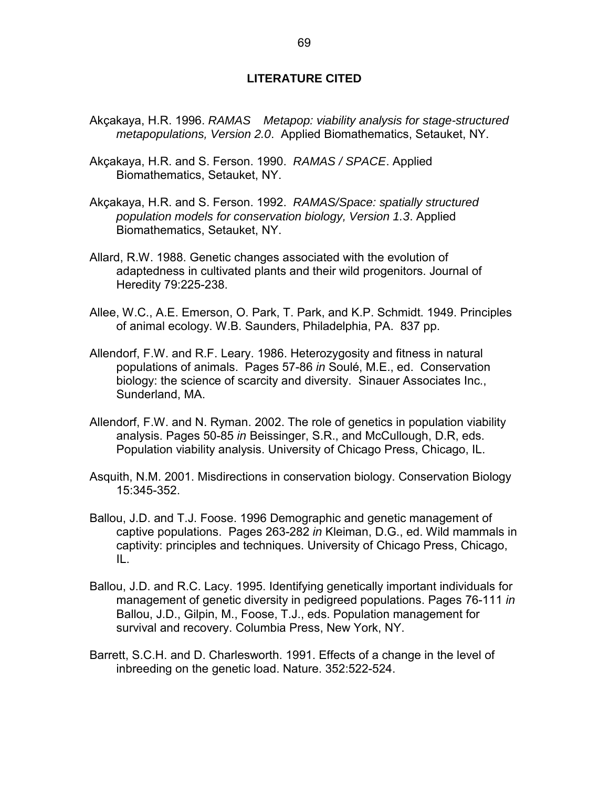## **LITERATURE CITED**

- Akçakaya, H.R. 1996. *RAMAS<sup>®</sup> Metapop: viability analysis for stage-structured metapopulations, Version 2.0*. Applied Biomathematics, Setauket, NY.
- Akçakaya, H.R. and S. Ferson. 1990. *RAMAS / SPACE*. Applied Biomathematics, Setauket, NY.
- Akçakaya, H.R. and S. Ferson. 1992. *RAMAS/Space: spatially structured population models for conservation biology, Version 1.3*. Applied Biomathematics, Setauket, NY.
- Allard, R.W. 1988. Genetic changes associated with the evolution of adaptedness in cultivated plants and their wild progenitors. Journal of Heredity 79:225-238.
- Allee, W.C., A.E. Emerson, O. Park, T. Park, and K.P. Schmidt. 1949. Principles of animal ecology. W.B. Saunders, Philadelphia, PA. 837 pp.
- Allendorf, F.W. and R.F. Leary. 1986. Heterozygosity and fitness in natural populations of animals. Pages 57-86 *in* Soulé, M.E., ed. Conservation biology: the science of scarcity and diversity. Sinauer Associates Inc., Sunderland, MA.
- Allendorf, F.W. and N. Ryman. 2002. The role of genetics in population viability analysis. Pages 50-85 *in* Beissinger, S.R., and McCullough, D.R, eds. Population viability analysis. University of Chicago Press, Chicago, IL.
- Asquith, N.M. 2001. Misdirections in conservation biology. Conservation Biology 15:345-352.
- Ballou, J.D. and T.J. Foose. 1996 Demographic and genetic management of captive populations. Pages 263-282 *in* Kleiman, D.G., ed. Wild mammals in captivity: principles and techniques. University of Chicago Press, Chicago, IL.
- Ballou, J.D. and R.C. Lacy. 1995. Identifying genetically important individuals for management of genetic diversity in pedigreed populations. Pages 76-111 *in* Ballou, J.D., Gilpin, M., Foose, T.J., eds. Population management for survival and recovery. Columbia Press, New York, NY.
- Barrett, S.C.H. and D. Charlesworth. 1991. Effects of a change in the level of inbreeding on the genetic load. Nature. 352:522-524.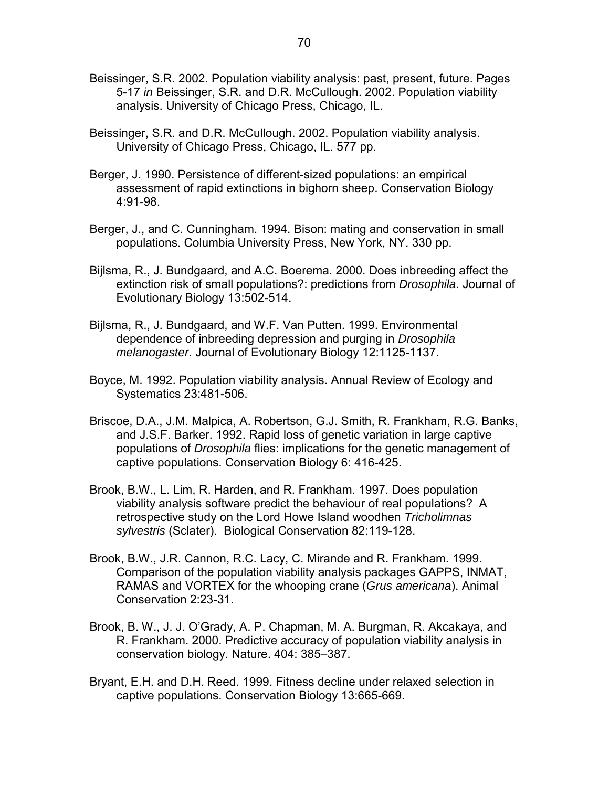- Beissinger, S.R. 2002. Population viability analysis: past, present, future. Pages 5-17 *in* Beissinger, S.R. and D.R. McCullough. 2002. Population viability analysis. University of Chicago Press, Chicago, IL.
- Beissinger, S.R. and D.R. McCullough. 2002. Population viability analysis. University of Chicago Press, Chicago, IL. 577 pp.
- Berger, J. 1990. Persistence of different-sized populations: an empirical assessment of rapid extinctions in bighorn sheep. Conservation Biology 4:91-98.
- Berger, J., and C. Cunningham. 1994. Bison: mating and conservation in small populations. Columbia University Press, New York, NY. 330 pp.
- Bijlsma, R., J. Bundgaard, and A.C. Boerema. 2000. Does inbreeding affect the extinction risk of small populations?: predictions from *Drosophila*. Journal of Evolutionary Biology 13:502-514.
- Bijlsma, R., J. Bundgaard, and W.F. Van Putten. 1999. Environmental dependence of inbreeding depression and purging in *Drosophila melanogaster*. Journal of Evolutionary Biology 12:1125-1137.
- Boyce, M. 1992. Population viability analysis. Annual Review of Ecology and Systematics 23:481-506.
- Briscoe, D.A., J.M. Malpica, A. Robertson, G.J. Smith, R. Frankham, R.G. Banks, and J.S.F. Barker. 1992. Rapid loss of genetic variation in large captive populations of *Drosophila* flies: implications for the genetic management of captive populations. Conservation Biology 6: 416-425.
- Brook, B.W., L. Lim, R. Harden, and R. Frankham. 1997. Does population viability analysis software predict the behaviour of real populations? A retrospective study on the Lord Howe Island woodhen *Tricholimnas sylvestris* (Sclater). Biological Conservation 82:119-128.
- Brook, B.W., J.R. Cannon, R.C. Lacy, C. Mirande and R. Frankham. 1999. Comparison of the population viability analysis packages GAPPS, INMAT, RAMAS and VORTEX for the whooping crane (*Grus americana*). Animal Conservation 2:23-31.
- Brook, B. W., J. J. O'Grady, A. P. Chapman, M. A. Burgman, R. Akcakaya, and R. Frankham. 2000. Predictive accuracy of population viability analysis in conservation biology. Nature. 404: 385–387.
- Bryant, E.H. and D.H. Reed. 1999. Fitness decline under relaxed selection in captive populations. Conservation Biology 13:665-669.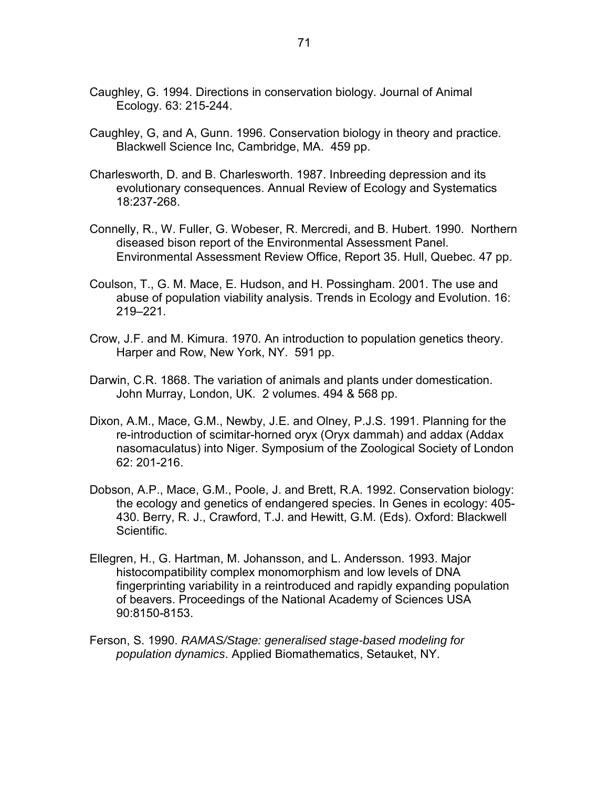- Caughley, G. 1994. Directions in conservation biology. Journal of Animal Ecology. 63: 215-244.
- Caughley, G, and A, Gunn. 1996. Conservation biology in theory and practice. Blackwell Science Inc, Cambridge, MA. 459 pp.
- Charlesworth, D. and B. Charlesworth. 1987. Inbreeding depression and its evolutionary consequences. Annual Review of Ecology and Systematics 18:237-268.
- Connelly, R., W. Fuller, G. Wobeser, R. Mercredi, and B. Hubert. 1990. Northern diseased bison report of the Environmental Assessment Panel. Environmental Assessment Review Office, Report 35. Hull, Quebec. 47 pp.
- Coulson, T., G. M. Mace, E. Hudson, and H. Possingham. 2001. The use and abuse of population viability analysis. Trends in Ecology and Evolution. 16: 219–221.
- Crow, J.F. and M. Kimura. 1970. An introduction to population genetics theory. Harper and Row, New York, NY. 591 pp.
- Darwin, C.R. 1868. The variation of animals and plants under domestication. John Murray, London, UK. 2 volumes. 494 & 568 pp.
- Dixon, A.M., Mace, G.M., Newby, J.E. and Olney, P.J.S. 1991. Planning for the re-introduction of scimitar-horned oryx (Oryx dammah) and addax (Addax nasomaculatus) into Niger. Symposium of the Zoological Society of London 62: 201-216.
- Dobson, A.P., Mace, G.M., Poole, J. and Brett, R.A. 1992. Conservation biology: the ecology and genetics of endangered species. In Genes in ecology: 405- 430. Berry, R. J., Crawford, T.J. and Hewitt, G.M. (Eds). Oxford: Blackwell Scientific.
- Ellegren, H., G. Hartman, M. Johansson, and L. Andersson. 1993. Major histocompatibility complex monomorphism and low levels of DNA fingerprinting variability in a reintroduced and rapidly expanding population of beavers. Proceedings of the National Academy of Sciences USA 90:8150-8153.
- Ferson, S. 1990. *RAMAS/Stage: generalised stage-based modeling for population dynamics*. Applied Biomathematics, Setauket, NY.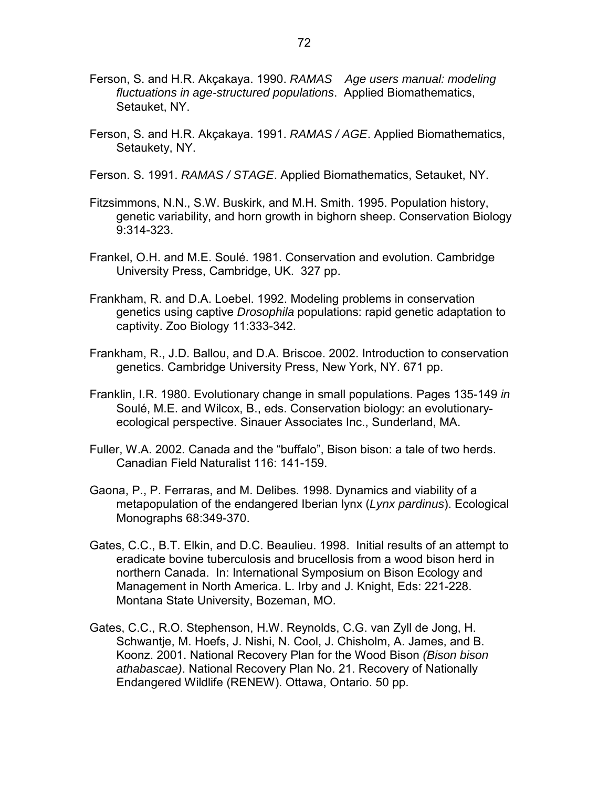- Ferson, S. and H.R. Akçakaya. 1990. *RAMAS Age users manual: modeling fluctuations in age-structured populations*. Applied Biomathematics, Setauket, NY.
- Ferson, S. and H.R. Akçakaya. 1991. *RAMAS / AGE*. Applied Biomathematics, Setaukety, NY.

Ferson. S. 1991. *RAMAS / STAGE*. Applied Biomathematics, Setauket, NY.

- Fitzsimmons, N.N., S.W. Buskirk, and M.H. Smith. 1995. Population history, genetic variability, and horn growth in bighorn sheep. Conservation Biology 9:314-323.
- Frankel, O.H. and M.E. Soulé. 1981. Conservation and evolution. Cambridge University Press, Cambridge, UK. 327 pp.
- Frankham, R. and D.A. Loebel. 1992. Modeling problems in conservation genetics using captive *Drosophila* populations: rapid genetic adaptation to captivity. Zoo Biology 11:333-342.
- Frankham, R., J.D. Ballou, and D.A. Briscoe. 2002. Introduction to conservation genetics. Cambridge University Press, New York, NY. 671 pp.
- Franklin, I.R. 1980. Evolutionary change in small populations. Pages 135-149 *in* Soulé, M.E. and Wilcox, B., eds. Conservation biology: an evolutionaryecological perspective. Sinauer Associates Inc., Sunderland, MA.
- Fuller, W.A. 2002. Canada and the "buffalo", Bison bison: a tale of two herds. Canadian Field Naturalist 116: 141-159.
- Gaona, P., P. Ferraras, and M. Delibes. 1998. Dynamics and viability of a metapopulation of the endangered Iberian lynx (*Lynx pardinus*). Ecological Monographs 68:349-370.
- Gates, C.C., B.T. Elkin, and D.C. Beaulieu. 1998. Initial results of an attempt to eradicate bovine tuberculosis and brucellosis from a wood bison herd in northern Canada. In: International Symposium on Bison Ecology and Management in North America. L. Irby and J. Knight, Eds: 221-228. Montana State University, Bozeman, MO.
- Gates, C.C., R.O. Stephenson, H.W. Reynolds, C.G. van Zyll de Jong, H. Schwantje, M. Hoefs, J. Nishi, N. Cool, J. Chisholm, A. James, and B. Koonz. 2001. National Recovery Plan for the Wood Bison *(Bison bison athabascae)*. National Recovery Plan No. 21. Recovery of Nationally Endangered Wildlife (RENEW). Ottawa, Ontario. 50 pp.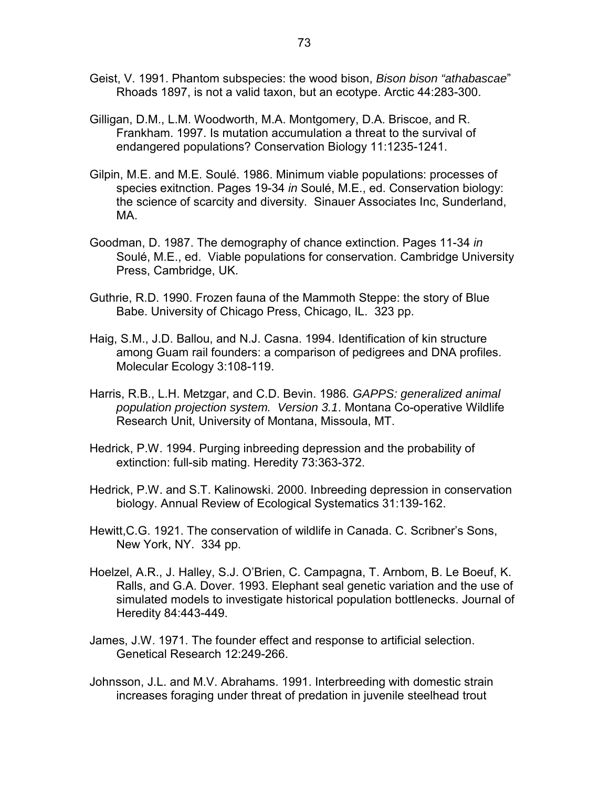- Geist, V. 1991. Phantom subspecies: the wood bison, *Bison bison "athabascae*" Rhoads 1897, is not a valid taxon, but an ecotype. Arctic 44:283-300.
- Gilligan, D.M., L.M. Woodworth, M.A. Montgomery, D.A. Briscoe, and R. Frankham. 1997. Is mutation accumulation a threat to the survival of endangered populations? Conservation Biology 11:1235-1241.
- Gilpin, M.E. and M.E. Soulé. 1986. Minimum viable populations: processes of species exitnction. Pages 19-34 *in* Soulé, M.E., ed. Conservation biology: the science of scarcity and diversity. Sinauer Associates Inc, Sunderland, MA.
- Goodman, D. 1987. The demography of chance extinction. Pages 11-34 *in* Soulé, M.E., ed. Viable populations for conservation. Cambridge University Press, Cambridge, UK.
- Guthrie, R.D. 1990. Frozen fauna of the Mammoth Steppe: the story of Blue Babe. University of Chicago Press, Chicago, IL. 323 pp.
- Haig, S.M., J.D. Ballou, and N.J. Casna. 1994. Identification of kin structure among Guam rail founders: a comparison of pedigrees and DNA profiles. Molecular Ecology 3:108-119.
- Harris, R.B., L.H. Metzgar, and C.D. Bevin. 1986*. GAPPS: generalized animal population projection system. Version 3.1*. Montana Co-operative Wildlife Research Unit, University of Montana, Missoula, MT.
- Hedrick, P.W. 1994. Purging inbreeding depression and the probability of extinction: full-sib mating. Heredity 73:363-372.
- Hedrick, P.W. and S.T. Kalinowski. 2000. Inbreeding depression in conservation biology. Annual Review of Ecological Systematics 31:139-162.
- Hewitt,C.G. 1921. The conservation of wildlife in Canada. C. Scribner's Sons, New York, NY. 334 pp.
- Hoelzel, A.R., J. Halley, S.J. O'Brien, C. Campagna, T. Arnbom, B. Le Boeuf, K. Ralls, and G.A. Dover. 1993. Elephant seal genetic variation and the use of simulated models to investigate historical population bottlenecks. Journal of Heredity 84:443-449.
- James, J.W. 1971. The founder effect and response to artificial selection. Genetical Research 12:249-266.
- Johnsson, J.L. and M.V. Abrahams. 1991. Interbreeding with domestic strain increases foraging under threat of predation in juvenile steelhead trout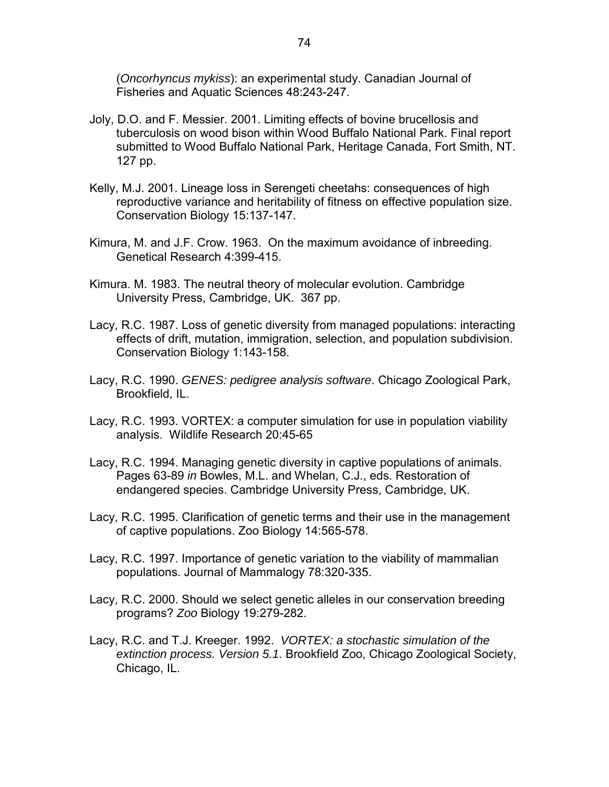(*Oncorhyncus mykiss*): an experimental study. Canadian Journal of Fisheries and Aquatic Sciences 48:243-247.

- Joly, D.O. and F. Messier. 2001. Limiting effects of bovine brucellosis and tuberculosis on wood bison within Wood Buffalo National Park. Final report submitted to Wood Buffalo National Park, Heritage Canada, Fort Smith, NT. 127 pp.
- Kelly, M.J. 2001. Lineage loss in Serengeti cheetahs: consequences of high reproductive variance and heritability of fitness on effective population size. Conservation Biology 15:137-147.
- Kimura, M. and J.F. Crow. 1963. On the maximum avoidance of inbreeding. Genetical Research 4:399-415.
- Kimura. M. 1983. The neutral theory of molecular evolution. Cambridge University Press, Cambridge, UK. 367 pp.
- Lacy, R.C. 1987. Loss of genetic diversity from managed populations: interacting effects of drift, mutation, immigration, selection, and population subdivision. Conservation Biology 1:143-158.
- Lacy, R.C. 1990. *GENES: pedigree analysis software*. Chicago Zoological Park, Brookfield, IL.
- Lacy, R.C. 1993. VORTEX: a computer simulation for use in population viability analysis. Wildlife Research 20:45-65
- Lacy, R.C. 1994. Managing genetic diversity in captive populations of animals. Pages 63-89 *in* Bowles, M.L. and Whelan, C.J., eds. Restoration of endangered species. Cambridge University Press, Cambridge, UK.
- Lacy, R.C. 1995. Clarification of genetic terms and their use in the management of captive populations. Zoo Biology 14:565-578.
- Lacy, R.C. 1997. Importance of genetic variation to the viability of mammalian populations. Journal of Mammalogy 78:320-335.
- Lacy, R.C. 2000. Should we select genetic alleles in our conservation breeding programs? *Zoo* Biology 19:279-282.
- Lacy, R.C. and T.J. Kreeger. 1992. *VORTEX: a stochastic simulation of the extinction process. Version 5.1*. Brookfield Zoo, Chicago Zoological Society, Chicago, IL.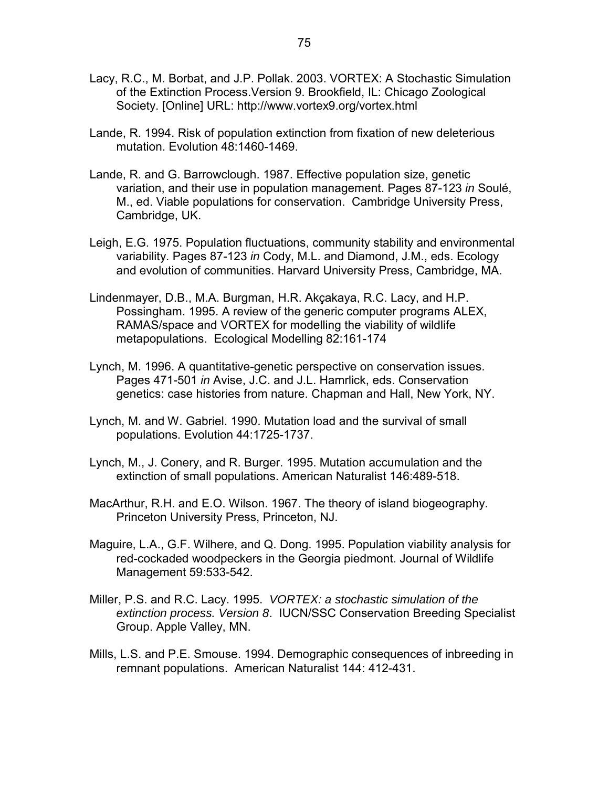- Lacy, R.C., M. Borbat, and J.P. Pollak. 2003. VORTEX: A Stochastic Simulation of the Extinction Process.Version 9. Brookfield, IL: Chicago Zoological Society. [Online] URL: http://www.vortex9.org/vortex.html
- Lande, R. 1994. Risk of population extinction from fixation of new deleterious mutation. Evolution 48:1460-1469.
- Lande, R. and G. Barrowclough. 1987. Effective population size, genetic variation, and their use in population management. Pages 87-123 *in* Soulé, M., ed. Viable populations for conservation. Cambridge University Press, Cambridge, UK.
- Leigh, E.G. 1975. Population fluctuations, community stability and environmental variability. Pages 87-123 *in* Cody, M.L. and Diamond, J.M., eds. Ecology and evolution of communities. Harvard University Press, Cambridge, MA.
- Lindenmayer, D.B., M.A. Burgman, H.R. Akçakaya, R.C. Lacy, and H.P. Possingham. 1995. A review of the generic computer programs ALEX, RAMAS/space and VORTEX for modelling the viability of wildlife metapopulations. Ecological Modelling 82:161-174
- Lynch, M. 1996. A quantitative-genetic perspective on conservation issues. Pages 471-501 *in* Avise, J.C. and J.L. Hamrlick, eds. Conservation genetics: case histories from nature. Chapman and Hall, New York, NY.
- Lynch, M. and W. Gabriel. 1990. Mutation load and the survival of small populations. Evolution 44:1725-1737.
- Lynch, M., J. Conery, and R. Burger. 1995. Mutation accumulation and the extinction of small populations. American Naturalist 146:489-518.
- MacArthur, R.H. and E.O. Wilson. 1967. The theory of island biogeography. Princeton University Press, Princeton, NJ.
- Maguire, L.A., G.F. Wilhere, and Q. Dong. 1995. Population viability analysis for red-cockaded woodpeckers in the Georgia piedmont. Journal of Wildlife Management 59:533-542.
- Miller, P.S. and R.C. Lacy. 1995. *VORTEX: a stochastic simulation of the extinction process. Version 8*. IUCN/SSC Conservation Breeding Specialist Group. Apple Valley, MN.
- Mills, L.S. and P.E. Smouse. 1994. Demographic consequences of inbreeding in remnant populations. American Naturalist 144: 412-431.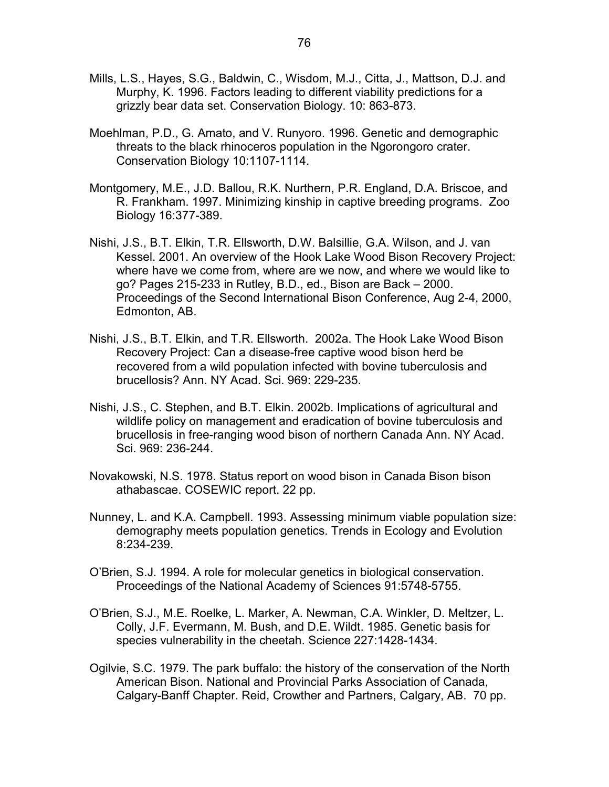- Mills, L.S., Hayes, S.G., Baldwin, C., Wisdom, M.J., Citta, J., Mattson, D.J. and Murphy, K. 1996. Factors leading to different viability predictions for a grizzly bear data set. Conservation Biology. 10: 863-873.
- Moehlman, P.D., G. Amato, and V. Runyoro. 1996. Genetic and demographic threats to the black rhinoceros population in the Ngorongoro crater. Conservation Biology 10:1107-1114.
- Montgomery, M.E., J.D. Ballou, R.K. Nurthern, P.R. England, D.A. Briscoe, and R. Frankham. 1997. Minimizing kinship in captive breeding programs. Zoo Biology 16:377-389.
- Nishi, J.S., B.T. Elkin, T.R. Ellsworth, D.W. Balsillie, G.A. Wilson, and J. van Kessel. 2001. An overview of the Hook Lake Wood Bison Recovery Project: where have we come from, where are we now, and where we would like to go? Pages 215-233 in Rutley, B.D., ed., Bison are Back – 2000. Proceedings of the Second International Bison Conference, Aug 2-4, 2000, Edmonton, AB.
- Nishi, J.S., B.T. Elkin, and T.R. Ellsworth. 2002a. The Hook Lake Wood Bison Recovery Project: Can a disease-free captive wood bison herd be recovered from a wild population infected with bovine tuberculosis and brucellosis? Ann. NY Acad. Sci. 969: 229-235.
- Nishi, J.S., C. Stephen, and B.T. Elkin. 2002b. Implications of agricultural and wildlife policy on management and eradication of bovine tuberculosis and brucellosis in free-ranging wood bison of northern Canada Ann. NY Acad. Sci. 969: 236-244.
- Novakowski, N.S. 1978. Status report on wood bison in Canada Bison bison athabascae. COSEWIC report. 22 pp.
- Nunney, L. and K.A. Campbell. 1993. Assessing minimum viable population size: demography meets population genetics. Trends in Ecology and Evolution 8:234-239.
- O'Brien, S.J. 1994. A role for molecular genetics in biological conservation. Proceedings of the National Academy of Sciences 91:5748-5755.
- O'Brien, S.J., M.E. Roelke, L. Marker, A. Newman, C.A. Winkler, D. Meltzer, L. Colly, J.F. Evermann, M. Bush, and D.E. Wildt. 1985. Genetic basis for species vulnerability in the cheetah. Science 227:1428-1434.
- Ogilvie, S.C. 1979. The park buffalo: the history of the conservation of the North American Bison. National and Provincial Parks Association of Canada, Calgary-Banff Chapter. Reid, Crowther and Partners, Calgary, AB. 70 pp.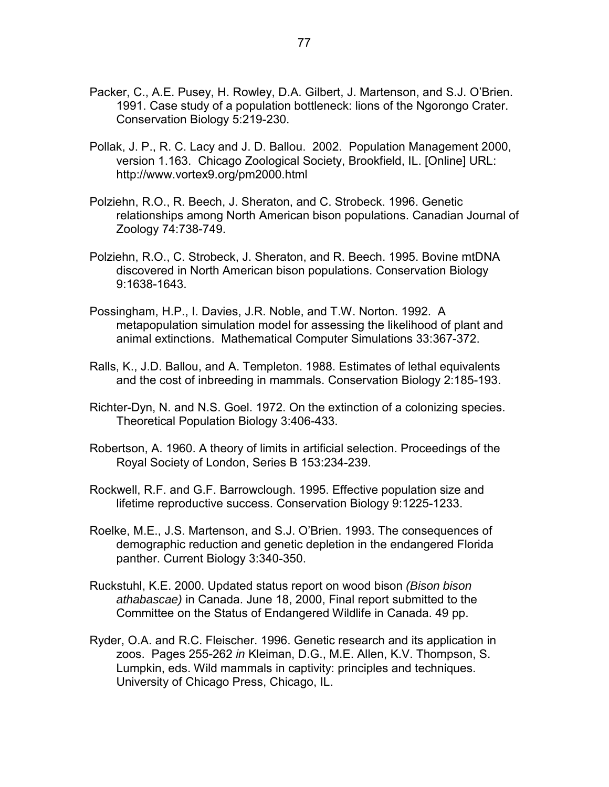- Packer, C., A.E. Pusey, H. Rowley, D.A. Gilbert, J. Martenson, and S.J. O'Brien. 1991. Case study of a population bottleneck: lions of the Ngorongo Crater. Conservation Biology 5:219-230.
- Pollak, J. P., R. C. Lacy and J. D. Ballou. 2002. Population Management 2000, version 1.163. Chicago Zoological Society, Brookfield, IL. [Online] URL: http://www.vortex9.org/pm2000.html
- Polziehn, R.O., R. Beech, J. Sheraton, and C. Strobeck. 1996. Genetic relationships among North American bison populations. Canadian Journal of Zoology 74:738-749.
- Polziehn, R.O., C. Strobeck, J. Sheraton, and R. Beech. 1995. Bovine mtDNA discovered in North American bison populations. Conservation Biology 9:1638-1643.
- Possingham, H.P., I. Davies, J.R. Noble, and T.W. Norton. 1992. A metapopulation simulation model for assessing the likelihood of plant and animal extinctions. Mathematical Computer Simulations 33:367-372.
- Ralls, K., J.D. Ballou, and A. Templeton. 1988. Estimates of lethal equivalents and the cost of inbreeding in mammals. Conservation Biology 2:185-193.
- Richter-Dyn, N. and N.S. Goel. 1972. On the extinction of a colonizing species. Theoretical Population Biology 3:406-433.
- Robertson, A. 1960. A theory of limits in artificial selection. Proceedings of the Royal Society of London, Series B 153:234-239.
- Rockwell, R.F. and G.F. Barrowclough. 1995. Effective population size and lifetime reproductive success. Conservation Biology 9:1225-1233.
- Roelke, M.E., J.S. Martenson, and S.J. O'Brien. 1993. The consequences of demographic reduction and genetic depletion in the endangered Florida panther. Current Biology 3:340-350.
- Ruckstuhl, K.E. 2000. Updated status report on wood bison *(Bison bison athabascae)* in Canada. June 18, 2000, Final report submitted to the Committee on the Status of Endangered Wildlife in Canada. 49 pp.
- Ryder, O.A. and R.C. Fleischer. 1996. Genetic research and its application in zoos. Pages 255-262 *in* Kleiman, D.G., M.E. Allen, K.V. Thompson, S. Lumpkin, eds. Wild mammals in captivity: principles and techniques. University of Chicago Press, Chicago, IL.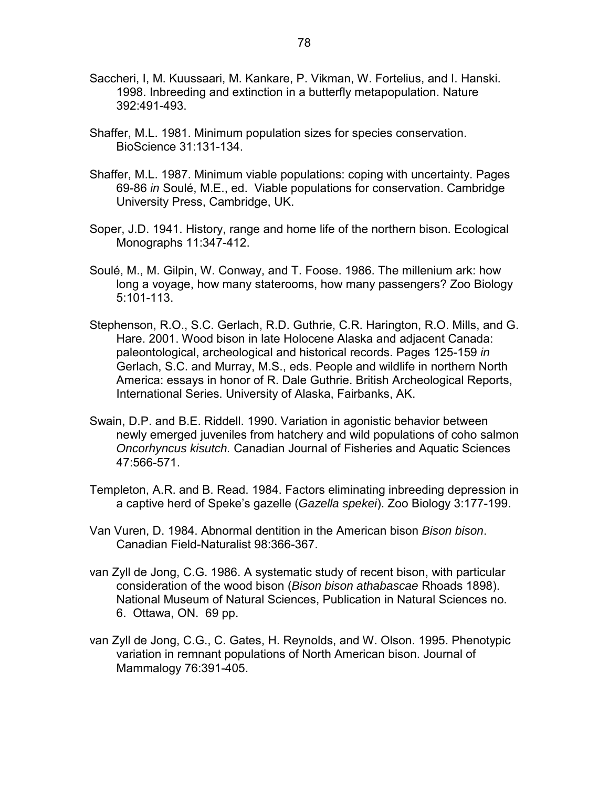- Saccheri, I, M. Kuussaari, M. Kankare, P. Vikman, W. Fortelius, and I. Hanski. 1998. Inbreeding and extinction in a butterfly metapopulation. Nature 392:491-493.
- Shaffer, M.L. 1981. Minimum population sizes for species conservation. BioScience 31:131-134.
- Shaffer, M.L. 1987. Minimum viable populations: coping with uncertainty. Pages 69-86 *in* Soulé, M.E., ed. Viable populations for conservation. Cambridge University Press, Cambridge, UK.
- Soper, J.D. 1941. History, range and home life of the northern bison. Ecological Monographs 11:347-412.
- Soulé, M., M. Gilpin, W. Conway, and T. Foose. 1986. The millenium ark: how long a voyage, how many staterooms, how many passengers? Zoo Biology 5:101-113.
- Stephenson, R.O., S.C. Gerlach, R.D. Guthrie, C.R. Harington, R.O. Mills, and G. Hare. 2001. Wood bison in late Holocene Alaska and adjacent Canada: paleontological, archeological and historical records. Pages 125-159 *in* Gerlach, S.C. and Murray, M.S., eds. People and wildlife in northern North America: essays in honor of R. Dale Guthrie. British Archeological Reports, International Series. University of Alaska, Fairbanks, AK.
- Swain, D.P. and B.E. Riddell. 1990. Variation in agonistic behavior between newly emerged juveniles from hatchery and wild populations of coho salmon *Oncorhyncus kisutch.* Canadian Journal of Fisheries and Aquatic Sciences 47:566-571.
- Templeton, A.R. and B. Read. 1984. Factors eliminating inbreeding depression in a captive herd of Speke's gazelle (*Gazella spekei*). Zoo Biology 3:177-199.
- Van Vuren, D. 1984. Abnormal dentition in the American bison *Bison bison*. Canadian Field-Naturalist 98:366-367.
- van Zyll de Jong, C.G. 1986. A systematic study of recent bison, with particular consideration of the wood bison (*Bison bison athabascae* Rhoads 1898). National Museum of Natural Sciences, Publication in Natural Sciences no. 6. Ottawa, ON. 69 pp.
- van Zyll de Jong, C.G., C. Gates, H. Reynolds, and W. Olson. 1995. Phenotypic variation in remnant populations of North American bison. Journal of Mammalogy 76:391-405.